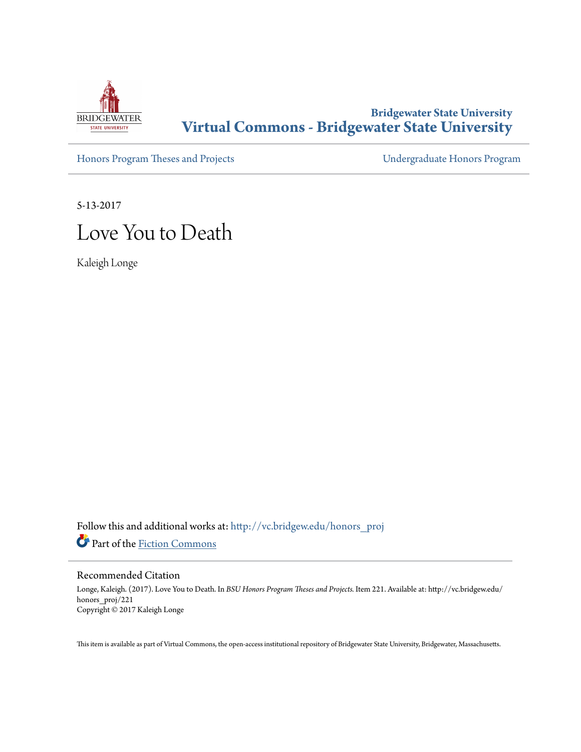

# **Bridgewater State University [Virtual Commons - Bridgewater State University](http://vc.bridgew.edu?utm_source=vc.bridgew.edu%2Fhonors_proj%2F221&utm_medium=PDF&utm_campaign=PDFCoverPages)**

[Honors Program Theses and Projects](http://vc.bridgew.edu/honors_proj?utm_source=vc.bridgew.edu%2Fhonors_proj%2F221&utm_medium=PDF&utm_campaign=PDFCoverPages) [Undergraduate Honors Program](http://vc.bridgew.edu/honors?utm_source=vc.bridgew.edu%2Fhonors_proj%2F221&utm_medium=PDF&utm_campaign=PDFCoverPages)

5-13-2017

# Love You to Death

Kaleigh Longe

Follow this and additional works at: [http://vc.bridgew.edu/honors\\_proj](http://vc.bridgew.edu/honors_proj?utm_source=vc.bridgew.edu%2Fhonors_proj%2F221&utm_medium=PDF&utm_campaign=PDFCoverPages) Part of the [Fiction Commons](http://network.bepress.com/hgg/discipline/1151?utm_source=vc.bridgew.edu%2Fhonors_proj%2F221&utm_medium=PDF&utm_campaign=PDFCoverPages)

# Recommended Citation

Longe, Kaleigh. (2017). Love You to Death. In *BSU Honors Program Theses and Projects.* Item 221. Available at: http://vc.bridgew.edu/ honors\_proj/221 Copyright © 2017 Kaleigh Longe

This item is available as part of Virtual Commons, the open-access institutional repository of Bridgewater State University, Bridgewater, Massachusetts.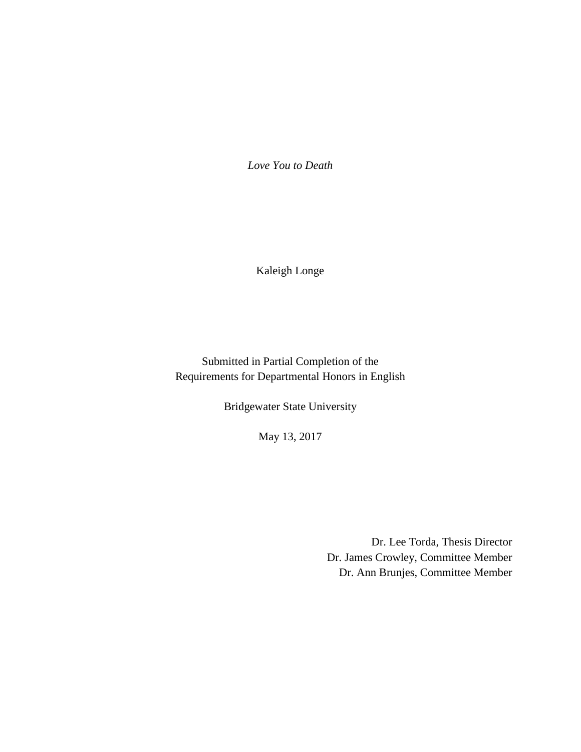*Love You to Death*

Kaleigh Longe

Submitted in Partial Completion of the Requirements for Departmental Honors in English

Bridgewater State University

May 13, 2017

Dr. Lee Torda, Thesis Director Dr. James Crowley, Committee Member Dr. Ann Brunjes, Committee Member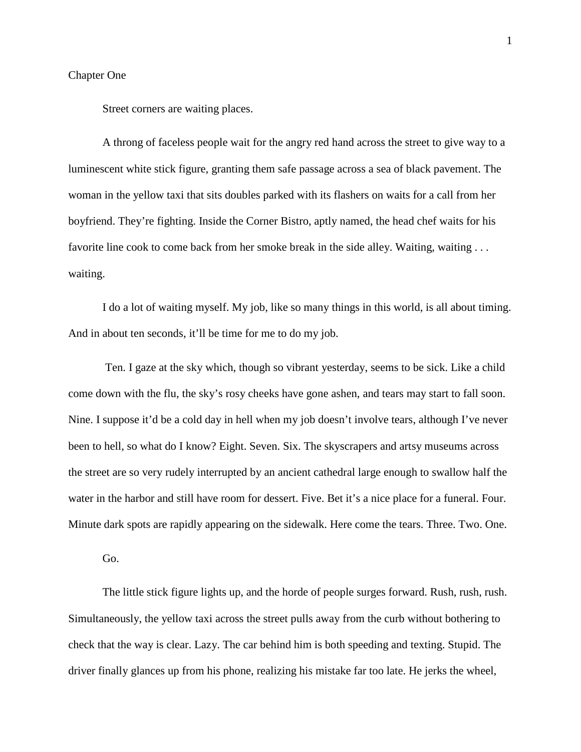#### Chapter One

Street corners are waiting places.

A throng of faceless people wait for the angry red hand across the street to give way to a luminescent white stick figure, granting them safe passage across a sea of black pavement. The woman in the yellow taxi that sits doubles parked with its flashers on waits for a call from her boyfriend. They're fighting. Inside the Corner Bistro, aptly named, the head chef waits for his favorite line cook to come back from her smoke break in the side alley. Waiting, waiting . . . waiting.

I do a lot of waiting myself. My job, like so many things in this world, is all about timing. And in about ten seconds, it'll be time for me to do my job.

Ten. I gaze at the sky which, though so vibrant yesterday, seems to be sick. Like a child come down with the flu, the sky's rosy cheeks have gone ashen, and tears may start to fall soon. Nine. I suppose it'd be a cold day in hell when my job doesn't involve tears, although I've never been to hell, so what do I know? Eight. Seven. Six. The skyscrapers and artsy museums across the street are so very rudely interrupted by an ancient cathedral large enough to swallow half the water in the harbor and still have room for dessert. Five. Bet it's a nice place for a funeral. Four. Minute dark spots are rapidly appearing on the sidewalk. Here come the tears. Three. Two. One.

Go.

The little stick figure lights up, and the horde of people surges forward. Rush, rush, rush. Simultaneously, the yellow taxi across the street pulls away from the curb without bothering to check that the way is clear. Lazy. The car behind him is both speeding and texting. Stupid. The driver finally glances up from his phone, realizing his mistake far too late. He jerks the wheel,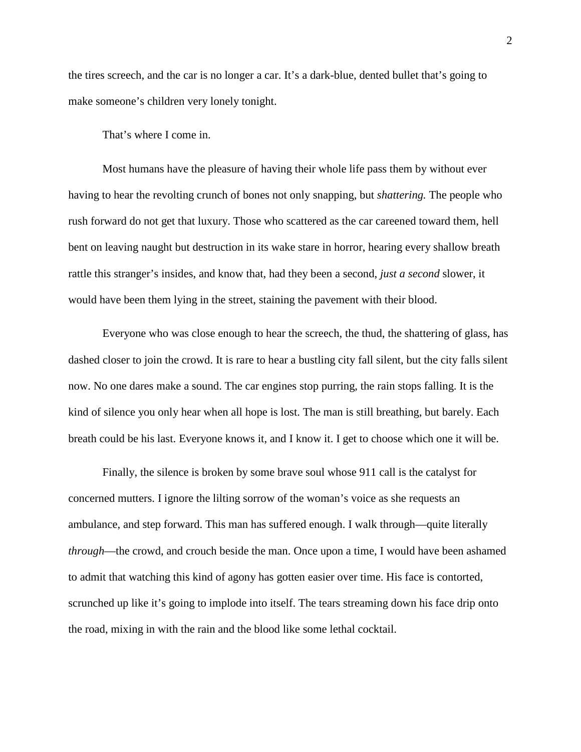the tires screech, and the car is no longer a car. It's a dark-blue, dented bullet that's going to make someone's children very lonely tonight.

That's where I come in.

Most humans have the pleasure of having their whole life pass them by without ever having to hear the revolting crunch of bones not only snapping, but *shattering.* The people who rush forward do not get that luxury. Those who scattered as the car careened toward them, hell bent on leaving naught but destruction in its wake stare in horror, hearing every shallow breath rattle this stranger's insides, and know that, had they been a second, *just a second* slower, it would have been them lying in the street, staining the pavement with their blood.

Everyone who was close enough to hear the screech, the thud, the shattering of glass, has dashed closer to join the crowd. It is rare to hear a bustling city fall silent, but the city falls silent now. No one dares make a sound. The car engines stop purring, the rain stops falling. It is the kind of silence you only hear when all hope is lost. The man is still breathing, but barely. Each breath could be his last. Everyone knows it, and I know it. I get to choose which one it will be.

Finally, the silence is broken by some brave soul whose 911 call is the catalyst for concerned mutters. I ignore the lilting sorrow of the woman's voice as she requests an ambulance, and step forward. This man has suffered enough. I walk through—quite literally *through*—the crowd, and crouch beside the man. Once upon a time, I would have been ashamed to admit that watching this kind of agony has gotten easier over time. His face is contorted, scrunched up like it's going to implode into itself. The tears streaming down his face drip onto the road, mixing in with the rain and the blood like some lethal cocktail.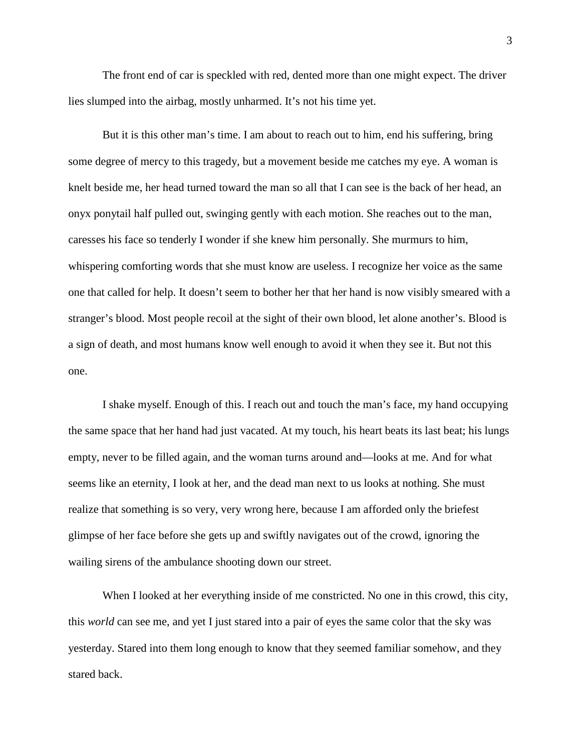The front end of car is speckled with red, dented more than one might expect. The driver lies slumped into the airbag, mostly unharmed. It's not his time yet.

But it is this other man's time. I am about to reach out to him, end his suffering, bring some degree of mercy to this tragedy, but a movement beside me catches my eye. A woman is knelt beside me, her head turned toward the man so all that I can see is the back of her head, an onyx ponytail half pulled out, swinging gently with each motion. She reaches out to the man, caresses his face so tenderly I wonder if she knew him personally. She murmurs to him, whispering comforting words that she must know are useless. I recognize her voice as the same one that called for help. It doesn't seem to bother her that her hand is now visibly smeared with a stranger's blood. Most people recoil at the sight of their own blood, let alone another's. Blood is a sign of death, and most humans know well enough to avoid it when they see it. But not this one.

I shake myself. Enough of this. I reach out and touch the man's face, my hand occupying the same space that her hand had just vacated. At my touch, his heart beats its last beat; his lungs empty, never to be filled again, and the woman turns around and—looks at me. And for what seems like an eternity, I look at her, and the dead man next to us looks at nothing. She must realize that something is so very, very wrong here, because I am afforded only the briefest glimpse of her face before she gets up and swiftly navigates out of the crowd, ignoring the wailing sirens of the ambulance shooting down our street.

When I looked at her everything inside of me constricted. No one in this crowd, this city, this *world* can see me, and yet I just stared into a pair of eyes the same color that the sky was yesterday. Stared into them long enough to know that they seemed familiar somehow, and they stared back.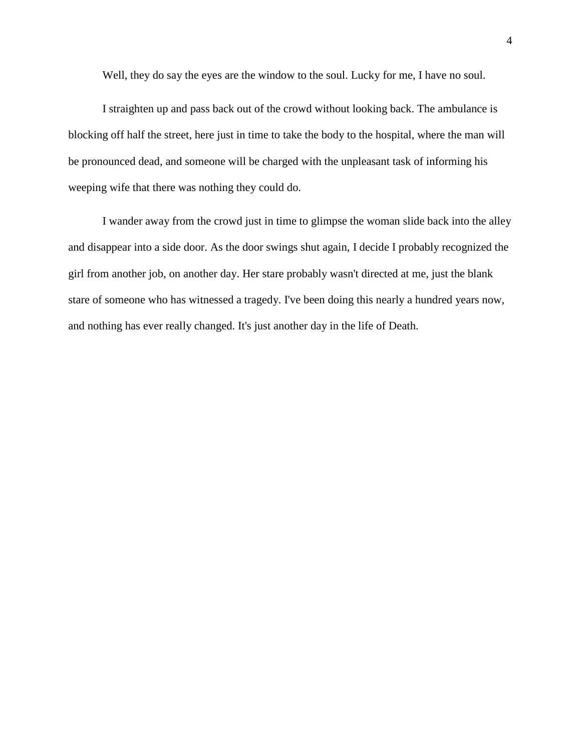Well, they do say the eyes are the window to the soul. Lucky for me, I have no soul.

I straighten up and pass back out of the crowd without looking back. The ambulance is blocking off half the street, here just in time to take the body to the hospital, where the man will be pronounced dead, and someone will be charged with the unpleasant task of informing his weeping wife that there was nothing they could do.

I wander away from the crowd just in time to glimpse the woman slide back into the alley and disappear into a side door. As the door swings shut again, I decide I probably recognized the girl from another job, on another day. Her stare probably wasn't directed at me, just the blank stare of someone who has witnessed a tragedy. I've been doing this nearly a hundred years now, and nothing has ever really changed. It's just another day in the life of Death.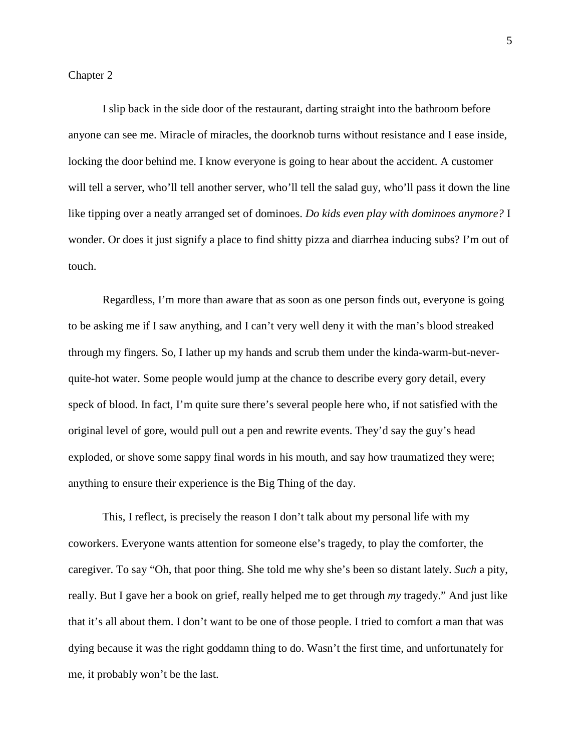# Chapter 2

I slip back in the side door of the restaurant, darting straight into the bathroom before anyone can see me. Miracle of miracles, the doorknob turns without resistance and I ease inside, locking the door behind me. I know everyone is going to hear about the accident. A customer will tell a server, who'll tell another server, who'll tell the salad guy, who'll pass it down the line like tipping over a neatly arranged set of dominoes. *Do kids even play with dominoes anymore?* I wonder. Or does it just signify a place to find shitty pizza and diarrhea inducing subs? I'm out of touch.

Regardless, I'm more than aware that as soon as one person finds out, everyone is going to be asking me if I saw anything, and I can't very well deny it with the man's blood streaked through my fingers. So, I lather up my hands and scrub them under the kinda-warm-but-neverquite-hot water. Some people would jump at the chance to describe every gory detail, every speck of blood. In fact, I'm quite sure there's several people here who, if not satisfied with the original level of gore, would pull out a pen and rewrite events. They'd say the guy's head exploded, or shove some sappy final words in his mouth, and say how traumatized they were; anything to ensure their experience is the Big Thing of the day.

This, I reflect, is precisely the reason I don't talk about my personal life with my coworkers. Everyone wants attention for someone else's tragedy, to play the comforter, the caregiver. To say "Oh, that poor thing. She told me why she's been so distant lately. *Such* a pity, really. But I gave her a book on grief, really helped me to get through *my* tragedy." And just like that it's all about them. I don't want to be one of those people. I tried to comfort a man that was dying because it was the right goddamn thing to do. Wasn't the first time, and unfortunately for me, it probably won't be the last.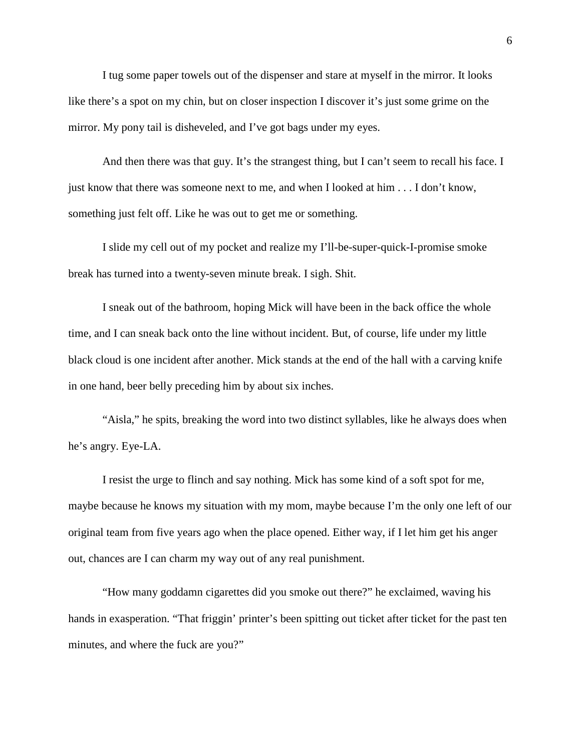I tug some paper towels out of the dispenser and stare at myself in the mirror. It looks like there's a spot on my chin, but on closer inspection I discover it's just some grime on the mirror. My pony tail is disheveled, and I've got bags under my eyes.

And then there was that guy. It's the strangest thing, but I can't seem to recall his face. I just know that there was someone next to me, and when I looked at him . . . I don't know, something just felt off. Like he was out to get me or something.

I slide my cell out of my pocket and realize my I'll-be-super-quick-I-promise smoke break has turned into a twenty-seven minute break. I sigh. Shit.

I sneak out of the bathroom, hoping Mick will have been in the back office the whole time, and I can sneak back onto the line without incident. But, of course, life under my little black cloud is one incident after another. Mick stands at the end of the hall with a carving knife in one hand, beer belly preceding him by about six inches.

"Aisla," he spits, breaking the word into two distinct syllables, like he always does when he's angry. Eye-LA.

I resist the urge to flinch and say nothing. Mick has some kind of a soft spot for me, maybe because he knows my situation with my mom, maybe because I'm the only one left of our original team from five years ago when the place opened. Either way, if I let him get his anger out, chances are I can charm my way out of any real punishment.

"How many goddamn cigarettes did you smoke out there?" he exclaimed, waving his hands in exasperation. "That friggin' printer's been spitting out ticket after ticket for the past ten minutes, and where the fuck are you?"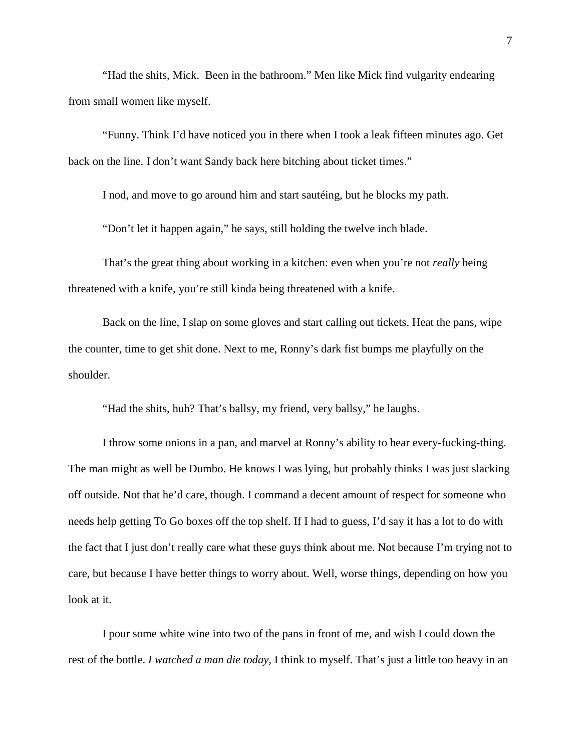"Had the shits, Mick. Been in the bathroom." Men like Mick find vulgarity endearing from small women like myself.

"Funny. Think I'd have noticed you in there when I took a leak fifteen minutes ago. Get back on the line. I don't want Sandy back here bitching about ticket times."

I nod, and move to go around him and start sautéing, but he blocks my path.

"Don't let it happen again," he says, still holding the twelve inch blade.

That's the great thing about working in a kitchen: even when you're not *really* being threatened with a knife, you're still kinda being threatened with a knife.

Back on the line, I slap on some gloves and start calling out tickets. Heat the pans, wipe the counter, time to get shit done. Next to me, Ronny's dark fist bumps me playfully on the shoulder.

"Had the shits, huh? That's ballsy, my friend, very ballsy," he laughs.

I throw some onions in a pan, and marvel at Ronny's ability to hear every-fucking-thing. The man might as well be Dumbo. He knows I was lying, but probably thinks I was just slacking off outside. Not that he'd care, though. I command a decent amount of respect for someone who needs help getting To Go boxes off the top shelf. If I had to guess, I'd say it has a lot to do with the fact that I just don't really care what these guys think about me. Not because I'm trying not to care, but because I have better things to worry about. Well, worse things, depending on how you look at it.

I pour some white wine into two of the pans in front of me, and wish I could down the rest of the bottle. *I watched a man die today,* I think to myself. That's just a little too heavy in an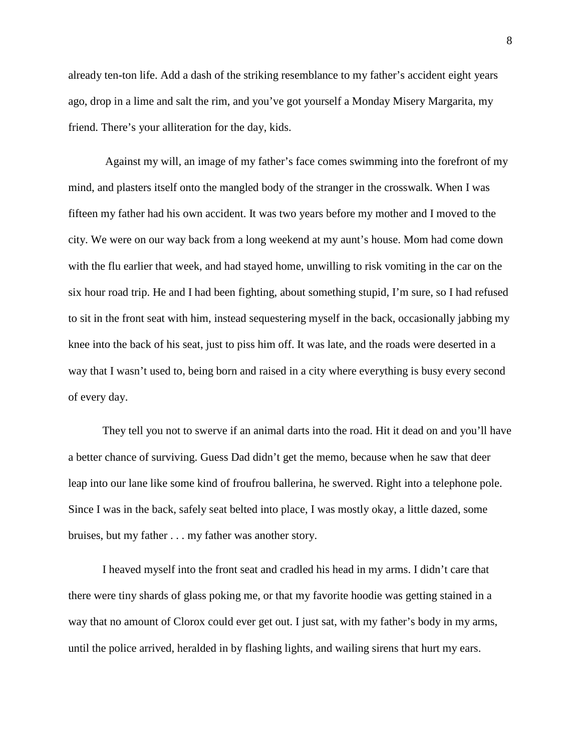already ten-ton life. Add a dash of the striking resemblance to my father's accident eight years ago, drop in a lime and salt the rim, and you've got yourself a Monday Misery Margarita, my friend. There's your alliteration for the day, kids.

Against my will, an image of my father's face comes swimming into the forefront of my mind, and plasters itself onto the mangled body of the stranger in the crosswalk. When I was fifteen my father had his own accident. It was two years before my mother and I moved to the city. We were on our way back from a long weekend at my aunt's house. Mom had come down with the flu earlier that week, and had stayed home, unwilling to risk vomiting in the car on the six hour road trip. He and I had been fighting, about something stupid, I'm sure, so I had refused to sit in the front seat with him, instead sequestering myself in the back, occasionally jabbing my knee into the back of his seat, just to piss him off. It was late, and the roads were deserted in a way that I wasn't used to, being born and raised in a city where everything is busy every second of every day.

They tell you not to swerve if an animal darts into the road. Hit it dead on and you'll have a better chance of surviving. Guess Dad didn't get the memo, because when he saw that deer leap into our lane like some kind of froufrou ballerina, he swerved. Right into a telephone pole. Since I was in the back, safely seat belted into place, I was mostly okay, a little dazed, some bruises, but my father . . . my father was another story.

I heaved myself into the front seat and cradled his head in my arms. I didn't care that there were tiny shards of glass poking me, or that my favorite hoodie was getting stained in a way that no amount of Clorox could ever get out. I just sat, with my father's body in my arms, until the police arrived, heralded in by flashing lights, and wailing sirens that hurt my ears.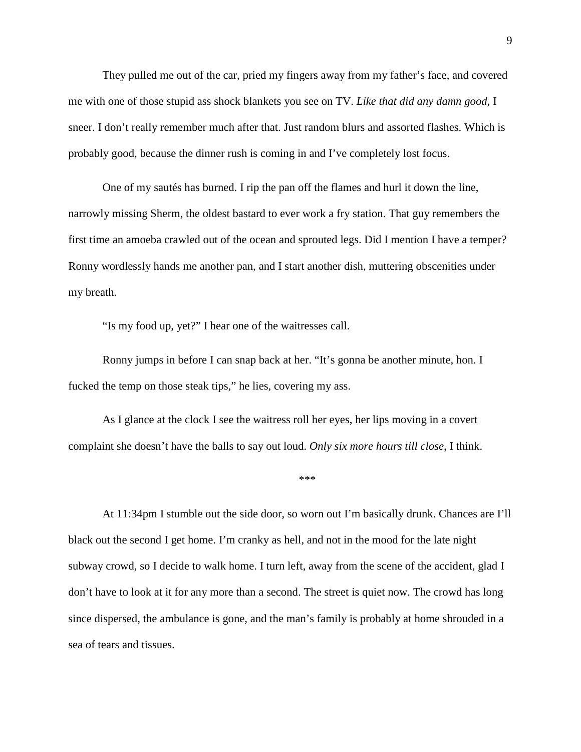They pulled me out of the car, pried my fingers away from my father's face, and covered me with one of those stupid ass shock blankets you see on TV. *Like that did any damn good,* I sneer. I don't really remember much after that. Just random blurs and assorted flashes. Which is probably good, because the dinner rush is coming in and I've completely lost focus.

One of my sautés has burned. I rip the pan off the flames and hurl it down the line, narrowly missing Sherm, the oldest bastard to ever work a fry station. That guy remembers the first time an amoeba crawled out of the ocean and sprouted legs. Did I mention I have a temper? Ronny wordlessly hands me another pan, and I start another dish, muttering obscenities under my breath.

"Is my food up, yet?" I hear one of the waitresses call.

Ronny jumps in before I can snap back at her. "It's gonna be another minute, hon. I fucked the temp on those steak tips," he lies, covering my ass.

As I glance at the clock I see the waitress roll her eyes, her lips moving in a covert complaint she doesn't have the balls to say out loud. *Only six more hours till close*, I think.

\*\*\*

At 11:34pm I stumble out the side door, so worn out I'm basically drunk. Chances are I'll black out the second I get home. I'm cranky as hell, and not in the mood for the late night subway crowd, so I decide to walk home. I turn left, away from the scene of the accident, glad I don't have to look at it for any more than a second. The street is quiet now. The crowd has long since dispersed, the ambulance is gone, and the man's family is probably at home shrouded in a sea of tears and tissues.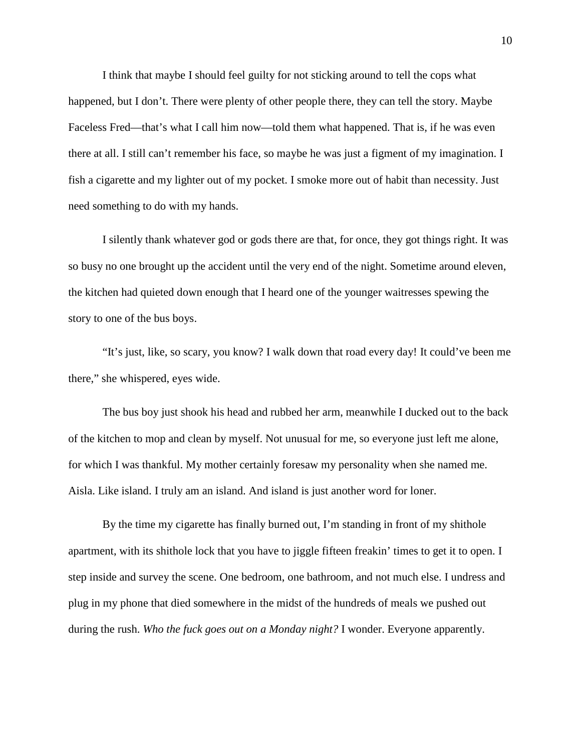I think that maybe I should feel guilty for not sticking around to tell the cops what happened, but I don't. There were plenty of other people there, they can tell the story. Maybe Faceless Fred—that's what I call him now—told them what happened. That is, if he was even there at all. I still can't remember his face, so maybe he was just a figment of my imagination. I fish a cigarette and my lighter out of my pocket. I smoke more out of habit than necessity. Just need something to do with my hands.

I silently thank whatever god or gods there are that, for once, they got things right. It was so busy no one brought up the accident until the very end of the night. Sometime around eleven, the kitchen had quieted down enough that I heard one of the younger waitresses spewing the story to one of the bus boys.

"It's just, like, so scary, you know? I walk down that road every day! It could've been me there," she whispered, eyes wide.

The bus boy just shook his head and rubbed her arm, meanwhile I ducked out to the back of the kitchen to mop and clean by myself. Not unusual for me, so everyone just left me alone, for which I was thankful. My mother certainly foresaw my personality when she named me. Aisla. Like island. I truly am an island. And island is just another word for loner.

By the time my cigarette has finally burned out, I'm standing in front of my shithole apartment, with its shithole lock that you have to jiggle fifteen freakin' times to get it to open. I step inside and survey the scene. One bedroom, one bathroom, and not much else. I undress and plug in my phone that died somewhere in the midst of the hundreds of meals we pushed out during the rush. *Who the fuck goes out on a Monday night?* I wonder. Everyone apparently.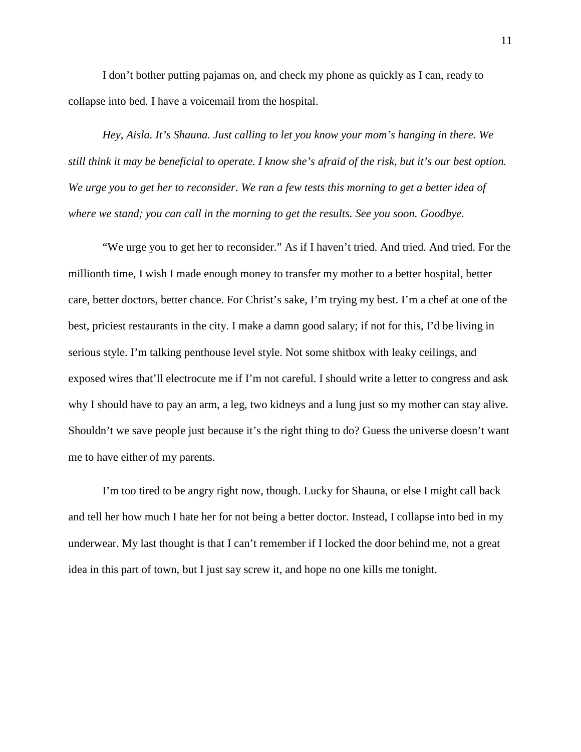I don't bother putting pajamas on, and check my phone as quickly as I can, ready to collapse into bed. I have a voicemail from the hospital.

*Hey, Aisla. It's Shauna. Just calling to let you know your mom's hanging in there. We still think it may be beneficial to operate. I know she's afraid of the risk, but it's our best option. We urge you to get her to reconsider. We ran a few tests this morning to get a better idea of where we stand; you can call in the morning to get the results. See you soon. Goodbye.* 

"We urge you to get her to reconsider." As if I haven't tried. And tried. And tried. For the millionth time, I wish I made enough money to transfer my mother to a better hospital, better care, better doctors, better chance. For Christ's sake, I'm trying my best. I'm a chef at one of the best, priciest restaurants in the city. I make a damn good salary; if not for this, I'd be living in serious style. I'm talking penthouse level style. Not some shitbox with leaky ceilings, and exposed wires that'll electrocute me if I'm not careful. I should write a letter to congress and ask why I should have to pay an arm, a leg, two kidneys and a lung just so my mother can stay alive. Shouldn't we save people just because it's the right thing to do? Guess the universe doesn't want me to have either of my parents.

I'm too tired to be angry right now, though. Lucky for Shauna, or else I might call back and tell her how much I hate her for not being a better doctor. Instead, I collapse into bed in my underwear. My last thought is that I can't remember if I locked the door behind me, not a great idea in this part of town, but I just say screw it, and hope no one kills me tonight.

11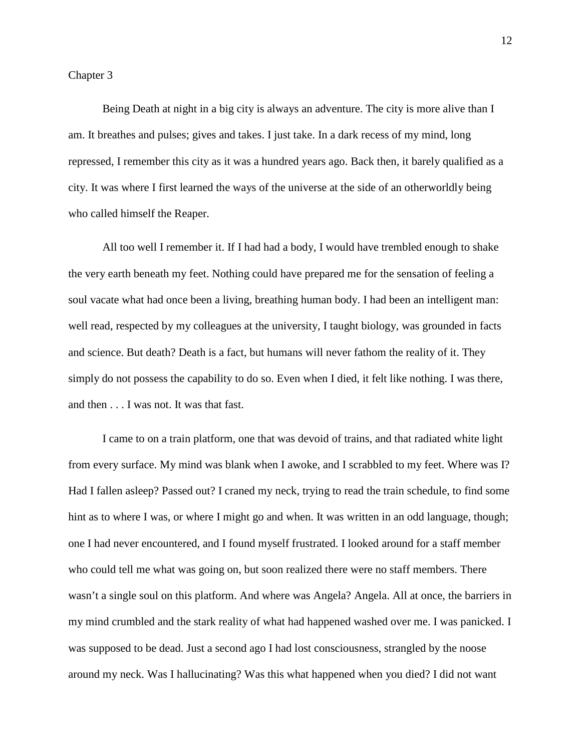Being Death at night in a big city is always an adventure. The city is more alive than I am. It breathes and pulses; gives and takes. I just take. In a dark recess of my mind, long repressed, I remember this city as it was a hundred years ago. Back then, it barely qualified as a city. It was where I first learned the ways of the universe at the side of an otherworldly being who called himself the Reaper.

All too well I remember it. If I had had a body, I would have trembled enough to shake the very earth beneath my feet. Nothing could have prepared me for the sensation of feeling a soul vacate what had once been a living, breathing human body. I had been an intelligent man: well read, respected by my colleagues at the university, I taught biology, was grounded in facts and science. But death? Death is a fact, but humans will never fathom the reality of it. They simply do not possess the capability to do so. Even when I died, it felt like nothing. I was there, and then . . . I was not. It was that fast.

I came to on a train platform, one that was devoid of trains, and that radiated white light from every surface. My mind was blank when I awoke, and I scrabbled to my feet. Where was I? Had I fallen asleep? Passed out? I craned my neck, trying to read the train schedule, to find some hint as to where I was, or where I might go and when. It was written in an odd language, though; one I had never encountered, and I found myself frustrated. I looked around for a staff member who could tell me what was going on, but soon realized there were no staff members. There wasn't a single soul on this platform. And where was Angela? Angela. All at once, the barriers in my mind crumbled and the stark reality of what had happened washed over me. I was panicked. I was supposed to be dead. Just a second ago I had lost consciousness, strangled by the noose around my neck. Was I hallucinating? Was this what happened when you died? I did not want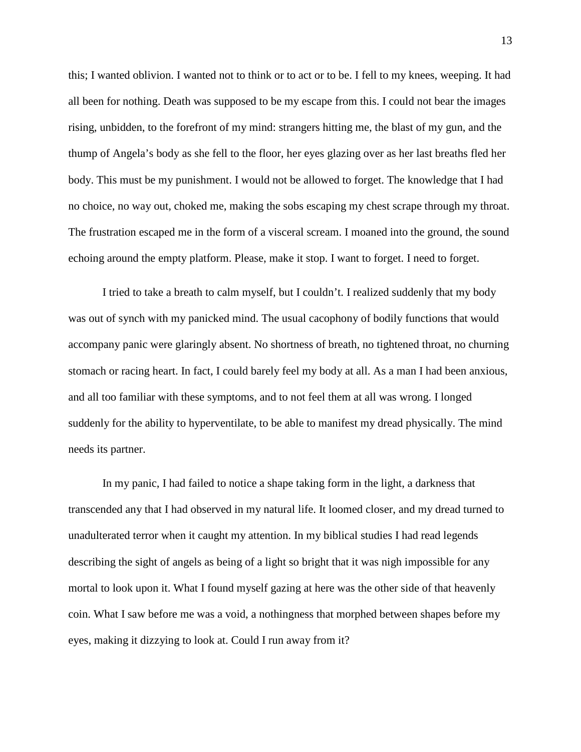this; I wanted oblivion. I wanted not to think or to act or to be. I fell to my knees, weeping. It had all been for nothing. Death was supposed to be my escape from this. I could not bear the images rising, unbidden, to the forefront of my mind: strangers hitting me, the blast of my gun, and the thump of Angela's body as she fell to the floor, her eyes glazing over as her last breaths fled her body. This must be my punishment. I would not be allowed to forget. The knowledge that I had no choice, no way out, choked me, making the sobs escaping my chest scrape through my throat. The frustration escaped me in the form of a visceral scream. I moaned into the ground, the sound echoing around the empty platform. Please, make it stop. I want to forget. I need to forget.

I tried to take a breath to calm myself, but I couldn't. I realized suddenly that my body was out of synch with my panicked mind. The usual cacophony of bodily functions that would accompany panic were glaringly absent. No shortness of breath, no tightened throat, no churning stomach or racing heart. In fact, I could barely feel my body at all. As a man I had been anxious, and all too familiar with these symptoms, and to not feel them at all was wrong. I longed suddenly for the ability to hyperventilate, to be able to manifest my dread physically. The mind needs its partner.

In my panic, I had failed to notice a shape taking form in the light, a darkness that transcended any that I had observed in my natural life. It loomed closer, and my dread turned to unadulterated terror when it caught my attention. In my biblical studies I had read legends describing the sight of angels as being of a light so bright that it was nigh impossible for any mortal to look upon it. What I found myself gazing at here was the other side of that heavenly coin. What I saw before me was a void, a nothingness that morphed between shapes before my eyes, making it dizzying to look at. Could I run away from it?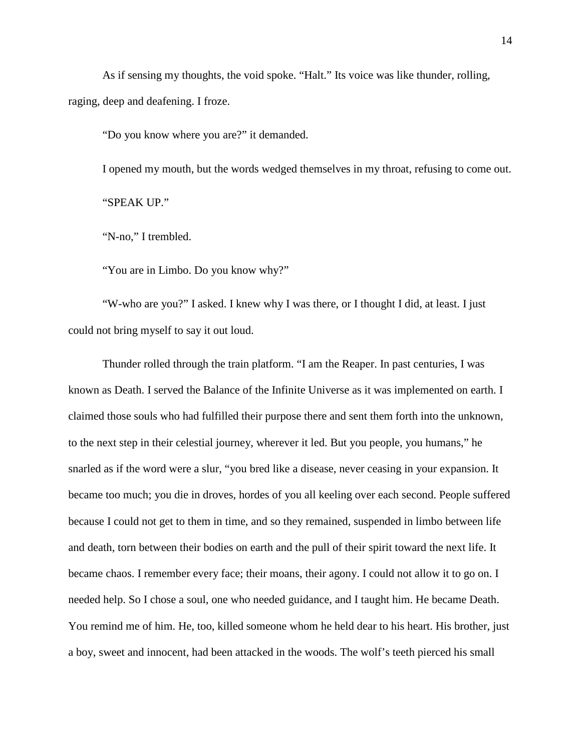As if sensing my thoughts, the void spoke. "Halt." Its voice was like thunder, rolling, raging, deep and deafening. I froze.

"Do you know where you are?" it demanded.

I opened my mouth, but the words wedged themselves in my throat, refusing to come out. "SPEAK UP."

"N-no," I trembled.

"You are in Limbo. Do you know why?"

"W-who are you?" I asked. I knew why I was there, or I thought I did, at least. I just could not bring myself to say it out loud.

Thunder rolled through the train platform. "I am the Reaper. In past centuries, I was known as Death. I served the Balance of the Infinite Universe as it was implemented on earth. I claimed those souls who had fulfilled their purpose there and sent them forth into the unknown, to the next step in their celestial journey, wherever it led. But you people, you humans," he snarled as if the word were a slur, "you bred like a disease, never ceasing in your expansion. It became too much; you die in droves, hordes of you all keeling over each second. People suffered because I could not get to them in time, and so they remained, suspended in limbo between life and death, torn between their bodies on earth and the pull of their spirit toward the next life. It became chaos. I remember every face; their moans, their agony. I could not allow it to go on. I needed help. So I chose a soul, one who needed guidance, and I taught him. He became Death. You remind me of him. He, too, killed someone whom he held dear to his heart. His brother, just a boy, sweet and innocent, had been attacked in the woods. The wolf's teeth pierced his small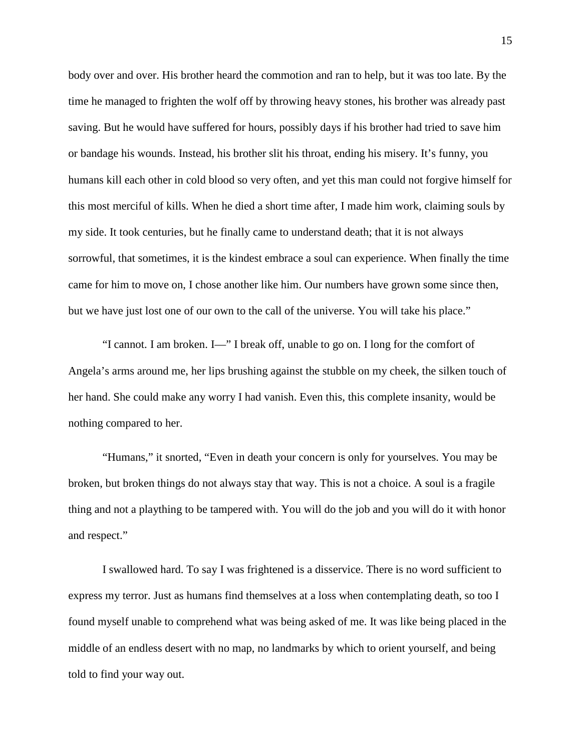body over and over. His brother heard the commotion and ran to help, but it was too late. By the time he managed to frighten the wolf off by throwing heavy stones, his brother was already past saving. But he would have suffered for hours, possibly days if his brother had tried to save him or bandage his wounds. Instead, his brother slit his throat, ending his misery. It's funny, you humans kill each other in cold blood so very often, and yet this man could not forgive himself for this most merciful of kills. When he died a short time after, I made him work, claiming souls by my side. It took centuries, but he finally came to understand death; that it is not always sorrowful, that sometimes, it is the kindest embrace a soul can experience. When finally the time came for him to move on, I chose another like him. Our numbers have grown some since then, but we have just lost one of our own to the call of the universe. You will take his place."

"I cannot. I am broken. I—" I break off, unable to go on. I long for the comfort of Angela's arms around me, her lips brushing against the stubble on my cheek, the silken touch of her hand. She could make any worry I had vanish. Even this, this complete insanity, would be nothing compared to her.

"Humans," it snorted, "Even in death your concern is only for yourselves. You may be broken, but broken things do not always stay that way. This is not a choice. A soul is a fragile thing and not a plaything to be tampered with. You will do the job and you will do it with honor and respect."

I swallowed hard. To say I was frightened is a disservice. There is no word sufficient to express my terror. Just as humans find themselves at a loss when contemplating death, so too I found myself unable to comprehend what was being asked of me. It was like being placed in the middle of an endless desert with no map, no landmarks by which to orient yourself, and being told to find your way out.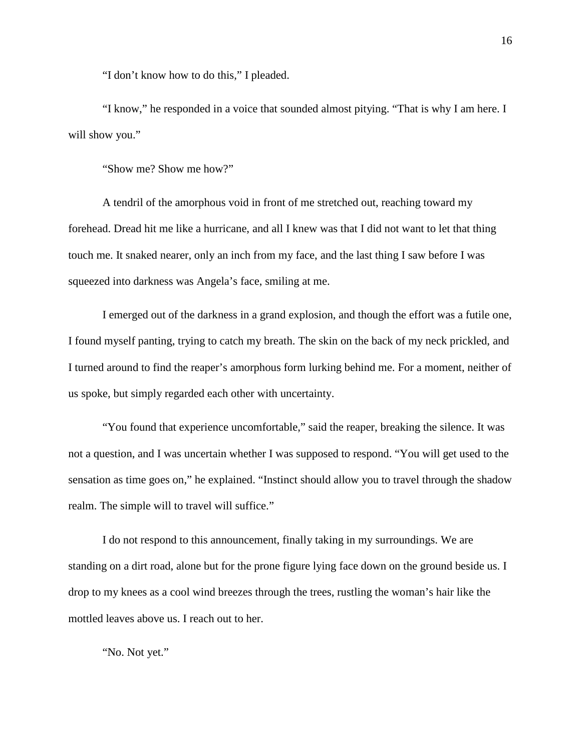"I don't know how to do this," I pleaded.

"I know," he responded in a voice that sounded almost pitying. "That is why I am here. I will show you."

"Show me? Show me how?"

A tendril of the amorphous void in front of me stretched out, reaching toward my forehead. Dread hit me like a hurricane, and all I knew was that I did not want to let that thing touch me. It snaked nearer, only an inch from my face, and the last thing I saw before I was squeezed into darkness was Angela's face, smiling at me.

I emerged out of the darkness in a grand explosion, and though the effort was a futile one, I found myself panting, trying to catch my breath. The skin on the back of my neck prickled, and I turned around to find the reaper's amorphous form lurking behind me. For a moment, neither of us spoke, but simply regarded each other with uncertainty.

"You found that experience uncomfortable," said the reaper, breaking the silence. It was not a question, and I was uncertain whether I was supposed to respond. "You will get used to the sensation as time goes on," he explained. "Instinct should allow you to travel through the shadow realm. The simple will to travel will suffice."

I do not respond to this announcement, finally taking in my surroundings. We are standing on a dirt road, alone but for the prone figure lying face down on the ground beside us. I drop to my knees as a cool wind breezes through the trees, rustling the woman's hair like the mottled leaves above us. I reach out to her.

"No. Not yet."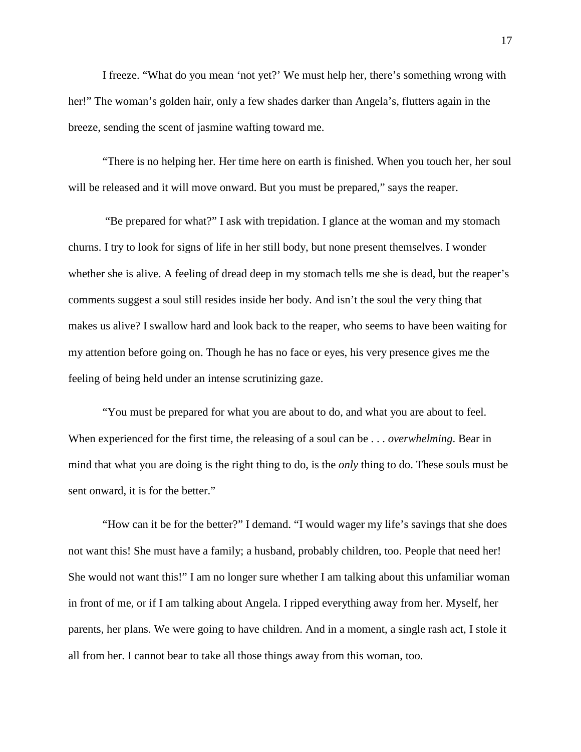I freeze. "What do you mean 'not yet?' We must help her, there's something wrong with her!" The woman's golden hair, only a few shades darker than Angela's, flutters again in the breeze, sending the scent of jasmine wafting toward me.

"There is no helping her. Her time here on earth is finished. When you touch her, her soul will be released and it will move onward. But you must be prepared," says the reaper.

"Be prepared for what?" I ask with trepidation. I glance at the woman and my stomach churns. I try to look for signs of life in her still body, but none present themselves. I wonder whether she is alive. A feeling of dread deep in my stomach tells me she is dead, but the reaper's comments suggest a soul still resides inside her body. And isn't the soul the very thing that makes us alive? I swallow hard and look back to the reaper, who seems to have been waiting for my attention before going on. Though he has no face or eyes, his very presence gives me the feeling of being held under an intense scrutinizing gaze.

"You must be prepared for what you are about to do, and what you are about to feel. When experienced for the first time, the releasing of a soul can be . . . *overwhelming*. Bear in mind that what you are doing is the right thing to do, is the *only* thing to do. These souls must be sent onward, it is for the better."

"How can it be for the better?" I demand. "I would wager my life's savings that she does not want this! She must have a family; a husband, probably children, too. People that need her! She would not want this!" I am no longer sure whether I am talking about this unfamiliar woman in front of me, or if I am talking about Angela. I ripped everything away from her. Myself, her parents, her plans. We were going to have children. And in a moment, a single rash act, I stole it all from her. I cannot bear to take all those things away from this woman, too.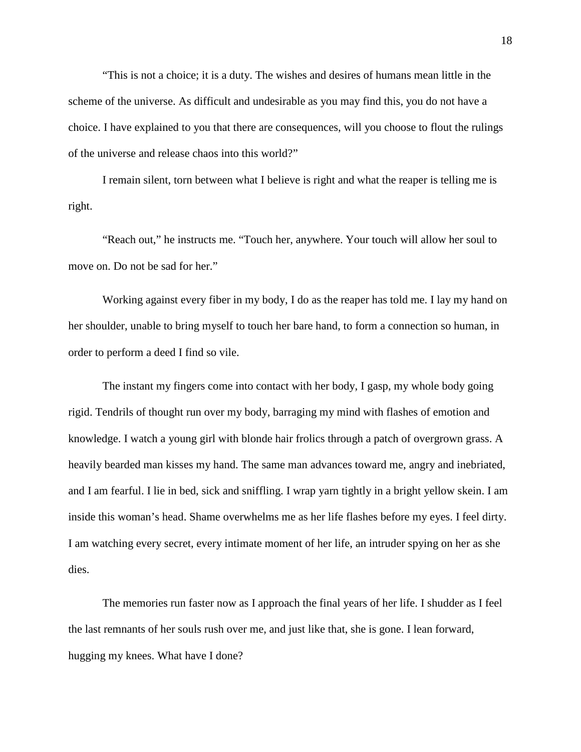"This is not a choice; it is a duty. The wishes and desires of humans mean little in the scheme of the universe. As difficult and undesirable as you may find this, you do not have a choice. I have explained to you that there are consequences, will you choose to flout the rulings of the universe and release chaos into this world?"

I remain silent, torn between what I believe is right and what the reaper is telling me is right.

"Reach out," he instructs me. "Touch her, anywhere. Your touch will allow her soul to move on. Do not be sad for her."

Working against every fiber in my body, I do as the reaper has told me. I lay my hand on her shoulder, unable to bring myself to touch her bare hand, to form a connection so human, in order to perform a deed I find so vile.

The instant my fingers come into contact with her body, I gasp, my whole body going rigid. Tendrils of thought run over my body, barraging my mind with flashes of emotion and knowledge. I watch a young girl with blonde hair frolics through a patch of overgrown grass. A heavily bearded man kisses my hand. The same man advances toward me, angry and inebriated, and I am fearful. I lie in bed, sick and sniffling. I wrap yarn tightly in a bright yellow skein. I am inside this woman's head. Shame overwhelms me as her life flashes before my eyes. I feel dirty. I am watching every secret, every intimate moment of her life, an intruder spying on her as she dies.

The memories run faster now as I approach the final years of her life. I shudder as I feel the last remnants of her souls rush over me, and just like that, she is gone. I lean forward, hugging my knees. What have I done?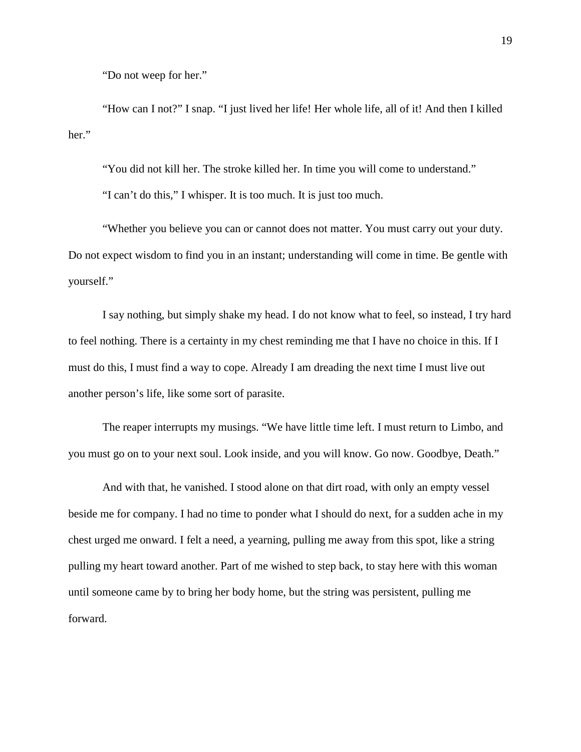"Do not weep for her."

"How can I not?" I snap. "I just lived her life! Her whole life, all of it! And then I killed her."

"You did not kill her. The stroke killed her. In time you will come to understand."

"I can't do this," I whisper. It is too much. It is just too much.

"Whether you believe you can or cannot does not matter. You must carry out your duty. Do not expect wisdom to find you in an instant; understanding will come in time. Be gentle with yourself."

I say nothing, but simply shake my head. I do not know what to feel, so instead, I try hard to feel nothing. There is a certainty in my chest reminding me that I have no choice in this. If I must do this, I must find a way to cope. Already I am dreading the next time I must live out another person's life, like some sort of parasite.

The reaper interrupts my musings. "We have little time left. I must return to Limbo, and you must go on to your next soul. Look inside, and you will know. Go now. Goodbye, Death."

And with that, he vanished. I stood alone on that dirt road, with only an empty vessel beside me for company. I had no time to ponder what I should do next, for a sudden ache in my chest urged me onward. I felt a need, a yearning, pulling me away from this spot, like a string pulling my heart toward another. Part of me wished to step back, to stay here with this woman until someone came by to bring her body home, but the string was persistent, pulling me forward.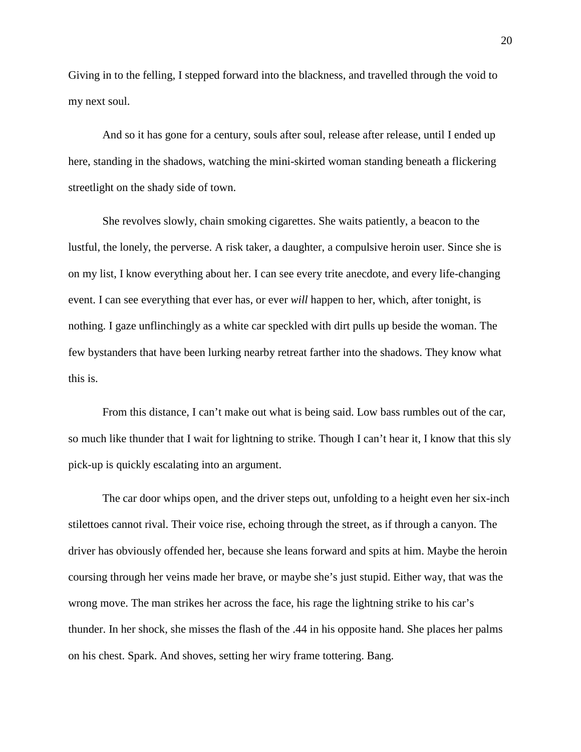Giving in to the felling, I stepped forward into the blackness, and travelled through the void to my next soul.

And so it has gone for a century, souls after soul, release after release, until I ended up here, standing in the shadows, watching the mini-skirted woman standing beneath a flickering streetlight on the shady side of town.

She revolves slowly, chain smoking cigarettes. She waits patiently, a beacon to the lustful, the lonely, the perverse. A risk taker, a daughter, a compulsive heroin user. Since she is on my list, I know everything about her. I can see every trite anecdote, and every life-changing event. I can see everything that ever has, or ever *will* happen to her, which, after tonight, is nothing. I gaze unflinchingly as a white car speckled with dirt pulls up beside the woman. The few bystanders that have been lurking nearby retreat farther into the shadows. They know what this is.

From this distance, I can't make out what is being said. Low bass rumbles out of the car, so much like thunder that I wait for lightning to strike. Though I can't hear it, I know that this sly pick-up is quickly escalating into an argument.

The car door whips open, and the driver steps out, unfolding to a height even her six-inch stilettoes cannot rival. Their voice rise, echoing through the street, as if through a canyon. The driver has obviously offended her, because she leans forward and spits at him. Maybe the heroin coursing through her veins made her brave, or maybe she's just stupid. Either way, that was the wrong move. The man strikes her across the face, his rage the lightning strike to his car's thunder. In her shock, she misses the flash of the .44 in his opposite hand. She places her palms on his chest. Spark. And shoves, setting her wiry frame tottering. Bang.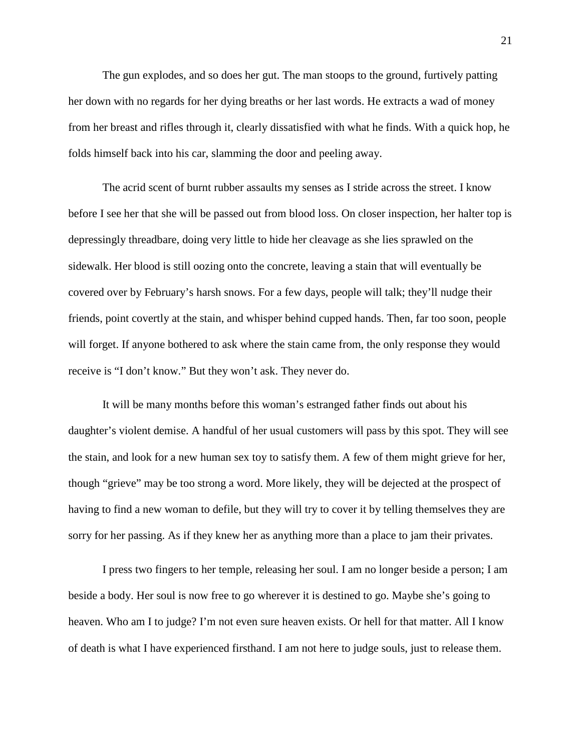The gun explodes, and so does her gut. The man stoops to the ground, furtively patting her down with no regards for her dying breaths or her last words. He extracts a wad of money from her breast and rifles through it, clearly dissatisfied with what he finds. With a quick hop, he folds himself back into his car, slamming the door and peeling away.

The acrid scent of burnt rubber assaults my senses as I stride across the street. I know before I see her that she will be passed out from blood loss. On closer inspection, her halter top is depressingly threadbare, doing very little to hide her cleavage as she lies sprawled on the sidewalk. Her blood is still oozing onto the concrete, leaving a stain that will eventually be covered over by February's harsh snows. For a few days, people will talk; they'll nudge their friends, point covertly at the stain, and whisper behind cupped hands. Then, far too soon, people will forget. If anyone bothered to ask where the stain came from, the only response they would receive is "I don't know." But they won't ask. They never do.

It will be many months before this woman's estranged father finds out about his daughter's violent demise. A handful of her usual customers will pass by this spot. They will see the stain, and look for a new human sex toy to satisfy them. A few of them might grieve for her, though "grieve" may be too strong a word. More likely, they will be dejected at the prospect of having to find a new woman to defile, but they will try to cover it by telling themselves they are sorry for her passing. As if they knew her as anything more than a place to jam their privates.

I press two fingers to her temple, releasing her soul. I am no longer beside a person; I am beside a body. Her soul is now free to go wherever it is destined to go. Maybe she's going to heaven. Who am I to judge? I'm not even sure heaven exists. Or hell for that matter. All I know of death is what I have experienced firsthand. I am not here to judge souls, just to release them.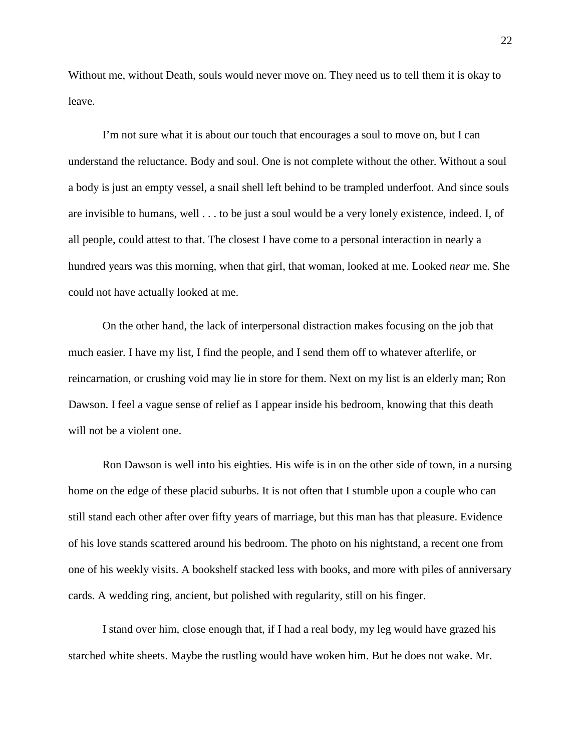Without me, without Death, souls would never move on. They need us to tell them it is okay to leave.

I'm not sure what it is about our touch that encourages a soul to move on, but I can understand the reluctance. Body and soul. One is not complete without the other. Without a soul a body is just an empty vessel, a snail shell left behind to be trampled underfoot. And since souls are invisible to humans, well . . . to be just a soul would be a very lonely existence, indeed. I, of all people, could attest to that. The closest I have come to a personal interaction in nearly a hundred years was this morning, when that girl, that woman, looked at me. Looked *near* me. She could not have actually looked at me.

On the other hand, the lack of interpersonal distraction makes focusing on the job that much easier. I have my list, I find the people, and I send them off to whatever afterlife, or reincarnation, or crushing void may lie in store for them. Next on my list is an elderly man; Ron Dawson. I feel a vague sense of relief as I appear inside his bedroom, knowing that this death will not be a violent one.

Ron Dawson is well into his eighties. His wife is in on the other side of town, in a nursing home on the edge of these placid suburbs. It is not often that I stumble upon a couple who can still stand each other after over fifty years of marriage, but this man has that pleasure. Evidence of his love stands scattered around his bedroom. The photo on his nightstand, a recent one from one of his weekly visits. A bookshelf stacked less with books, and more with piles of anniversary cards. A wedding ring, ancient, but polished with regularity, still on his finger.

I stand over him, close enough that, if I had a real body, my leg would have grazed his starched white sheets. Maybe the rustling would have woken him. But he does not wake. Mr.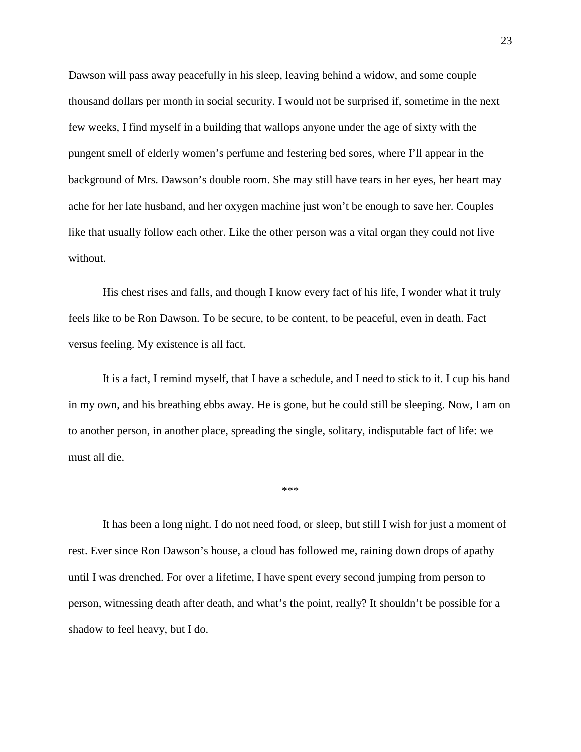Dawson will pass away peacefully in his sleep, leaving behind a widow, and some couple thousand dollars per month in social security. I would not be surprised if, sometime in the next few weeks, I find myself in a building that wallops anyone under the age of sixty with the pungent smell of elderly women's perfume and festering bed sores, where I'll appear in the background of Mrs. Dawson's double room. She may still have tears in her eyes, her heart may ache for her late husband, and her oxygen machine just won't be enough to save her. Couples like that usually follow each other. Like the other person was a vital organ they could not live without.

His chest rises and falls, and though I know every fact of his life, I wonder what it truly feels like to be Ron Dawson. To be secure, to be content, to be peaceful, even in death. Fact versus feeling. My existence is all fact.

It is a fact, I remind myself, that I have a schedule, and I need to stick to it. I cup his hand in my own, and his breathing ebbs away. He is gone, but he could still be sleeping. Now, I am on to another person, in another place, spreading the single, solitary, indisputable fact of life: we must all die.

\*\*\*

It has been a long night. I do not need food, or sleep, but still I wish for just a moment of rest. Ever since Ron Dawson's house, a cloud has followed me, raining down drops of apathy until I was drenched. For over a lifetime, I have spent every second jumping from person to person, witnessing death after death, and what's the point, really? It shouldn't be possible for a shadow to feel heavy, but I do.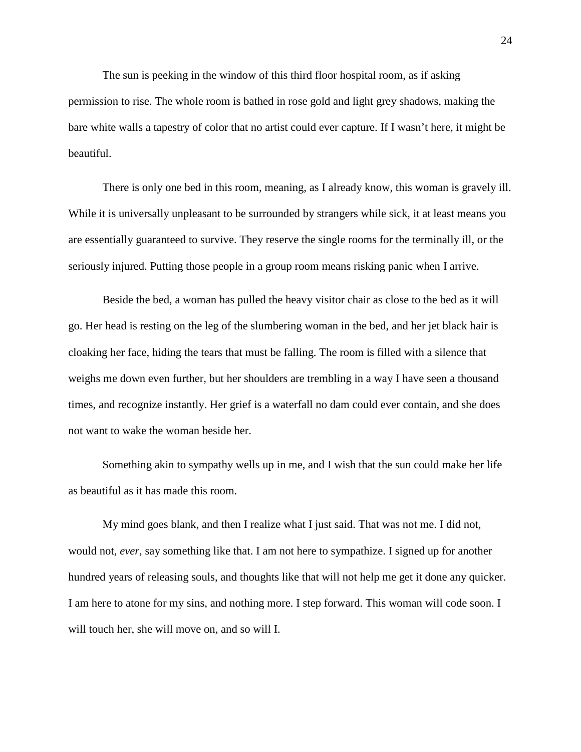The sun is peeking in the window of this third floor hospital room, as if asking permission to rise. The whole room is bathed in rose gold and light grey shadows, making the bare white walls a tapestry of color that no artist could ever capture. If I wasn't here, it might be beautiful.

There is only one bed in this room, meaning, as I already know, this woman is gravely ill. While it is universally unpleasant to be surrounded by strangers while sick, it at least means you are essentially guaranteed to survive. They reserve the single rooms for the terminally ill, or the seriously injured. Putting those people in a group room means risking panic when I arrive.

Beside the bed, a woman has pulled the heavy visitor chair as close to the bed as it will go. Her head is resting on the leg of the slumbering woman in the bed, and her jet black hair is cloaking her face, hiding the tears that must be falling. The room is filled with a silence that weighs me down even further, but her shoulders are trembling in a way I have seen a thousand times, and recognize instantly. Her grief is a waterfall no dam could ever contain, and she does not want to wake the woman beside her.

Something akin to sympathy wells up in me, and I wish that the sun could make her life as beautiful as it has made this room.

My mind goes blank, and then I realize what I just said. That was not me. I did not, would not, *ever*, say something like that. I am not here to sympathize. I signed up for another hundred years of releasing souls, and thoughts like that will not help me get it done any quicker. I am here to atone for my sins, and nothing more. I step forward. This woman will code soon. I will touch her, she will move on, and so will I.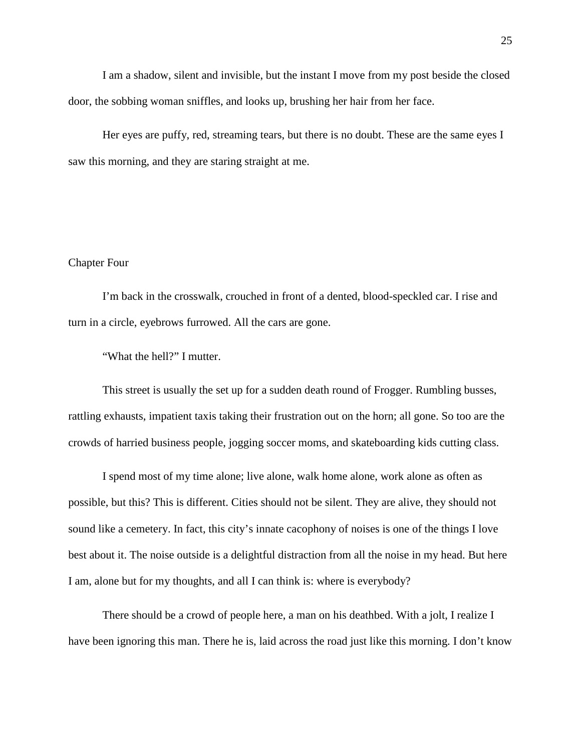I am a shadow, silent and invisible, but the instant I move from my post beside the closed door, the sobbing woman sniffles, and looks up, brushing her hair from her face.

Her eyes are puffy, red, streaming tears, but there is no doubt. These are the same eyes I saw this morning, and they are staring straight at me.

### Chapter Four

I'm back in the crosswalk, crouched in front of a dented, blood-speckled car. I rise and turn in a circle, eyebrows furrowed. All the cars are gone.

"What the hell?" I mutter.

This street is usually the set up for a sudden death round of Frogger. Rumbling busses, rattling exhausts, impatient taxis taking their frustration out on the horn; all gone. So too are the crowds of harried business people, jogging soccer moms, and skateboarding kids cutting class.

I spend most of my time alone; live alone, walk home alone, work alone as often as possible, but this? This is different. Cities should not be silent. They are alive, they should not sound like a cemetery. In fact, this city's innate cacophony of noises is one of the things I love best about it. The noise outside is a delightful distraction from all the noise in my head. But here I am, alone but for my thoughts, and all I can think is: where is everybody?

There should be a crowd of people here, a man on his deathbed. With a jolt, I realize I have been ignoring this man. There he is, laid across the road just like this morning. I don't know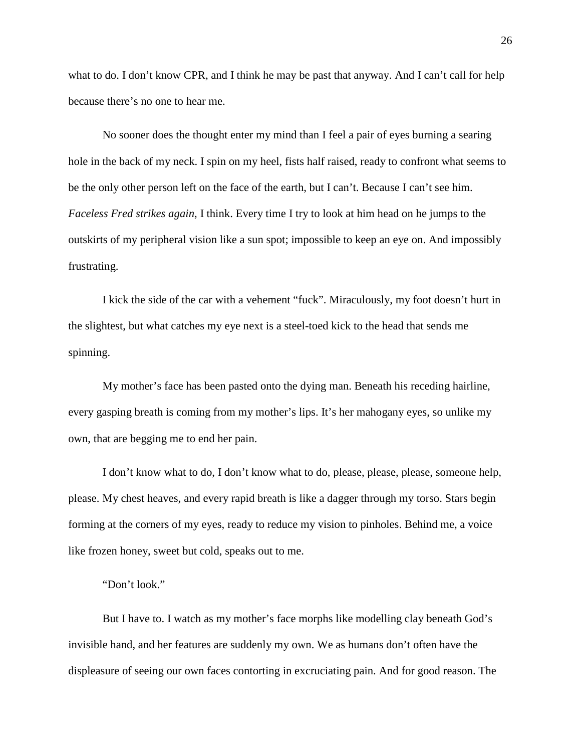what to do. I don't know CPR, and I think he may be past that anyway. And I can't call for help because there's no one to hear me.

No sooner does the thought enter my mind than I feel a pair of eyes burning a searing hole in the back of my neck. I spin on my heel, fists half raised, ready to confront what seems to be the only other person left on the face of the earth, but I can't. Because I can't see him. *Faceless Fred strikes again*, I think. Every time I try to look at him head on he jumps to the outskirts of my peripheral vision like a sun spot; impossible to keep an eye on. And impossibly frustrating.

I kick the side of the car with a vehement "fuck". Miraculously, my foot doesn't hurt in the slightest, but what catches my eye next is a steel-toed kick to the head that sends me spinning.

My mother's face has been pasted onto the dying man. Beneath his receding hairline, every gasping breath is coming from my mother's lips. It's her mahogany eyes, so unlike my own, that are begging me to end her pain.

I don't know what to do, I don't know what to do, please, please, please, someone help, please. My chest heaves, and every rapid breath is like a dagger through my torso. Stars begin forming at the corners of my eyes, ready to reduce my vision to pinholes. Behind me, a voice like frozen honey, sweet but cold, speaks out to me.

#### "Don't look."

But I have to. I watch as my mother's face morphs like modelling clay beneath God's invisible hand, and her features are suddenly my own. We as humans don't often have the displeasure of seeing our own faces contorting in excruciating pain. And for good reason. The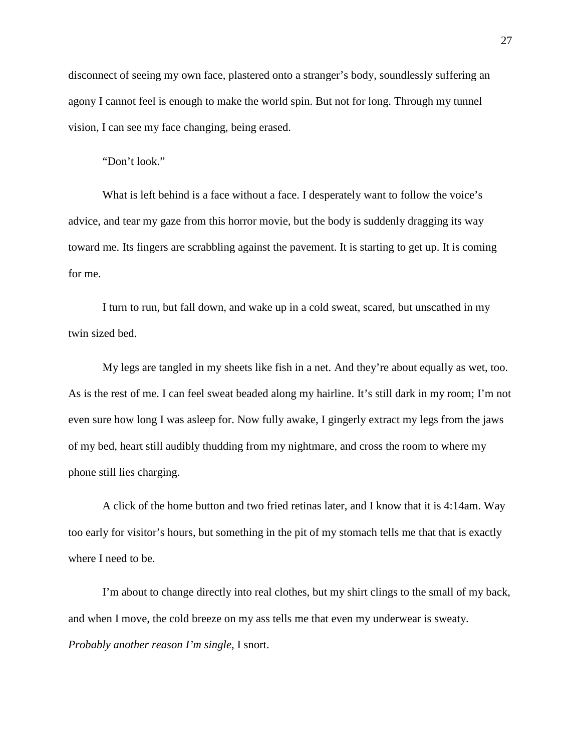disconnect of seeing my own face, plastered onto a stranger's body, soundlessly suffering an agony I cannot feel is enough to make the world spin. But not for long. Through my tunnel vision, I can see my face changing, being erased.

"Don't look."

What is left behind is a face without a face. I desperately want to follow the voice's advice, and tear my gaze from this horror movie, but the body is suddenly dragging its way toward me. Its fingers are scrabbling against the pavement. It is starting to get up. It is coming for me.

I turn to run, but fall down, and wake up in a cold sweat, scared, but unscathed in my twin sized bed.

My legs are tangled in my sheets like fish in a net. And they're about equally as wet, too. As is the rest of me. I can feel sweat beaded along my hairline. It's still dark in my room; I'm not even sure how long I was asleep for. Now fully awake, I gingerly extract my legs from the jaws of my bed, heart still audibly thudding from my nightmare, and cross the room to where my phone still lies charging.

A click of the home button and two fried retinas later, and I know that it is 4:14am. Way too early for visitor's hours, but something in the pit of my stomach tells me that that is exactly where I need to be.

I'm about to change directly into real clothes, but my shirt clings to the small of my back, and when I move, the cold breeze on my ass tells me that even my underwear is sweaty. *Probably another reason I'm single*, I snort.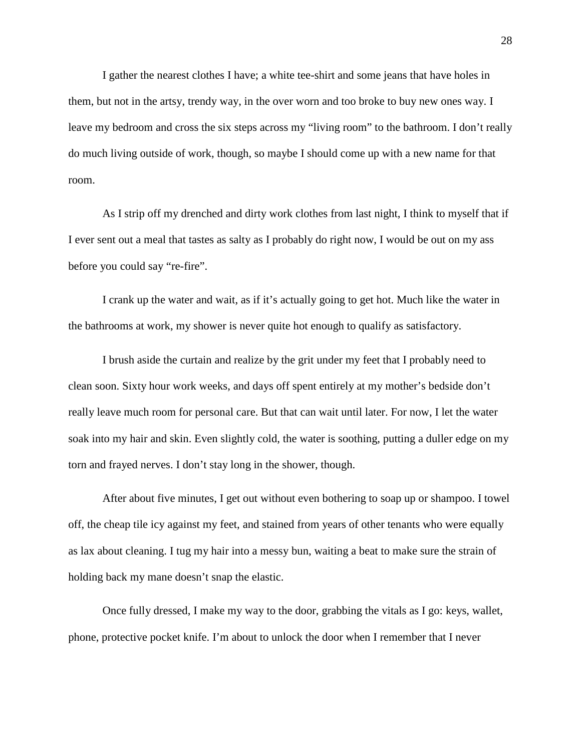I gather the nearest clothes I have; a white tee-shirt and some jeans that have holes in them, but not in the artsy, trendy way, in the over worn and too broke to buy new ones way. I leave my bedroom and cross the six steps across my "living room" to the bathroom. I don't really do much living outside of work, though, so maybe I should come up with a new name for that room.

As I strip off my drenched and dirty work clothes from last night, I think to myself that if I ever sent out a meal that tastes as salty as I probably do right now, I would be out on my ass before you could say "re-fire".

I crank up the water and wait, as if it's actually going to get hot. Much like the water in the bathrooms at work, my shower is never quite hot enough to qualify as satisfactory.

I brush aside the curtain and realize by the grit under my feet that I probably need to clean soon. Sixty hour work weeks, and days off spent entirely at my mother's bedside don't really leave much room for personal care. But that can wait until later. For now, I let the water soak into my hair and skin. Even slightly cold, the water is soothing, putting a duller edge on my torn and frayed nerves. I don't stay long in the shower, though.

After about five minutes, I get out without even bothering to soap up or shampoo. I towel off, the cheap tile icy against my feet, and stained from years of other tenants who were equally as lax about cleaning. I tug my hair into a messy bun, waiting a beat to make sure the strain of holding back my mane doesn't snap the elastic.

Once fully dressed, I make my way to the door, grabbing the vitals as I go: keys, wallet, phone, protective pocket knife. I'm about to unlock the door when I remember that I never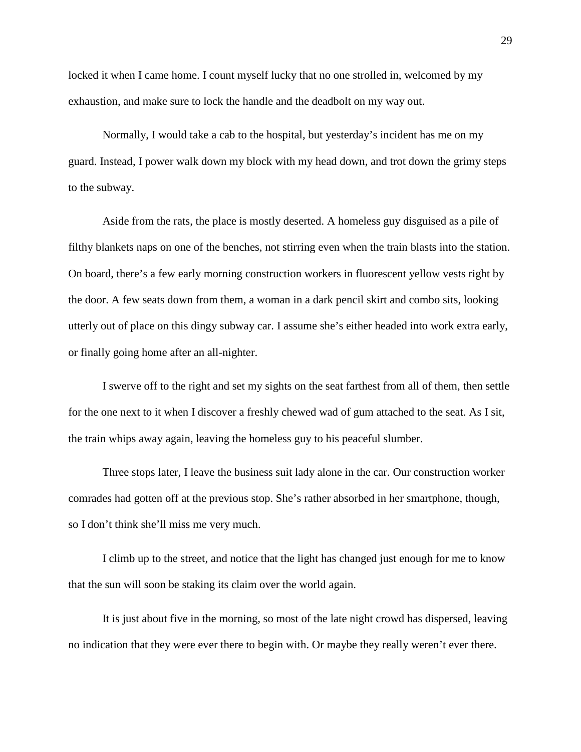locked it when I came home. I count myself lucky that no one strolled in, welcomed by my exhaustion, and make sure to lock the handle and the deadbolt on my way out.

Normally, I would take a cab to the hospital, but yesterday's incident has me on my guard. Instead, I power walk down my block with my head down, and trot down the grimy steps to the subway.

Aside from the rats, the place is mostly deserted. A homeless guy disguised as a pile of filthy blankets naps on one of the benches, not stirring even when the train blasts into the station. On board, there's a few early morning construction workers in fluorescent yellow vests right by the door. A few seats down from them, a woman in a dark pencil skirt and combo sits, looking utterly out of place on this dingy subway car. I assume she's either headed into work extra early, or finally going home after an all-nighter.

I swerve off to the right and set my sights on the seat farthest from all of them, then settle for the one next to it when I discover a freshly chewed wad of gum attached to the seat. As I sit, the train whips away again, leaving the homeless guy to his peaceful slumber.

Three stops later, I leave the business suit lady alone in the car. Our construction worker comrades had gotten off at the previous stop. She's rather absorbed in her smartphone, though, so I don't think she'll miss me very much.

I climb up to the street, and notice that the light has changed just enough for me to know that the sun will soon be staking its claim over the world again.

It is just about five in the morning, so most of the late night crowd has dispersed, leaving no indication that they were ever there to begin with. Or maybe they really weren't ever there.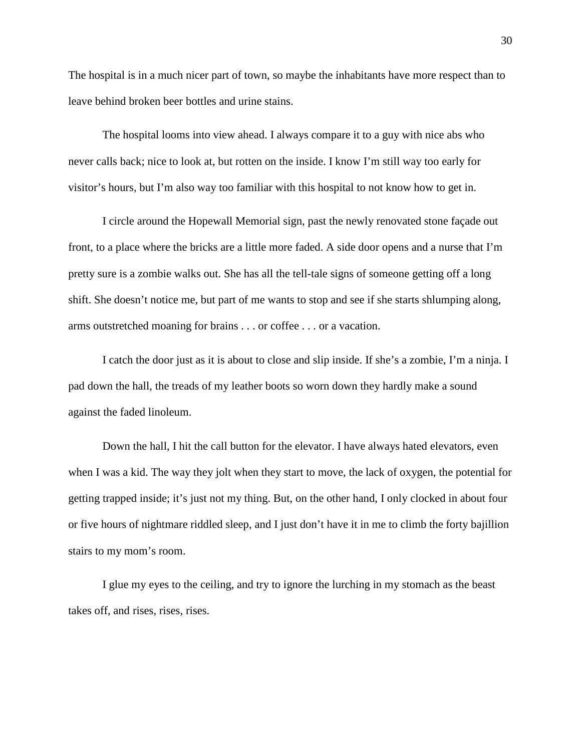The hospital is in a much nicer part of town, so maybe the inhabitants have more respect than to leave behind broken beer bottles and urine stains.

The hospital looms into view ahead. I always compare it to a guy with nice abs who never calls back; nice to look at, but rotten on the inside. I know I'm still way too early for visitor's hours, but I'm also way too familiar with this hospital to not know how to get in.

I circle around the Hopewall Memorial sign, past the newly renovated stone façade out front, to a place where the bricks are a little more faded. A side door opens and a nurse that I'm pretty sure is a zombie walks out. She has all the tell-tale signs of someone getting off a long shift. She doesn't notice me, but part of me wants to stop and see if she starts shlumping along, arms outstretched moaning for brains . . . or coffee . . . or a vacation.

I catch the door just as it is about to close and slip inside. If she's a zombie, I'm a ninja. I pad down the hall, the treads of my leather boots so worn down they hardly make a sound against the faded linoleum.

Down the hall, I hit the call button for the elevator. I have always hated elevators, even when I was a kid. The way they jolt when they start to move, the lack of oxygen, the potential for getting trapped inside; it's just not my thing. But, on the other hand, I only clocked in about four or five hours of nightmare riddled sleep, and I just don't have it in me to climb the forty bajillion stairs to my mom's room.

I glue my eyes to the ceiling, and try to ignore the lurching in my stomach as the beast takes off, and rises, rises, rises.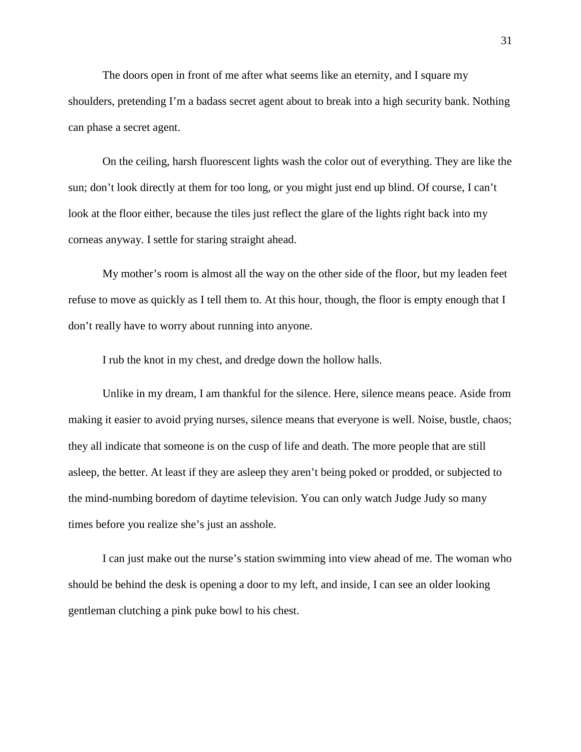The doors open in front of me after what seems like an eternity, and I square my shoulders, pretending I'm a badass secret agent about to break into a high security bank. Nothing can phase a secret agent.

On the ceiling, harsh fluorescent lights wash the color out of everything. They are like the sun; don't look directly at them for too long, or you might just end up blind. Of course, I can't look at the floor either, because the tiles just reflect the glare of the lights right back into my corneas anyway. I settle for staring straight ahead.

My mother's room is almost all the way on the other side of the floor, but my leaden feet refuse to move as quickly as I tell them to. At this hour, though, the floor is empty enough that I don't really have to worry about running into anyone.

I rub the knot in my chest, and dredge down the hollow halls.

Unlike in my dream, I am thankful for the silence. Here, silence means peace. Aside from making it easier to avoid prying nurses, silence means that everyone is well. Noise, bustle, chaos; they all indicate that someone is on the cusp of life and death. The more people that are still asleep, the better. At least if they are asleep they aren't being poked or prodded, or subjected to the mind-numbing boredom of daytime television. You can only watch Judge Judy so many times before you realize she's just an asshole.

I can just make out the nurse's station swimming into view ahead of me. The woman who should be behind the desk is opening a door to my left, and inside, I can see an older looking gentleman clutching a pink puke bowl to his chest.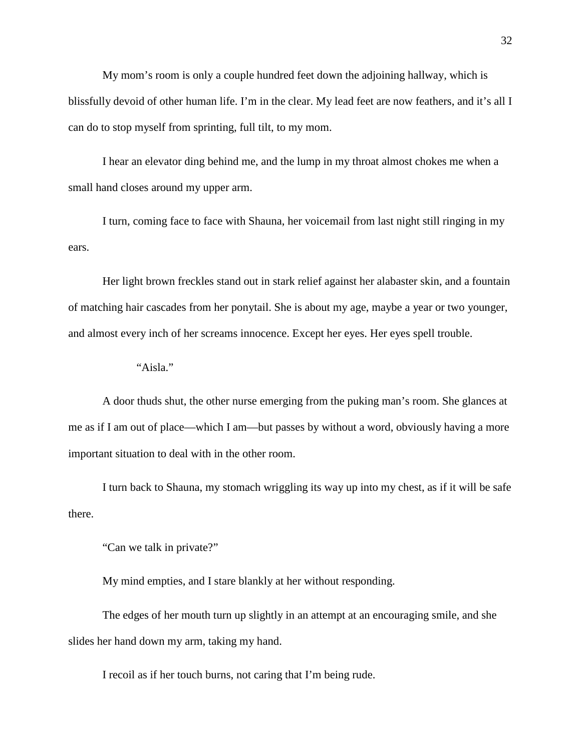My mom's room is only a couple hundred feet down the adjoining hallway, which is blissfully devoid of other human life. I'm in the clear. My lead feet are now feathers, and it's all I can do to stop myself from sprinting, full tilt, to my mom.

I hear an elevator ding behind me, and the lump in my throat almost chokes me when a small hand closes around my upper arm.

I turn, coming face to face with Shauna, her voicemail from last night still ringing in my ears.

Her light brown freckles stand out in stark relief against her alabaster skin, and a fountain of matching hair cascades from her ponytail. She is about my age, maybe a year or two younger, and almost every inch of her screams innocence. Except her eyes. Her eyes spell trouble.

"Aisla."

A door thuds shut, the other nurse emerging from the puking man's room. She glances at me as if I am out of place—which I am—but passes by without a word, obviously having a more important situation to deal with in the other room.

I turn back to Shauna, my stomach wriggling its way up into my chest, as if it will be safe there.

"Can we talk in private?"

My mind empties, and I stare blankly at her without responding.

The edges of her mouth turn up slightly in an attempt at an encouraging smile, and she slides her hand down my arm, taking my hand.

I recoil as if her touch burns, not caring that I'm being rude.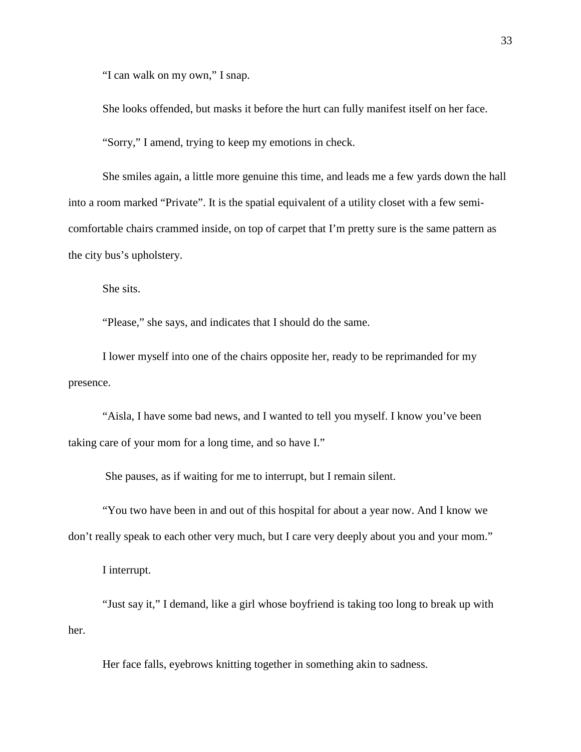"I can walk on my own," I snap.

She looks offended, but masks it before the hurt can fully manifest itself on her face.

"Sorry," I amend, trying to keep my emotions in check.

She smiles again, a little more genuine this time, and leads me a few yards down the hall into a room marked "Private". It is the spatial equivalent of a utility closet with a few semicomfortable chairs crammed inside, on top of carpet that I'm pretty sure is the same pattern as the city bus's upholstery.

She sits.

"Please," she says, and indicates that I should do the same.

I lower myself into one of the chairs opposite her, ready to be reprimanded for my presence.

"Aisla, I have some bad news, and I wanted to tell you myself. I know you've been taking care of your mom for a long time, and so have I."

She pauses, as if waiting for me to interrupt, but I remain silent.

"You two have been in and out of this hospital for about a year now. And I know we don't really speak to each other very much, but I care very deeply about you and your mom."

I interrupt.

"Just say it," I demand, like a girl whose boyfriend is taking too long to break up with her.

Her face falls, eyebrows knitting together in something akin to sadness.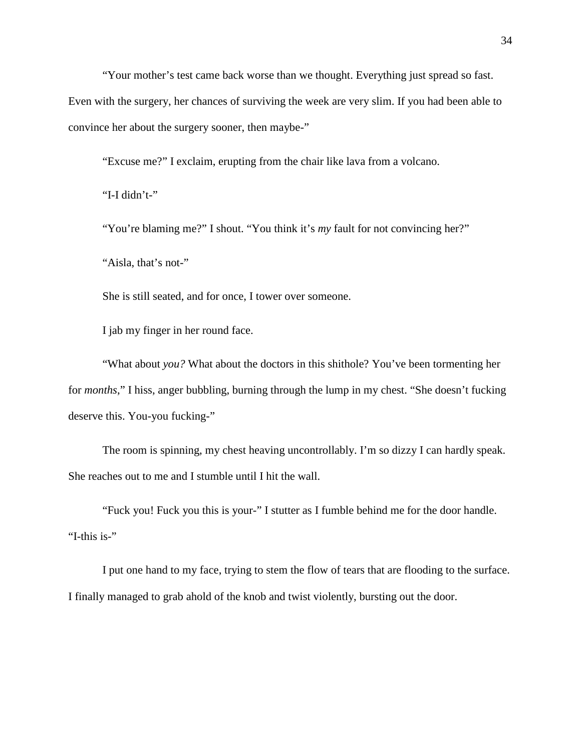"Your mother's test came back worse than we thought. Everything just spread so fast.

Even with the surgery, her chances of surviving the week are very slim. If you had been able to convince her about the surgery sooner, then maybe-"

"Excuse me?" I exclaim, erupting from the chair like lava from a volcano.

"I-I didn't-"

"You're blaming me?" I shout. "You think it's *my* fault for not convincing her?"

"Aisla, that's not-"

She is still seated, and for once, I tower over someone.

I jab my finger in her round face.

"What about *you?* What about the doctors in this shithole? You've been tormenting her for *months*," I hiss, anger bubbling, burning through the lump in my chest. "She doesn't fucking deserve this. You-you fucking-"

The room is spinning, my chest heaving uncontrollably. I'm so dizzy I can hardly speak. She reaches out to me and I stumble until I hit the wall.

"Fuck you! Fuck you this is your-" I stutter as I fumble behind me for the door handle. "I-this is-"

I put one hand to my face, trying to stem the flow of tears that are flooding to the surface. I finally managed to grab ahold of the knob and twist violently, bursting out the door.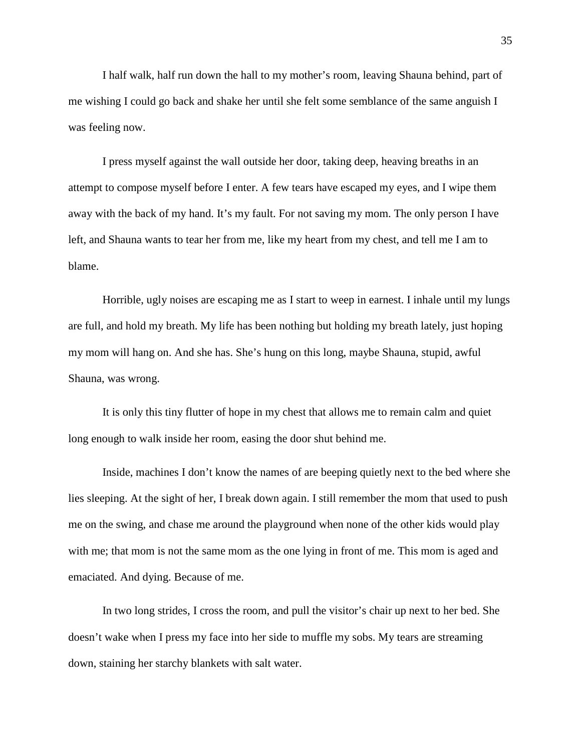I half walk, half run down the hall to my mother's room, leaving Shauna behind, part of me wishing I could go back and shake her until she felt some semblance of the same anguish I was feeling now.

I press myself against the wall outside her door, taking deep, heaving breaths in an attempt to compose myself before I enter. A few tears have escaped my eyes, and I wipe them away with the back of my hand. It's my fault. For not saving my mom. The only person I have left, and Shauna wants to tear her from me, like my heart from my chest, and tell me I am to blame.

Horrible, ugly noises are escaping me as I start to weep in earnest. I inhale until my lungs are full, and hold my breath. My life has been nothing but holding my breath lately, just hoping my mom will hang on. And she has. She's hung on this long, maybe Shauna, stupid, awful Shauna, was wrong.

It is only this tiny flutter of hope in my chest that allows me to remain calm and quiet long enough to walk inside her room, easing the door shut behind me.

Inside, machines I don't know the names of are beeping quietly next to the bed where she lies sleeping. At the sight of her, I break down again. I still remember the mom that used to push me on the swing, and chase me around the playground when none of the other kids would play with me; that mom is not the same mom as the one lying in front of me. This mom is aged and emaciated. And dying. Because of me.

In two long strides, I cross the room, and pull the visitor's chair up next to her bed. She doesn't wake when I press my face into her side to muffle my sobs. My tears are streaming down, staining her starchy blankets with salt water.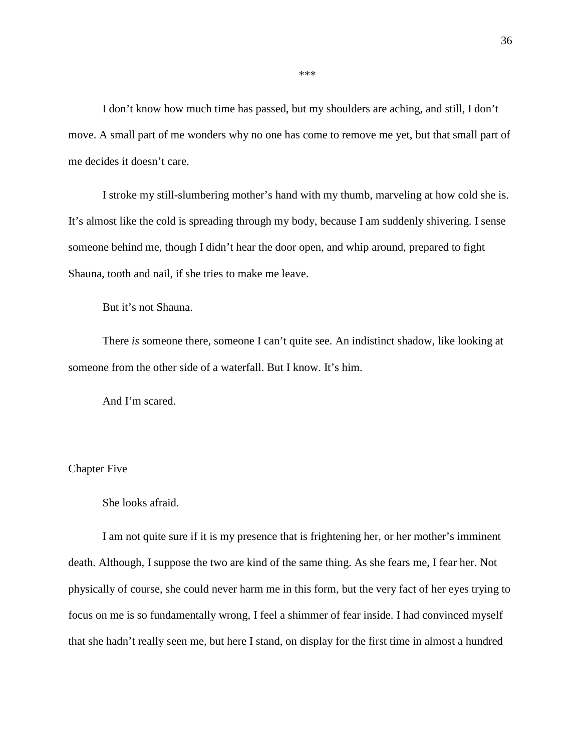I don't know how much time has passed, but my shoulders are aching, and still, I don't move. A small part of me wonders why no one has come to remove me yet, but that small part of me decides it doesn't care.

I stroke my still-slumbering mother's hand with my thumb, marveling at how cold she is. It's almost like the cold is spreading through my body, because I am suddenly shivering. I sense someone behind me, though I didn't hear the door open, and whip around, prepared to fight Shauna, tooth and nail, if she tries to make me leave.

But it's not Shauna.

There *is* someone there, someone I can't quite see. An indistinct shadow, like looking at someone from the other side of a waterfall. But I know. It's him.

And I'm scared.

### Chapter Five

She looks afraid.

I am not quite sure if it is my presence that is frightening her, or her mother's imminent death. Although, I suppose the two are kind of the same thing. As she fears me, I fear her. Not physically of course, she could never harm me in this form, but the very fact of her eyes trying to focus on me is so fundamentally wrong, I feel a shimmer of fear inside. I had convinced myself that she hadn't really seen me, but here I stand, on display for the first time in almost a hundred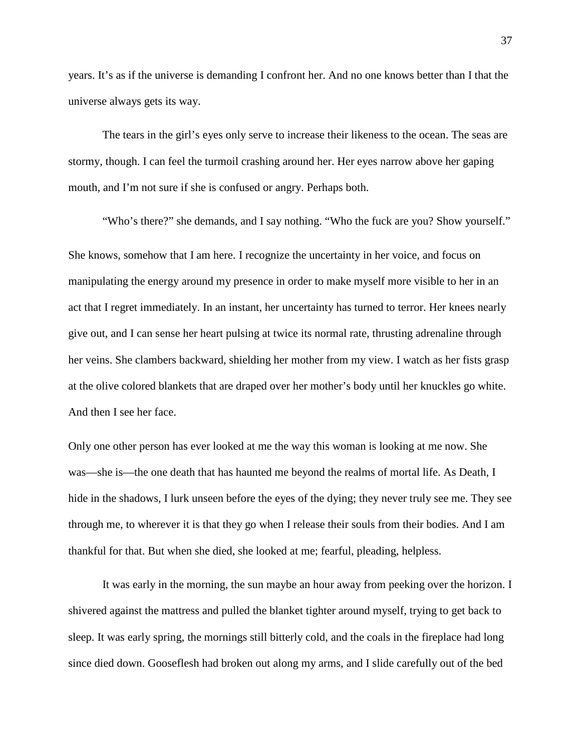years. It's as if the universe is demanding I confront her. And no one knows better than I that the universe always gets its way.

The tears in the girl's eyes only serve to increase their likeness to the ocean. The seas are stormy, though. I can feel the turmoil crashing around her. Her eyes narrow above her gaping mouth, and I'm not sure if she is confused or angry. Perhaps both.

"Who's there?" she demands, and I say nothing. "Who the fuck are you? Show yourself." She knows, somehow that I am here. I recognize the uncertainty in her voice, and focus on manipulating the energy around my presence in order to make myself more visible to her in an act that I regret immediately. In an instant, her uncertainty has turned to terror. Her knees nearly give out, and I can sense her heart pulsing at twice its normal rate, thrusting adrenaline through her veins. She clambers backward, shielding her mother from my view. I watch as her fists grasp at the olive colored blankets that are draped over her mother's body until her knuckles go white. And then I see her face.

Only one other person has ever looked at me the way this woman is looking at me now. She was—she is—the one death that has haunted me beyond the realms of mortal life. As Death, I hide in the shadows, I lurk unseen before the eyes of the dying; they never truly see me. They see through me, to wherever it is that they go when I release their souls from their bodies. And I am thankful for that. But when she died, she looked at me; fearful, pleading, helpless.

It was early in the morning, the sun maybe an hour away from peeking over the horizon. I shivered against the mattress and pulled the blanket tighter around myself, trying to get back to sleep. It was early spring, the mornings still bitterly cold, and the coals in the fireplace had long since died down. Gooseflesh had broken out along my arms, and I slide carefully out of the bed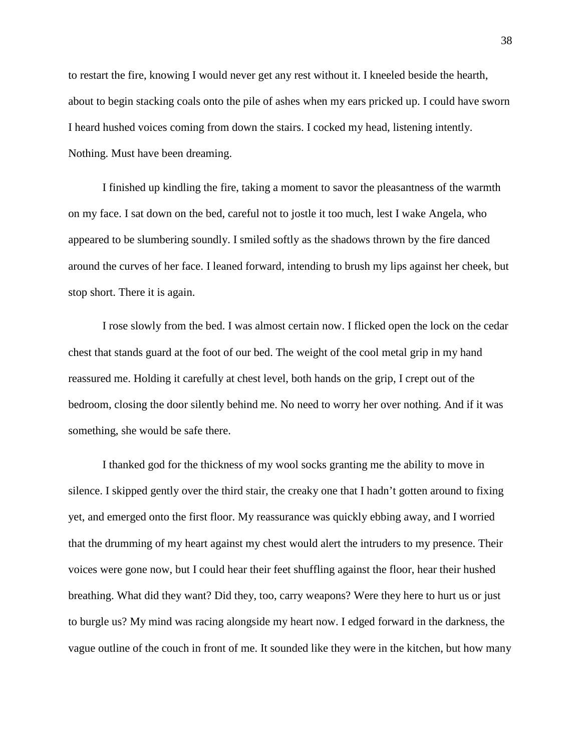to restart the fire, knowing I would never get any rest without it. I kneeled beside the hearth, about to begin stacking coals onto the pile of ashes when my ears pricked up. I could have sworn I heard hushed voices coming from down the stairs. I cocked my head, listening intently. Nothing. Must have been dreaming.

I finished up kindling the fire, taking a moment to savor the pleasantness of the warmth on my face. I sat down on the bed, careful not to jostle it too much, lest I wake Angela, who appeared to be slumbering soundly. I smiled softly as the shadows thrown by the fire danced around the curves of her face. I leaned forward, intending to brush my lips against her cheek, but stop short. There it is again.

I rose slowly from the bed. I was almost certain now. I flicked open the lock on the cedar chest that stands guard at the foot of our bed. The weight of the cool metal grip in my hand reassured me. Holding it carefully at chest level, both hands on the grip, I crept out of the bedroom, closing the door silently behind me. No need to worry her over nothing. And if it was something, she would be safe there.

I thanked god for the thickness of my wool socks granting me the ability to move in silence. I skipped gently over the third stair, the creaky one that I hadn't gotten around to fixing yet, and emerged onto the first floor. My reassurance was quickly ebbing away, and I worried that the drumming of my heart against my chest would alert the intruders to my presence. Their voices were gone now, but I could hear their feet shuffling against the floor, hear their hushed breathing. What did they want? Did they, too, carry weapons? Were they here to hurt us or just to burgle us? My mind was racing alongside my heart now. I edged forward in the darkness, the vague outline of the couch in front of me. It sounded like they were in the kitchen, but how many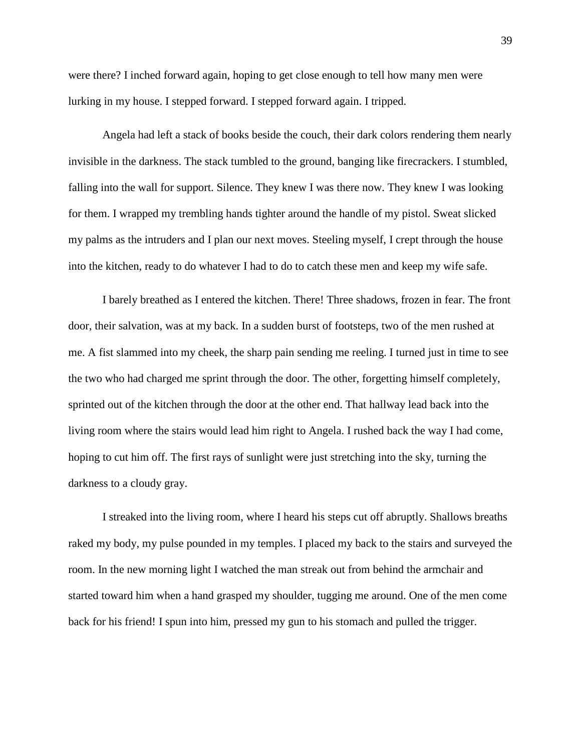were there? I inched forward again, hoping to get close enough to tell how many men were lurking in my house. I stepped forward. I stepped forward again. I tripped.

Angela had left a stack of books beside the couch, their dark colors rendering them nearly invisible in the darkness. The stack tumbled to the ground, banging like firecrackers. I stumbled, falling into the wall for support. Silence. They knew I was there now. They knew I was looking for them. I wrapped my trembling hands tighter around the handle of my pistol. Sweat slicked my palms as the intruders and I plan our next moves. Steeling myself, I crept through the house into the kitchen, ready to do whatever I had to do to catch these men and keep my wife safe.

I barely breathed as I entered the kitchen. There! Three shadows, frozen in fear. The front door, their salvation, was at my back. In a sudden burst of footsteps, two of the men rushed at me. A fist slammed into my cheek, the sharp pain sending me reeling. I turned just in time to see the two who had charged me sprint through the door. The other, forgetting himself completely, sprinted out of the kitchen through the door at the other end. That hallway lead back into the living room where the stairs would lead him right to Angela. I rushed back the way I had come, hoping to cut him off. The first rays of sunlight were just stretching into the sky, turning the darkness to a cloudy gray.

I streaked into the living room, where I heard his steps cut off abruptly. Shallows breaths raked my body, my pulse pounded in my temples. I placed my back to the stairs and surveyed the room. In the new morning light I watched the man streak out from behind the armchair and started toward him when a hand grasped my shoulder, tugging me around. One of the men come back for his friend! I spun into him, pressed my gun to his stomach and pulled the trigger.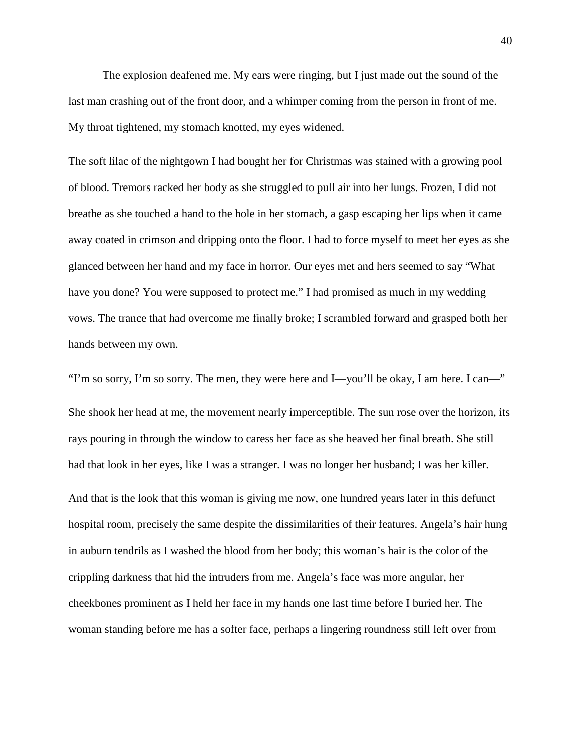The explosion deafened me. My ears were ringing, but I just made out the sound of the last man crashing out of the front door, and a whimper coming from the person in front of me. My throat tightened, my stomach knotted, my eyes widened.

The soft lilac of the nightgown I had bought her for Christmas was stained with a growing pool of blood. Tremors racked her body as she struggled to pull air into her lungs. Frozen, I did not breathe as she touched a hand to the hole in her stomach, a gasp escaping her lips when it came away coated in crimson and dripping onto the floor. I had to force myself to meet her eyes as she glanced between her hand and my face in horror. Our eyes met and hers seemed to say "What have you done? You were supposed to protect me." I had promised as much in my wedding vows. The trance that had overcome me finally broke; I scrambled forward and grasped both her hands between my own.

"I'm so sorry, I'm so sorry. The men, they were here and I—you'll be okay, I am here. I can—" She shook her head at me, the movement nearly imperceptible. The sun rose over the horizon, its rays pouring in through the window to caress her face as she heaved her final breath. She still had that look in her eyes, like I was a stranger. I was no longer her husband; I was her killer. And that is the look that this woman is giving me now, one hundred years later in this defunct hospital room, precisely the same despite the dissimilarities of their features. Angela's hair hung in auburn tendrils as I washed the blood from her body; this woman's hair is the color of the crippling darkness that hid the intruders from me. Angela's face was more angular, her cheekbones prominent as I held her face in my hands one last time before I buried her. The woman standing before me has a softer face, perhaps a lingering roundness still left over from

40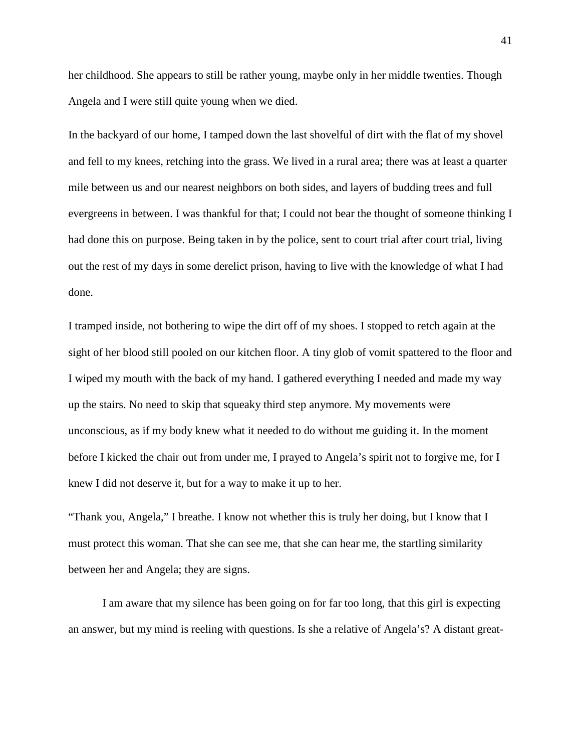her childhood. She appears to still be rather young, maybe only in her middle twenties. Though Angela and I were still quite young when we died.

In the backyard of our home, I tamped down the last shovelful of dirt with the flat of my shovel and fell to my knees, retching into the grass. We lived in a rural area; there was at least a quarter mile between us and our nearest neighbors on both sides, and layers of budding trees and full evergreens in between. I was thankful for that; I could not bear the thought of someone thinking I had done this on purpose. Being taken in by the police, sent to court trial after court trial, living out the rest of my days in some derelict prison, having to live with the knowledge of what I had done.

I tramped inside, not bothering to wipe the dirt off of my shoes. I stopped to retch again at the sight of her blood still pooled on our kitchen floor. A tiny glob of vomit spattered to the floor and I wiped my mouth with the back of my hand. I gathered everything I needed and made my way up the stairs. No need to skip that squeaky third step anymore. My movements were unconscious, as if my body knew what it needed to do without me guiding it. In the moment before I kicked the chair out from under me, I prayed to Angela's spirit not to forgive me, for I knew I did not deserve it, but for a way to make it up to her.

"Thank you, Angela," I breathe. I know not whether this is truly her doing, but I know that I must protect this woman. That she can see me, that she can hear me, the startling similarity between her and Angela; they are signs.

I am aware that my silence has been going on for far too long, that this girl is expecting an answer, but my mind is reeling with questions. Is she a relative of Angela's? A distant great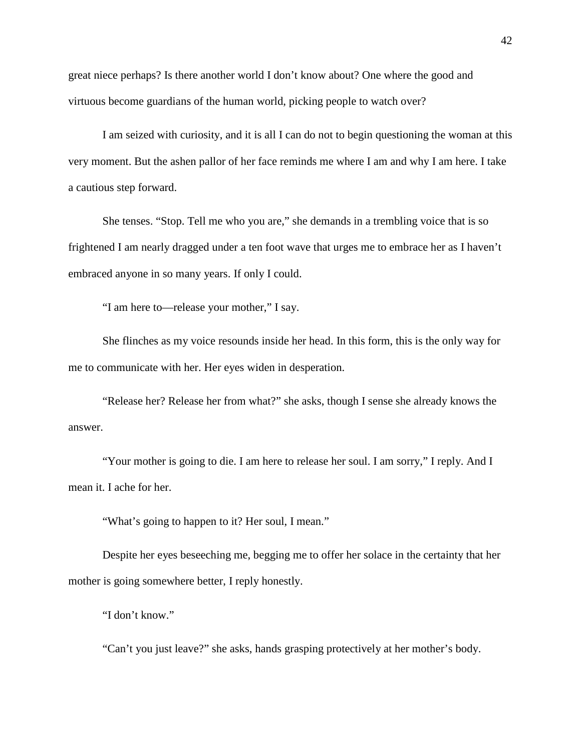great niece perhaps? Is there another world I don't know about? One where the good and virtuous become guardians of the human world, picking people to watch over?

I am seized with curiosity, and it is all I can do not to begin questioning the woman at this very moment. But the ashen pallor of her face reminds me where I am and why I am here. I take a cautious step forward.

She tenses. "Stop. Tell me who you are," she demands in a trembling voice that is so frightened I am nearly dragged under a ten foot wave that urges me to embrace her as I haven't embraced anyone in so many years. If only I could.

"I am here to—release your mother," I say.

She flinches as my voice resounds inside her head. In this form, this is the only way for me to communicate with her. Her eyes widen in desperation.

"Release her? Release her from what?" she asks, though I sense she already knows the answer.

"Your mother is going to die. I am here to release her soul. I am sorry," I reply. And I mean it. I ache for her.

"What's going to happen to it? Her soul, I mean."

Despite her eyes beseeching me, begging me to offer her solace in the certainty that her mother is going somewhere better, I reply honestly.

"I don't know."

"Can't you just leave?" she asks, hands grasping protectively at her mother's body.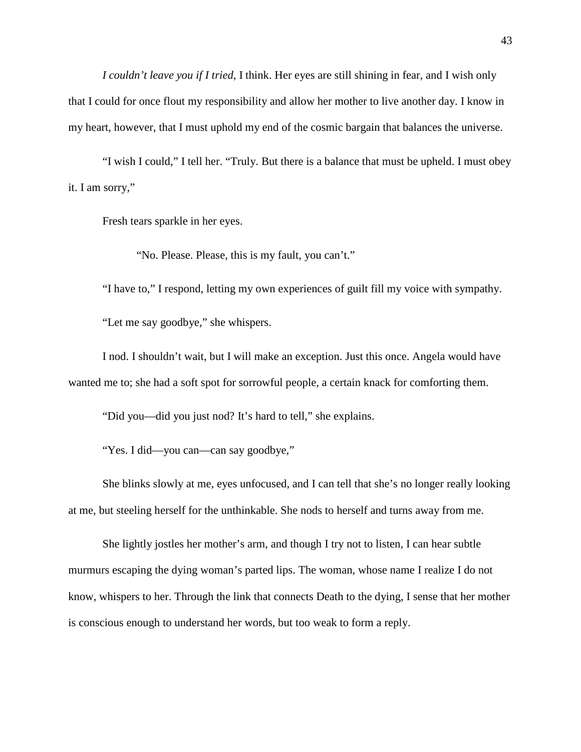*I couldn't leave you if I tried*, I think. Her eyes are still shining in fear, and I wish only that I could for once flout my responsibility and allow her mother to live another day. I know in my heart, however, that I must uphold my end of the cosmic bargain that balances the universe.

"I wish I could," I tell her. "Truly. But there is a balance that must be upheld. I must obey it. I am sorry,"

Fresh tears sparkle in her eyes.

"No. Please. Please, this is my fault, you can't."

"I have to," I respond, letting my own experiences of guilt fill my voice with sympathy.

"Let me say goodbye," she whispers.

I nod. I shouldn't wait, but I will make an exception. Just this once. Angela would have wanted me to; she had a soft spot for sorrowful people, a certain knack for comforting them.

"Did you—did you just nod? It's hard to tell," she explains.

"Yes. I did—you can—can say goodbye,"

She blinks slowly at me, eyes unfocused, and I can tell that she's no longer really looking at me, but steeling herself for the unthinkable. She nods to herself and turns away from me.

She lightly jostles her mother's arm, and though I try not to listen, I can hear subtle murmurs escaping the dying woman's parted lips. The woman, whose name I realize I do not know, whispers to her. Through the link that connects Death to the dying, I sense that her mother is conscious enough to understand her words, but too weak to form a reply.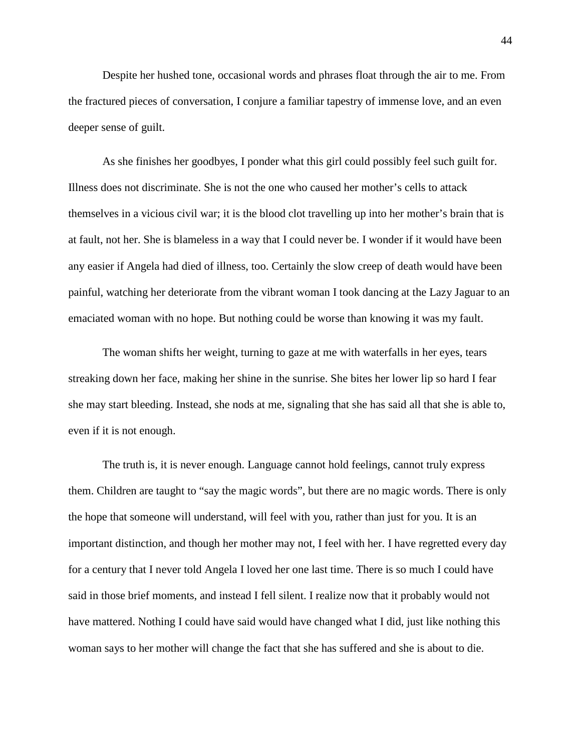Despite her hushed tone, occasional words and phrases float through the air to me. From the fractured pieces of conversation, I conjure a familiar tapestry of immense love, and an even deeper sense of guilt.

As she finishes her goodbyes, I ponder what this girl could possibly feel such guilt for. Illness does not discriminate. She is not the one who caused her mother's cells to attack themselves in a vicious civil war; it is the blood clot travelling up into her mother's brain that is at fault, not her. She is blameless in a way that I could never be. I wonder if it would have been any easier if Angela had died of illness, too. Certainly the slow creep of death would have been painful, watching her deteriorate from the vibrant woman I took dancing at the Lazy Jaguar to an emaciated woman with no hope. But nothing could be worse than knowing it was my fault.

The woman shifts her weight, turning to gaze at me with waterfalls in her eyes, tears streaking down her face, making her shine in the sunrise. She bites her lower lip so hard I fear she may start bleeding. Instead, she nods at me, signaling that she has said all that she is able to, even if it is not enough.

The truth is, it is never enough. Language cannot hold feelings, cannot truly express them. Children are taught to "say the magic words", but there are no magic words. There is only the hope that someone will understand, will feel with you, rather than just for you. It is an important distinction, and though her mother may not, I feel with her. I have regretted every day for a century that I never told Angela I loved her one last time. There is so much I could have said in those brief moments, and instead I fell silent. I realize now that it probably would not have mattered. Nothing I could have said would have changed what I did, just like nothing this woman says to her mother will change the fact that she has suffered and she is about to die.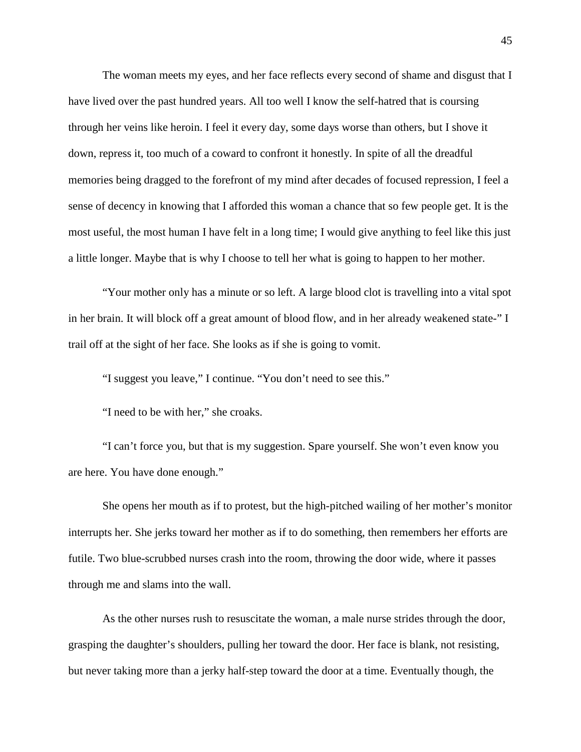The woman meets my eyes, and her face reflects every second of shame and disgust that I have lived over the past hundred years. All too well I know the self-hatred that is coursing through her veins like heroin. I feel it every day, some days worse than others, but I shove it down, repress it, too much of a coward to confront it honestly. In spite of all the dreadful memories being dragged to the forefront of my mind after decades of focused repression, I feel a sense of decency in knowing that I afforded this woman a chance that so few people get. It is the most useful, the most human I have felt in a long time; I would give anything to feel like this just a little longer. Maybe that is why I choose to tell her what is going to happen to her mother.

"Your mother only has a minute or so left. A large blood clot is travelling into a vital spot in her brain. It will block off a great amount of blood flow, and in her already weakened state-" I trail off at the sight of her face. She looks as if she is going to vomit.

"I suggest you leave," I continue. "You don't need to see this."

"I need to be with her," she croaks.

"I can't force you, but that is my suggestion. Spare yourself. She won't even know you are here. You have done enough."

She opens her mouth as if to protest, but the high-pitched wailing of her mother's monitor interrupts her. She jerks toward her mother as if to do something, then remembers her efforts are futile. Two blue-scrubbed nurses crash into the room, throwing the door wide, where it passes through me and slams into the wall.

As the other nurses rush to resuscitate the woman, a male nurse strides through the door, grasping the daughter's shoulders, pulling her toward the door. Her face is blank, not resisting, but never taking more than a jerky half-step toward the door at a time. Eventually though, the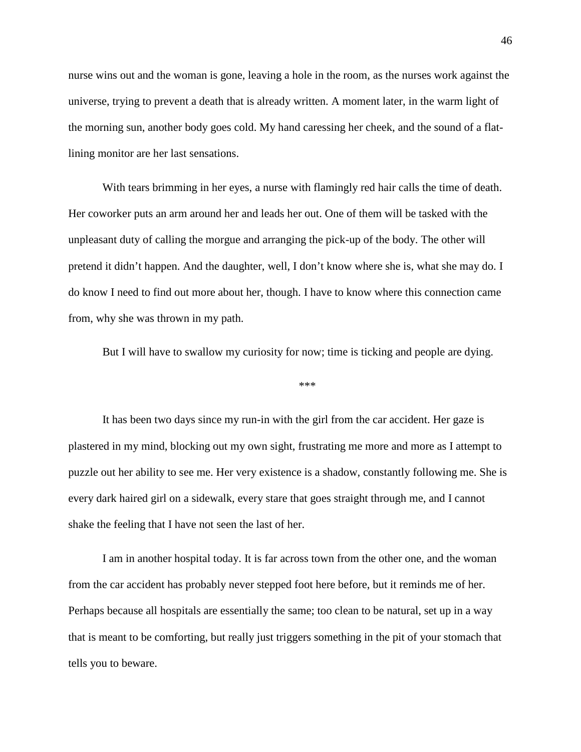nurse wins out and the woman is gone, leaving a hole in the room, as the nurses work against the universe, trying to prevent a death that is already written. A moment later, in the warm light of the morning sun, another body goes cold. My hand caressing her cheek, and the sound of a flatlining monitor are her last sensations.

With tears brimming in her eyes, a nurse with flamingly red hair calls the time of death. Her coworker puts an arm around her and leads her out. One of them will be tasked with the unpleasant duty of calling the morgue and arranging the pick-up of the body. The other will pretend it didn't happen. And the daughter, well, I don't know where she is, what she may do. I do know I need to find out more about her, though. I have to know where this connection came from, why she was thrown in my path.

But I will have to swallow my curiosity for now; time is ticking and people are dying.

\*\*\*

It has been two days since my run-in with the girl from the car accident. Her gaze is plastered in my mind, blocking out my own sight, frustrating me more and more as I attempt to puzzle out her ability to see me. Her very existence is a shadow, constantly following me. She is every dark haired girl on a sidewalk, every stare that goes straight through me, and I cannot shake the feeling that I have not seen the last of her.

I am in another hospital today. It is far across town from the other one, and the woman from the car accident has probably never stepped foot here before, but it reminds me of her. Perhaps because all hospitals are essentially the same; too clean to be natural, set up in a way that is meant to be comforting, but really just triggers something in the pit of your stomach that tells you to beware.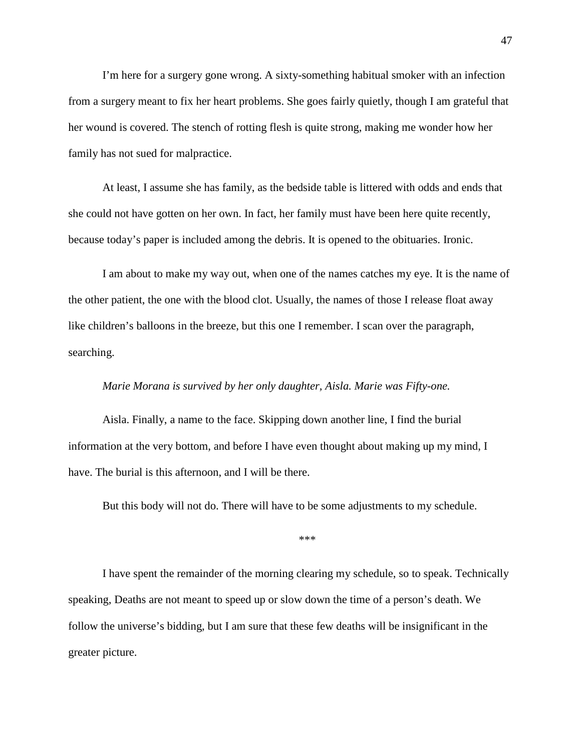I'm here for a surgery gone wrong. A sixty-something habitual smoker with an infection from a surgery meant to fix her heart problems. She goes fairly quietly, though I am grateful that her wound is covered. The stench of rotting flesh is quite strong, making me wonder how her family has not sued for malpractice.

At least, I assume she has family, as the bedside table is littered with odds and ends that she could not have gotten on her own. In fact, her family must have been here quite recently, because today's paper is included among the debris. It is opened to the obituaries. Ironic.

I am about to make my way out, when one of the names catches my eye. It is the name of the other patient, the one with the blood clot. Usually, the names of those I release float away like children's balloons in the breeze, but this one I remember. I scan over the paragraph, searching.

## *Marie Morana is survived by her only daughter, Aisla. Marie was Fifty-one.*

Aisla. Finally, a name to the face. Skipping down another line, I find the burial information at the very bottom, and before I have even thought about making up my mind, I have. The burial is this afternoon, and I will be there.

But this body will not do. There will have to be some adjustments to my schedule.

\*\*\*

I have spent the remainder of the morning clearing my schedule, so to speak. Technically speaking, Deaths are not meant to speed up or slow down the time of a person's death. We follow the universe's bidding, but I am sure that these few deaths will be insignificant in the greater picture.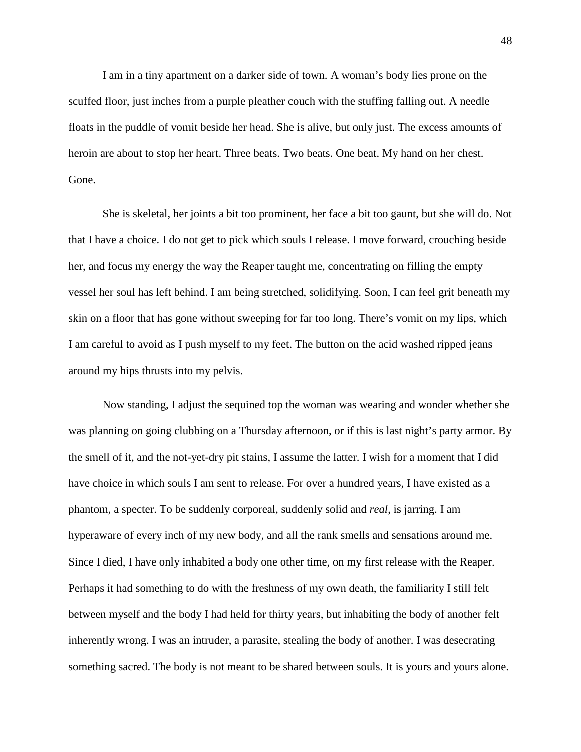I am in a tiny apartment on a darker side of town. A woman's body lies prone on the scuffed floor, just inches from a purple pleather couch with the stuffing falling out. A needle floats in the puddle of vomit beside her head. She is alive, but only just. The excess amounts of heroin are about to stop her heart. Three beats. Two beats. One beat. My hand on her chest. Gone.

She is skeletal, her joints a bit too prominent, her face a bit too gaunt, but she will do. Not that I have a choice. I do not get to pick which souls I release. I move forward, crouching beside her, and focus my energy the way the Reaper taught me, concentrating on filling the empty vessel her soul has left behind. I am being stretched, solidifying. Soon, I can feel grit beneath my skin on a floor that has gone without sweeping for far too long. There's vomit on my lips, which I am careful to avoid as I push myself to my feet. The button on the acid washed ripped jeans around my hips thrusts into my pelvis.

Now standing, I adjust the sequined top the woman was wearing and wonder whether she was planning on going clubbing on a Thursday afternoon, or if this is last night's party armor. By the smell of it, and the not-yet-dry pit stains, I assume the latter. I wish for a moment that I did have choice in which souls I am sent to release. For over a hundred years, I have existed as a phantom, a specter. To be suddenly corporeal, suddenly solid and *real*, is jarring. I am hyperaware of every inch of my new body, and all the rank smells and sensations around me. Since I died, I have only inhabited a body one other time, on my first release with the Reaper. Perhaps it had something to do with the freshness of my own death, the familiarity I still felt between myself and the body I had held for thirty years, but inhabiting the body of another felt inherently wrong. I was an intruder, a parasite, stealing the body of another. I was desecrating something sacred. The body is not meant to be shared between souls. It is yours and yours alone.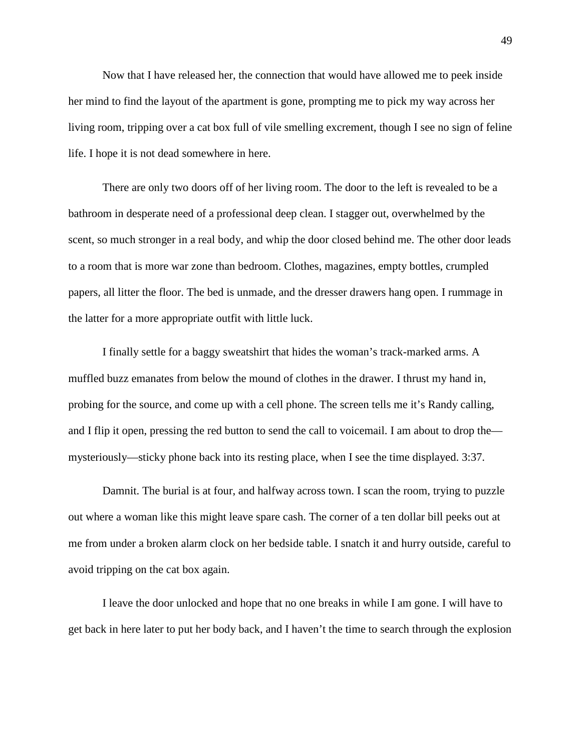Now that I have released her, the connection that would have allowed me to peek inside her mind to find the layout of the apartment is gone, prompting me to pick my way across her living room, tripping over a cat box full of vile smelling excrement, though I see no sign of feline life. I hope it is not dead somewhere in here.

There are only two doors off of her living room. The door to the left is revealed to be a bathroom in desperate need of a professional deep clean. I stagger out, overwhelmed by the scent, so much stronger in a real body, and whip the door closed behind me. The other door leads to a room that is more war zone than bedroom. Clothes, magazines, empty bottles, crumpled papers, all litter the floor. The bed is unmade, and the dresser drawers hang open. I rummage in the latter for a more appropriate outfit with little luck.

I finally settle for a baggy sweatshirt that hides the woman's track-marked arms. A muffled buzz emanates from below the mound of clothes in the drawer. I thrust my hand in, probing for the source, and come up with a cell phone. The screen tells me it's Randy calling, and I flip it open, pressing the red button to send the call to voicemail. I am about to drop the mysteriously—sticky phone back into its resting place, when I see the time displayed. 3:37.

Damnit. The burial is at four, and halfway across town. I scan the room, trying to puzzle out where a woman like this might leave spare cash. The corner of a ten dollar bill peeks out at me from under a broken alarm clock on her bedside table. I snatch it and hurry outside, careful to avoid tripping on the cat box again.

I leave the door unlocked and hope that no one breaks in while I am gone. I will have to get back in here later to put her body back, and I haven't the time to search through the explosion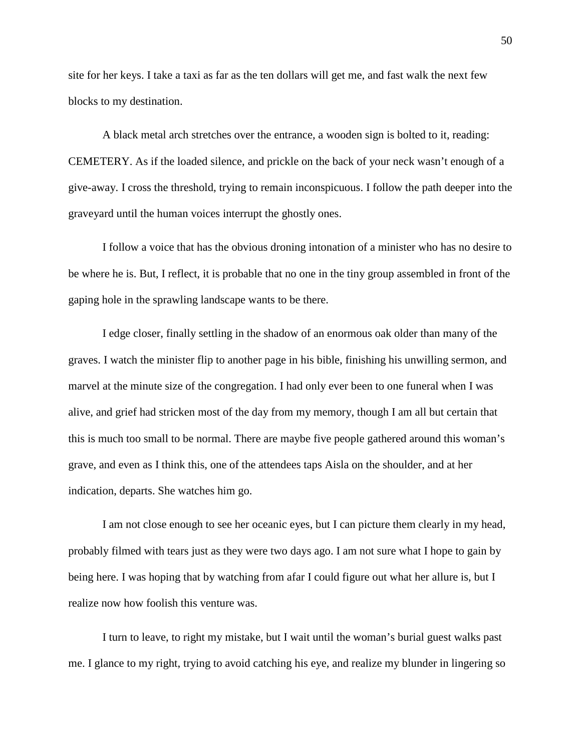site for her keys. I take a taxi as far as the ten dollars will get me, and fast walk the next few blocks to my destination.

A black metal arch stretches over the entrance, a wooden sign is bolted to it, reading: CEMETERY. As if the loaded silence, and prickle on the back of your neck wasn't enough of a give-away. I cross the threshold, trying to remain inconspicuous. I follow the path deeper into the graveyard until the human voices interrupt the ghostly ones.

I follow a voice that has the obvious droning intonation of a minister who has no desire to be where he is. But, I reflect, it is probable that no one in the tiny group assembled in front of the gaping hole in the sprawling landscape wants to be there.

I edge closer, finally settling in the shadow of an enormous oak older than many of the graves. I watch the minister flip to another page in his bible, finishing his unwilling sermon, and marvel at the minute size of the congregation. I had only ever been to one funeral when I was alive, and grief had stricken most of the day from my memory, though I am all but certain that this is much too small to be normal. There are maybe five people gathered around this woman's grave, and even as I think this, one of the attendees taps Aisla on the shoulder, and at her indication, departs. She watches him go.

I am not close enough to see her oceanic eyes, but I can picture them clearly in my head, probably filmed with tears just as they were two days ago. I am not sure what I hope to gain by being here. I was hoping that by watching from afar I could figure out what her allure is, but I realize now how foolish this venture was.

I turn to leave, to right my mistake, but I wait until the woman's burial guest walks past me. I glance to my right, trying to avoid catching his eye, and realize my blunder in lingering so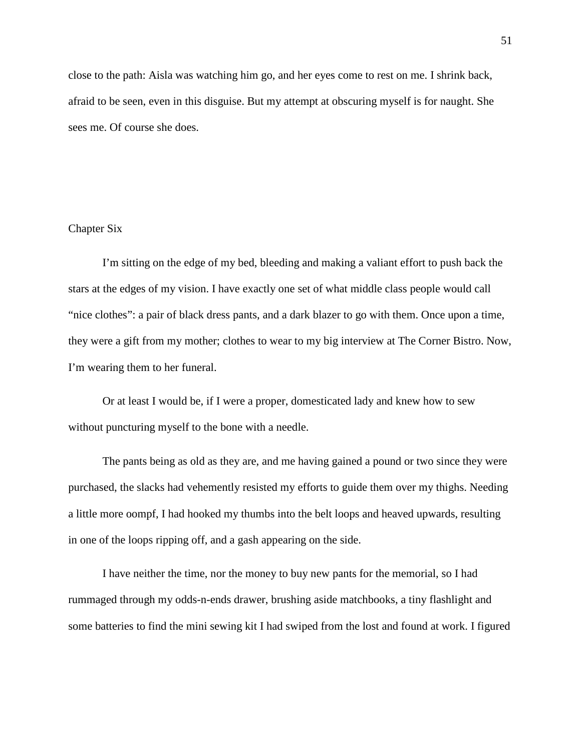close to the path: Aisla was watching him go, and her eyes come to rest on me. I shrink back, afraid to be seen, even in this disguise. But my attempt at obscuring myself is for naught. She sees me. Of course she does.

# Chapter Six

I'm sitting on the edge of my bed, bleeding and making a valiant effort to push back the stars at the edges of my vision. I have exactly one set of what middle class people would call "nice clothes": a pair of black dress pants, and a dark blazer to go with them. Once upon a time, they were a gift from my mother; clothes to wear to my big interview at The Corner Bistro. Now, I'm wearing them to her funeral.

Or at least I would be, if I were a proper, domesticated lady and knew how to sew without puncturing myself to the bone with a needle.

The pants being as old as they are, and me having gained a pound or two since they were purchased, the slacks had vehemently resisted my efforts to guide them over my thighs. Needing a little more oompf, I had hooked my thumbs into the belt loops and heaved upwards, resulting in one of the loops ripping off, and a gash appearing on the side.

I have neither the time, nor the money to buy new pants for the memorial, so I had rummaged through my odds-n-ends drawer, brushing aside matchbooks, a tiny flashlight and some batteries to find the mini sewing kit I had swiped from the lost and found at work. I figured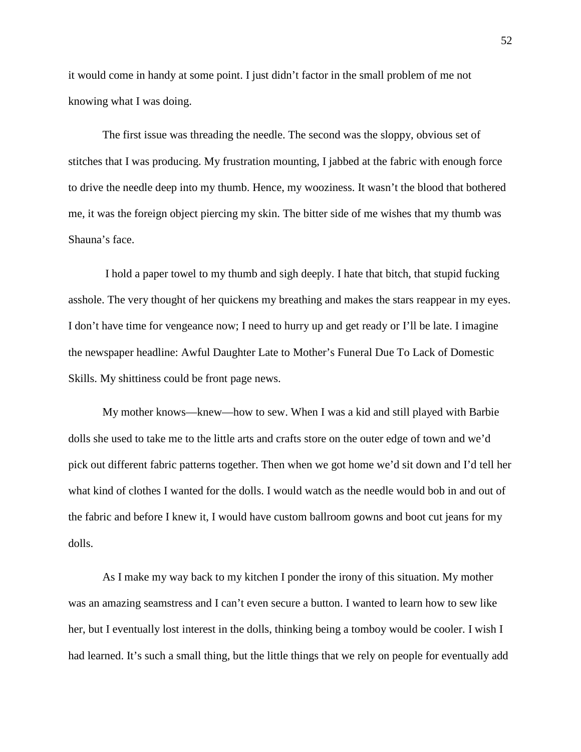it would come in handy at some point. I just didn't factor in the small problem of me not knowing what I was doing.

The first issue was threading the needle. The second was the sloppy, obvious set of stitches that I was producing. My frustration mounting, I jabbed at the fabric with enough force to drive the needle deep into my thumb. Hence, my wooziness. It wasn't the blood that bothered me, it was the foreign object piercing my skin. The bitter side of me wishes that my thumb was Shauna's face.

I hold a paper towel to my thumb and sigh deeply. I hate that bitch, that stupid fucking asshole. The very thought of her quickens my breathing and makes the stars reappear in my eyes. I don't have time for vengeance now; I need to hurry up and get ready or I'll be late. I imagine the newspaper headline: Awful Daughter Late to Mother's Funeral Due To Lack of Domestic Skills. My shittiness could be front page news.

My mother knows—knew—how to sew. When I was a kid and still played with Barbie dolls she used to take me to the little arts and crafts store on the outer edge of town and we'd pick out different fabric patterns together. Then when we got home we'd sit down and I'd tell her what kind of clothes I wanted for the dolls. I would watch as the needle would bob in and out of the fabric and before I knew it, I would have custom ballroom gowns and boot cut jeans for my dolls.

As I make my way back to my kitchen I ponder the irony of this situation. My mother was an amazing seamstress and I can't even secure a button. I wanted to learn how to sew like her, but I eventually lost interest in the dolls, thinking being a tomboy would be cooler. I wish I had learned. It's such a small thing, but the little things that we rely on people for eventually add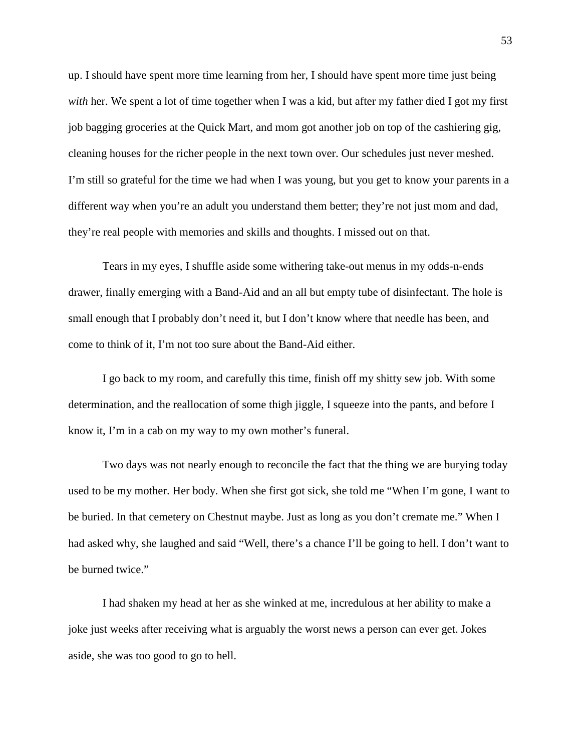up. I should have spent more time learning from her, I should have spent more time just being *with* her. We spent a lot of time together when I was a kid, but after my father died I got my first job bagging groceries at the Quick Mart, and mom got another job on top of the cashiering gig, cleaning houses for the richer people in the next town over. Our schedules just never meshed. I'm still so grateful for the time we had when I was young, but you get to know your parents in a different way when you're an adult you understand them better; they're not just mom and dad, they're real people with memories and skills and thoughts. I missed out on that.

Tears in my eyes, I shuffle aside some withering take-out menus in my odds-n-ends drawer, finally emerging with a Band-Aid and an all but empty tube of disinfectant. The hole is small enough that I probably don't need it, but I don't know where that needle has been, and come to think of it, I'm not too sure about the Band-Aid either.

I go back to my room, and carefully this time, finish off my shitty sew job. With some determination, and the reallocation of some thigh jiggle, I squeeze into the pants, and before I know it, I'm in a cab on my way to my own mother's funeral.

Two days was not nearly enough to reconcile the fact that the thing we are burying today used to be my mother. Her body. When she first got sick, she told me "When I'm gone, I want to be buried. In that cemetery on Chestnut maybe. Just as long as you don't cremate me." When I had asked why, she laughed and said "Well, there's a chance I'll be going to hell. I don't want to be burned twice."

I had shaken my head at her as she winked at me, incredulous at her ability to make a joke just weeks after receiving what is arguably the worst news a person can ever get. Jokes aside, she was too good to go to hell.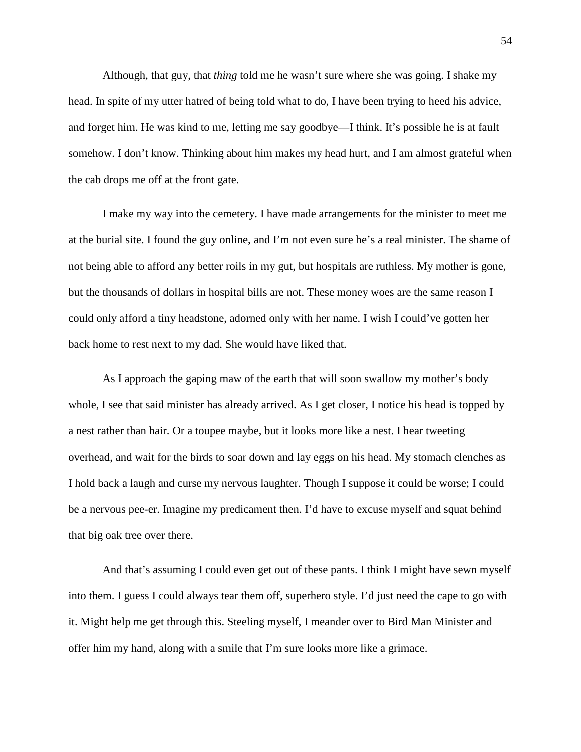Although, that guy, that *thing* told me he wasn't sure where she was going. I shake my head. In spite of my utter hatred of being told what to do, I have been trying to heed his advice, and forget him. He was kind to me, letting me say goodbye—I think. It's possible he is at fault somehow. I don't know. Thinking about him makes my head hurt, and I am almost grateful when the cab drops me off at the front gate.

I make my way into the cemetery. I have made arrangements for the minister to meet me at the burial site. I found the guy online, and I'm not even sure he's a real minister. The shame of not being able to afford any better roils in my gut, but hospitals are ruthless. My mother is gone, but the thousands of dollars in hospital bills are not. These money woes are the same reason I could only afford a tiny headstone, adorned only with her name. I wish I could've gotten her back home to rest next to my dad. She would have liked that.

As I approach the gaping maw of the earth that will soon swallow my mother's body whole, I see that said minister has already arrived. As I get closer, I notice his head is topped by a nest rather than hair. Or a toupee maybe, but it looks more like a nest. I hear tweeting overhead, and wait for the birds to soar down and lay eggs on his head. My stomach clenches as I hold back a laugh and curse my nervous laughter. Though I suppose it could be worse; I could be a nervous pee-er. Imagine my predicament then. I'd have to excuse myself and squat behind that big oak tree over there.

And that's assuming I could even get out of these pants. I think I might have sewn myself into them. I guess I could always tear them off, superhero style. I'd just need the cape to go with it. Might help me get through this. Steeling myself, I meander over to Bird Man Minister and offer him my hand, along with a smile that I'm sure looks more like a grimace.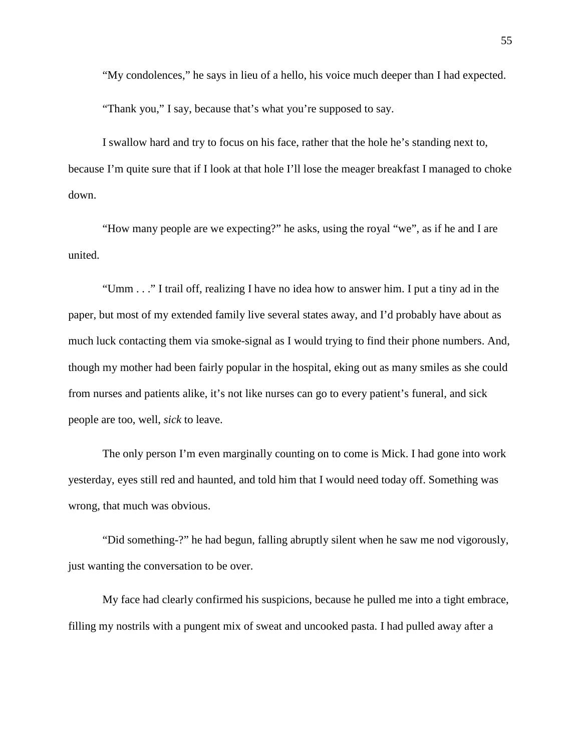"My condolences," he says in lieu of a hello, his voice much deeper than I had expected.

"Thank you," I say, because that's what you're supposed to say.

I swallow hard and try to focus on his face, rather that the hole he's standing next to, because I'm quite sure that if I look at that hole I'll lose the meager breakfast I managed to choke down.

"How many people are we expecting?" he asks, using the royal "we", as if he and I are united.

"Umm . . ." I trail off, realizing I have no idea how to answer him. I put a tiny ad in the paper, but most of my extended family live several states away, and I'd probably have about as much luck contacting them via smoke-signal as I would trying to find their phone numbers. And, though my mother had been fairly popular in the hospital, eking out as many smiles as she could from nurses and patients alike, it's not like nurses can go to every patient's funeral, and sick people are too, well, *sick* to leave.

The only person I'm even marginally counting on to come is Mick. I had gone into work yesterday, eyes still red and haunted, and told him that I would need today off. Something was wrong, that much was obvious.

"Did something-?" he had begun, falling abruptly silent when he saw me nod vigorously, just wanting the conversation to be over.

My face had clearly confirmed his suspicions, because he pulled me into a tight embrace, filling my nostrils with a pungent mix of sweat and uncooked pasta. I had pulled away after a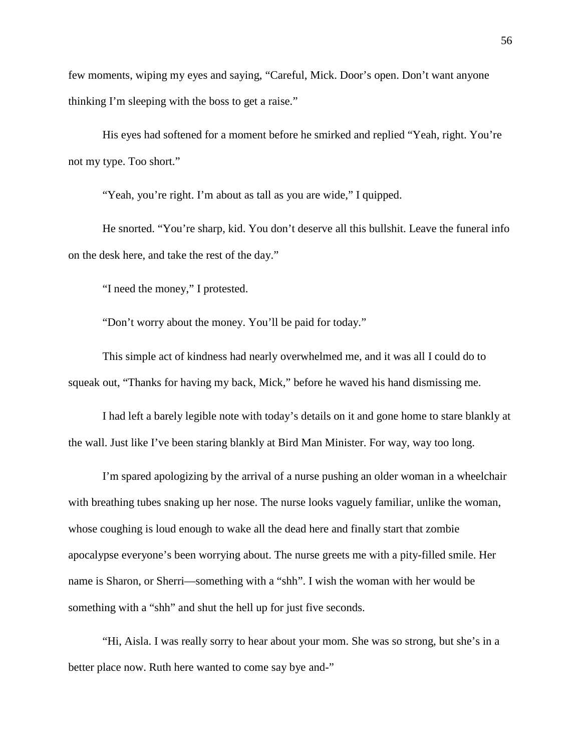few moments, wiping my eyes and saying, "Careful, Mick. Door's open. Don't want anyone thinking I'm sleeping with the boss to get a raise."

His eyes had softened for a moment before he smirked and replied "Yeah, right. You're not my type. Too short."

"Yeah, you're right. I'm about as tall as you are wide," I quipped.

He snorted. "You're sharp, kid. You don't deserve all this bullshit. Leave the funeral info on the desk here, and take the rest of the day."

"I need the money," I protested.

"Don't worry about the money. You'll be paid for today."

This simple act of kindness had nearly overwhelmed me, and it was all I could do to squeak out, "Thanks for having my back, Mick," before he waved his hand dismissing me.

I had left a barely legible note with today's details on it and gone home to stare blankly at the wall. Just like I've been staring blankly at Bird Man Minister. For way, way too long.

I'm spared apologizing by the arrival of a nurse pushing an older woman in a wheelchair with breathing tubes snaking up her nose. The nurse looks vaguely familiar, unlike the woman, whose coughing is loud enough to wake all the dead here and finally start that zombie apocalypse everyone's been worrying about. The nurse greets me with a pity-filled smile. Her name is Sharon, or Sherri—something with a "shh". I wish the woman with her would be something with a "shh" and shut the hell up for just five seconds.

"Hi, Aisla. I was really sorry to hear about your mom. She was so strong, but she's in a better place now. Ruth here wanted to come say bye and-"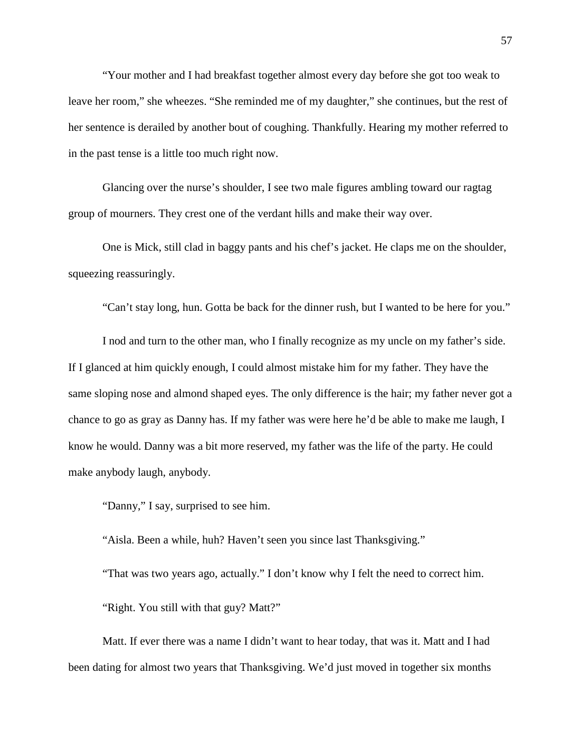"Your mother and I had breakfast together almost every day before she got too weak to leave her room," she wheezes. "She reminded me of my daughter," she continues, but the rest of her sentence is derailed by another bout of coughing. Thankfully. Hearing my mother referred to in the past tense is a little too much right now.

Glancing over the nurse's shoulder, I see two male figures ambling toward our ragtag group of mourners. They crest one of the verdant hills and make their way over.

One is Mick, still clad in baggy pants and his chef's jacket. He claps me on the shoulder, squeezing reassuringly.

"Can't stay long, hun. Gotta be back for the dinner rush, but I wanted to be here for you."

I nod and turn to the other man, who I finally recognize as my uncle on my father's side. If I glanced at him quickly enough, I could almost mistake him for my father. They have the same sloping nose and almond shaped eyes. The only difference is the hair; my father never got a chance to go as gray as Danny has. If my father was were here he'd be able to make me laugh, I know he would. Danny was a bit more reserved, my father was the life of the party. He could make anybody laugh, anybody.

"Danny," I say, surprised to see him.

"Aisla. Been a while, huh? Haven't seen you since last Thanksgiving."

"That was two years ago, actually." I don't know why I felt the need to correct him. "Right. You still with that guy? Matt?"

Matt. If ever there was a name I didn't want to hear today, that was it. Matt and I had been dating for almost two years that Thanksgiving. We'd just moved in together six months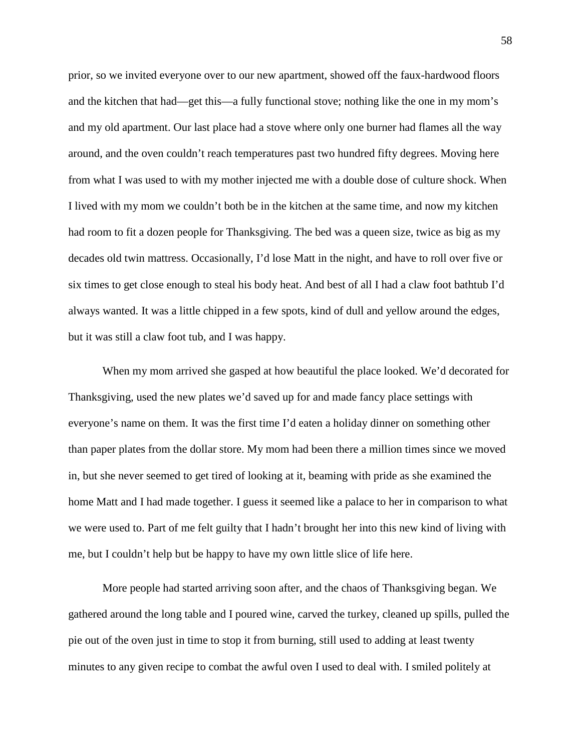prior, so we invited everyone over to our new apartment, showed off the faux-hardwood floors and the kitchen that had—get this—a fully functional stove; nothing like the one in my mom's and my old apartment. Our last place had a stove where only one burner had flames all the way around, and the oven couldn't reach temperatures past two hundred fifty degrees. Moving here from what I was used to with my mother injected me with a double dose of culture shock. When I lived with my mom we couldn't both be in the kitchen at the same time, and now my kitchen had room to fit a dozen people for Thanksgiving. The bed was a queen size, twice as big as my decades old twin mattress. Occasionally, I'd lose Matt in the night, and have to roll over five or six times to get close enough to steal his body heat. And best of all I had a claw foot bathtub I'd always wanted. It was a little chipped in a few spots, kind of dull and yellow around the edges, but it was still a claw foot tub, and I was happy.

When my mom arrived she gasped at how beautiful the place looked. We'd decorated for Thanksgiving, used the new plates we'd saved up for and made fancy place settings with everyone's name on them. It was the first time I'd eaten a holiday dinner on something other than paper plates from the dollar store. My mom had been there a million times since we moved in, but she never seemed to get tired of looking at it, beaming with pride as she examined the home Matt and I had made together. I guess it seemed like a palace to her in comparison to what we were used to. Part of me felt guilty that I hadn't brought her into this new kind of living with me, but I couldn't help but be happy to have my own little slice of life here.

More people had started arriving soon after, and the chaos of Thanksgiving began. We gathered around the long table and I poured wine, carved the turkey, cleaned up spills, pulled the pie out of the oven just in time to stop it from burning, still used to adding at least twenty minutes to any given recipe to combat the awful oven I used to deal with. I smiled politely at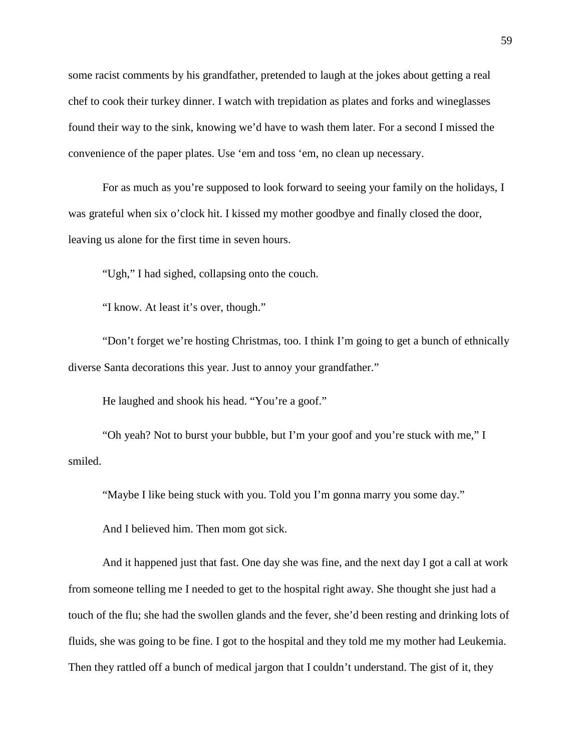some racist comments by his grandfather, pretended to laugh at the jokes about getting a real chef to cook their turkey dinner. I watch with trepidation as plates and forks and wineglasses found their way to the sink, knowing we'd have to wash them later. For a second I missed the convenience of the paper plates. Use 'em and toss 'em, no clean up necessary.

For as much as you're supposed to look forward to seeing your family on the holidays, I was grateful when six o'clock hit. I kissed my mother goodbye and finally closed the door, leaving us alone for the first time in seven hours.

"Ugh," I had sighed, collapsing onto the couch.

"I know. At least it's over, though."

"Don't forget we're hosting Christmas, too. I think I'm going to get a bunch of ethnically diverse Santa decorations this year. Just to annoy your grandfather."

He laughed and shook his head. "You're a goof."

"Oh yeah? Not to burst your bubble, but I'm your goof and you're stuck with me," I smiled.

"Maybe I like being stuck with you. Told you I'm gonna marry you some day."

And I believed him. Then mom got sick.

And it happened just that fast. One day she was fine, and the next day I got a call at work from someone telling me I needed to get to the hospital right away. She thought she just had a touch of the flu; she had the swollen glands and the fever, she'd been resting and drinking lots of fluids, she was going to be fine. I got to the hospital and they told me my mother had Leukemia. Then they rattled off a bunch of medical jargon that I couldn't understand. The gist of it, they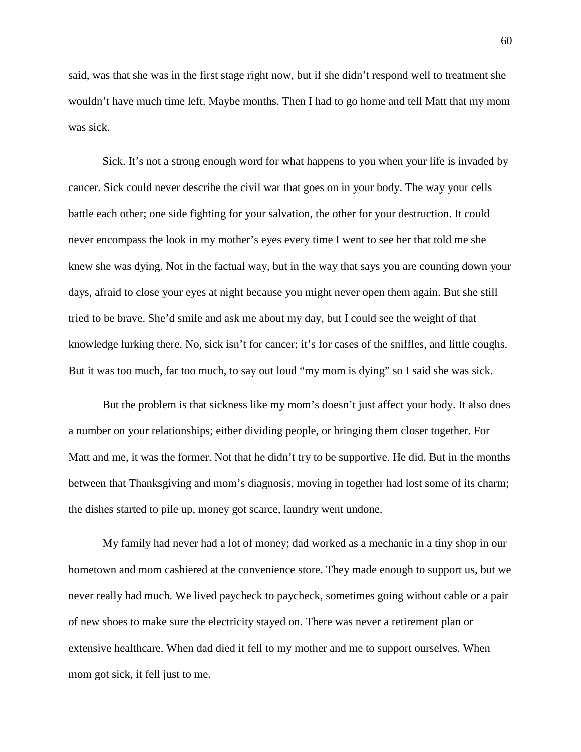said, was that she was in the first stage right now, but if she didn't respond well to treatment she wouldn't have much time left. Maybe months. Then I had to go home and tell Matt that my mom was sick.

Sick. It's not a strong enough word for what happens to you when your life is invaded by cancer. Sick could never describe the civil war that goes on in your body. The way your cells battle each other; one side fighting for your salvation, the other for your destruction. It could never encompass the look in my mother's eyes every time I went to see her that told me she knew she was dying. Not in the factual way, but in the way that says you are counting down your days, afraid to close your eyes at night because you might never open them again. But she still tried to be brave. She'd smile and ask me about my day, but I could see the weight of that knowledge lurking there. No, sick isn't for cancer; it's for cases of the sniffles, and little coughs. But it was too much, far too much, to say out loud "my mom is dying" so I said she was sick.

But the problem is that sickness like my mom's doesn't just affect your body. It also does a number on your relationships; either dividing people, or bringing them closer together. For Matt and me, it was the former. Not that he didn't try to be supportive. He did. But in the months between that Thanksgiving and mom's diagnosis, moving in together had lost some of its charm; the dishes started to pile up, money got scarce, laundry went undone.

My family had never had a lot of money; dad worked as a mechanic in a tiny shop in our hometown and mom cashiered at the convenience store. They made enough to support us, but we never really had much. We lived paycheck to paycheck, sometimes going without cable or a pair of new shoes to make sure the electricity stayed on. There was never a retirement plan or extensive healthcare. When dad died it fell to my mother and me to support ourselves. When mom got sick, it fell just to me.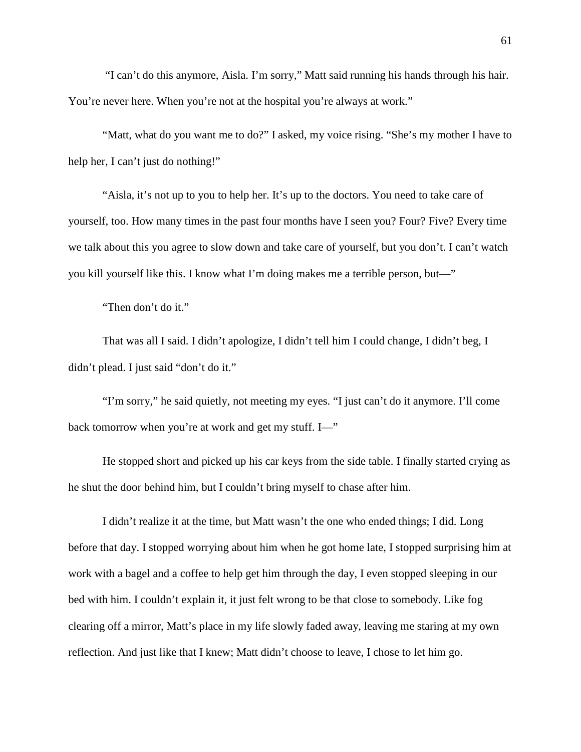"I can't do this anymore, Aisla. I'm sorry," Matt said running his hands through his hair. You're never here. When you're not at the hospital you're always at work."

"Matt, what do you want me to do?" I asked, my voice rising. "She's my mother I have to help her, I can't just do nothing!"

"Aisla, it's not up to you to help her. It's up to the doctors. You need to take care of yourself, too. How many times in the past four months have I seen you? Four? Five? Every time we talk about this you agree to slow down and take care of yourself, but you don't. I can't watch you kill yourself like this. I know what I'm doing makes me a terrible person, but—"

"Then don't do it."

That was all I said. I didn't apologize, I didn't tell him I could change, I didn't beg, I didn't plead. I just said "don't do it."

"I'm sorry," he said quietly, not meeting my eyes. "I just can't do it anymore. I'll come back tomorrow when you're at work and get my stuff. I—"

He stopped short and picked up his car keys from the side table. I finally started crying as he shut the door behind him, but I couldn't bring myself to chase after him.

I didn't realize it at the time, but Matt wasn't the one who ended things; I did. Long before that day. I stopped worrying about him when he got home late, I stopped surprising him at work with a bagel and a coffee to help get him through the day, I even stopped sleeping in our bed with him. I couldn't explain it, it just felt wrong to be that close to somebody. Like fog clearing off a mirror, Matt's place in my life slowly faded away, leaving me staring at my own reflection. And just like that I knew; Matt didn't choose to leave, I chose to let him go.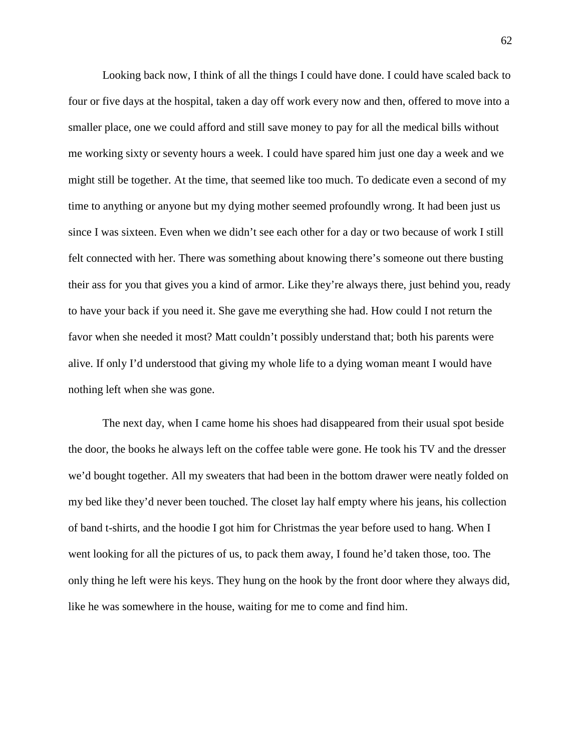Looking back now, I think of all the things I could have done. I could have scaled back to four or five days at the hospital, taken a day off work every now and then, offered to move into a smaller place, one we could afford and still save money to pay for all the medical bills without me working sixty or seventy hours a week. I could have spared him just one day a week and we might still be together. At the time, that seemed like too much. To dedicate even a second of my time to anything or anyone but my dying mother seemed profoundly wrong. It had been just us since I was sixteen. Even when we didn't see each other for a day or two because of work I still felt connected with her. There was something about knowing there's someone out there busting their ass for you that gives you a kind of armor. Like they're always there, just behind you, ready to have your back if you need it. She gave me everything she had. How could I not return the favor when she needed it most? Matt couldn't possibly understand that; both his parents were alive. If only I'd understood that giving my whole life to a dying woman meant I would have nothing left when she was gone.

The next day, when I came home his shoes had disappeared from their usual spot beside the door, the books he always left on the coffee table were gone. He took his TV and the dresser we'd bought together. All my sweaters that had been in the bottom drawer were neatly folded on my bed like they'd never been touched. The closet lay half empty where his jeans, his collection of band t-shirts, and the hoodie I got him for Christmas the year before used to hang. When I went looking for all the pictures of us, to pack them away, I found he'd taken those, too. The only thing he left were his keys. They hung on the hook by the front door where they always did, like he was somewhere in the house, waiting for me to come and find him.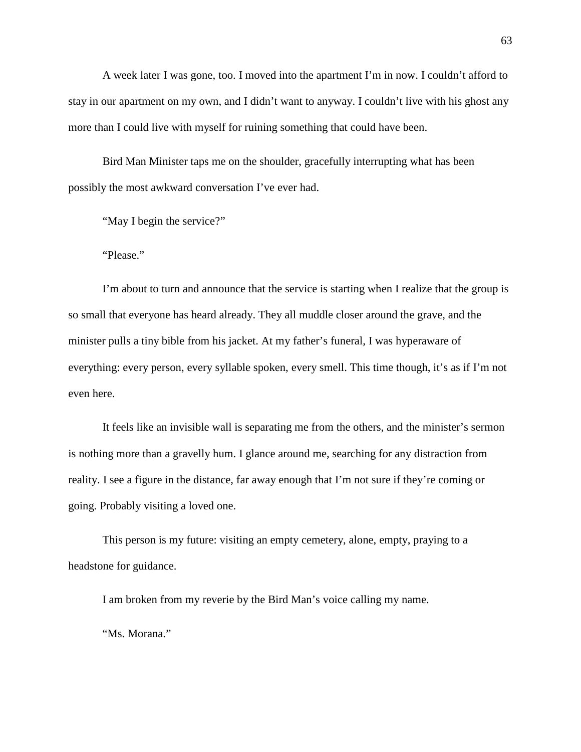A week later I was gone, too. I moved into the apartment I'm in now. I couldn't afford to stay in our apartment on my own, and I didn't want to anyway. I couldn't live with his ghost any more than I could live with myself for ruining something that could have been.

Bird Man Minister taps me on the shoulder, gracefully interrupting what has been possibly the most awkward conversation I've ever had.

"May I begin the service?"

"Please."

I'm about to turn and announce that the service is starting when I realize that the group is so small that everyone has heard already. They all muddle closer around the grave, and the minister pulls a tiny bible from his jacket. At my father's funeral, I was hyperaware of everything: every person, every syllable spoken, every smell. This time though, it's as if I'm not even here.

It feels like an invisible wall is separating me from the others, and the minister's sermon is nothing more than a gravelly hum. I glance around me, searching for any distraction from reality. I see a figure in the distance, far away enough that I'm not sure if they're coming or going. Probably visiting a loved one.

This person is my future: visiting an empty cemetery, alone, empty, praying to a headstone for guidance.

I am broken from my reverie by the Bird Man's voice calling my name.

"Ms. Morana."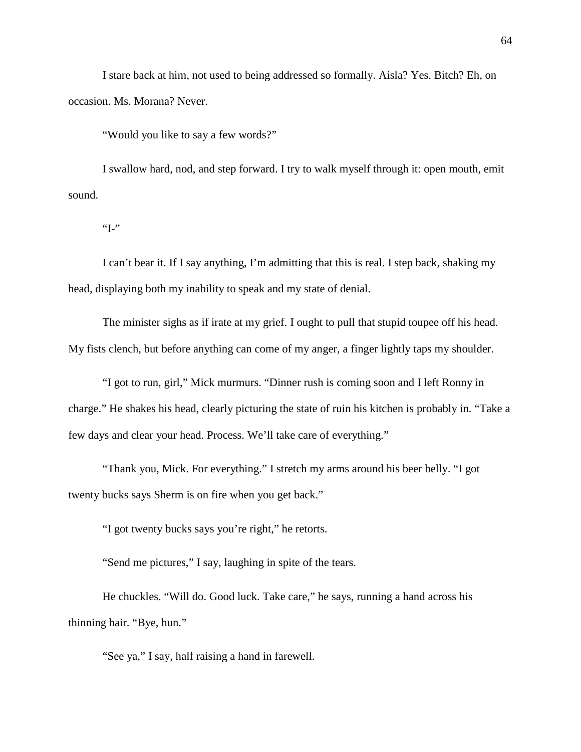I stare back at him, not used to being addressed so formally. Aisla? Yes. Bitch? Eh, on occasion. Ms. Morana? Never.

"Would you like to say a few words?"

I swallow hard, nod, and step forward. I try to walk myself through it: open mouth, emit sound.

 $~^{4}$ I-"

I can't bear it. If I say anything, I'm admitting that this is real. I step back, shaking my head, displaying both my inability to speak and my state of denial.

The minister sighs as if irate at my grief. I ought to pull that stupid toupee off his head. My fists clench, but before anything can come of my anger, a finger lightly taps my shoulder.

"I got to run, girl," Mick murmurs. "Dinner rush is coming soon and I left Ronny in charge." He shakes his head, clearly picturing the state of ruin his kitchen is probably in. "Take a few days and clear your head. Process. We'll take care of everything."

"Thank you, Mick. For everything." I stretch my arms around his beer belly. "I got twenty bucks says Sherm is on fire when you get back."

"I got twenty bucks says you're right," he retorts.

"Send me pictures," I say, laughing in spite of the tears.

He chuckles. "Will do. Good luck. Take care," he says, running a hand across his thinning hair. "Bye, hun."

"See ya," I say, half raising a hand in farewell.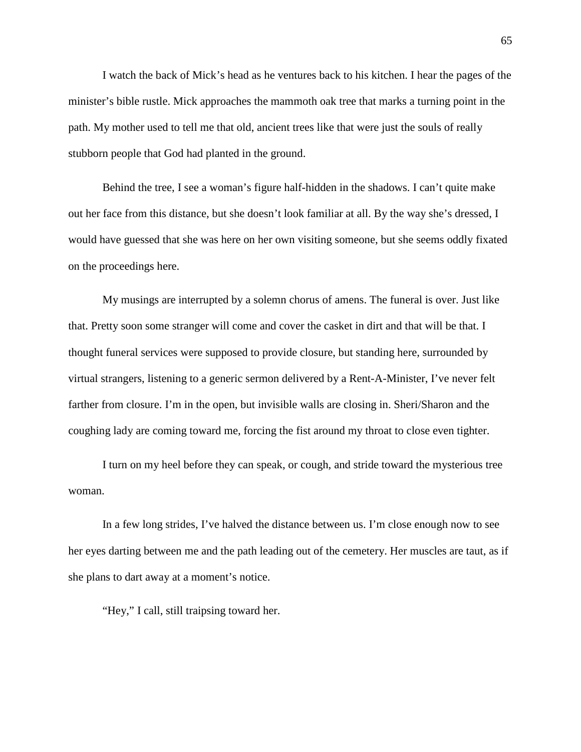I watch the back of Mick's head as he ventures back to his kitchen. I hear the pages of the minister's bible rustle. Mick approaches the mammoth oak tree that marks a turning point in the path. My mother used to tell me that old, ancient trees like that were just the souls of really stubborn people that God had planted in the ground.

Behind the tree, I see a woman's figure half-hidden in the shadows. I can't quite make out her face from this distance, but she doesn't look familiar at all. By the way she's dressed, I would have guessed that she was here on her own visiting someone, but she seems oddly fixated on the proceedings here.

My musings are interrupted by a solemn chorus of amens. The funeral is over. Just like that. Pretty soon some stranger will come and cover the casket in dirt and that will be that. I thought funeral services were supposed to provide closure, but standing here, surrounded by virtual strangers, listening to a generic sermon delivered by a Rent-A-Minister, I've never felt farther from closure. I'm in the open, but invisible walls are closing in. Sheri/Sharon and the coughing lady are coming toward me, forcing the fist around my throat to close even tighter.

I turn on my heel before they can speak, or cough, and stride toward the mysterious tree woman.

In a few long strides, I've halved the distance between us. I'm close enough now to see her eyes darting between me and the path leading out of the cemetery. Her muscles are taut, as if she plans to dart away at a moment's notice.

"Hey," I call, still traipsing toward her.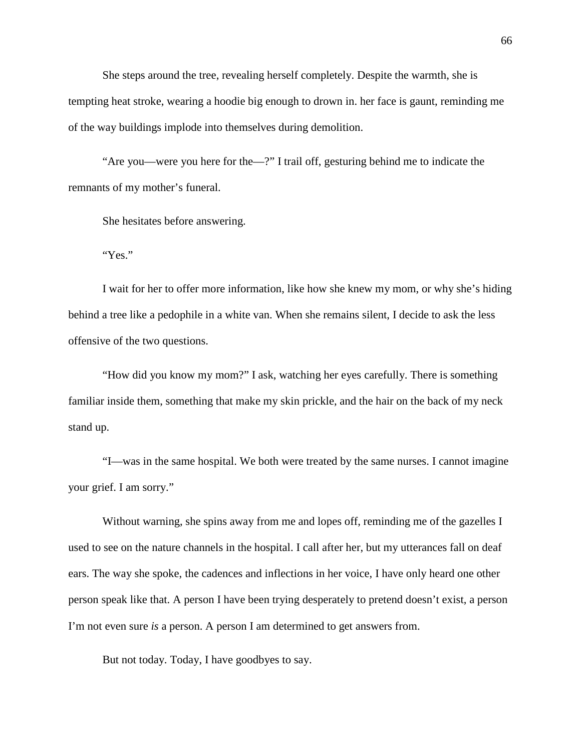She steps around the tree, revealing herself completely. Despite the warmth, she is tempting heat stroke, wearing a hoodie big enough to drown in. her face is gaunt, reminding me of the way buildings implode into themselves during demolition.

"Are you—were you here for the—?" I trail off, gesturing behind me to indicate the remnants of my mother's funeral.

She hesitates before answering.

"Yes."

I wait for her to offer more information, like how she knew my mom, or why she's hiding behind a tree like a pedophile in a white van. When she remains silent, I decide to ask the less offensive of the two questions.

"How did you know my mom?" I ask, watching her eyes carefully. There is something familiar inside them, something that make my skin prickle, and the hair on the back of my neck stand up.

"I—was in the same hospital. We both were treated by the same nurses. I cannot imagine your grief. I am sorry."

Without warning, she spins away from me and lopes off, reminding me of the gazelles I used to see on the nature channels in the hospital. I call after her, but my utterances fall on deaf ears. The way she spoke, the cadences and inflections in her voice, I have only heard one other person speak like that. A person I have been trying desperately to pretend doesn't exist, a person I'm not even sure *is* a person. A person I am determined to get answers from.

But not today. Today, I have goodbyes to say.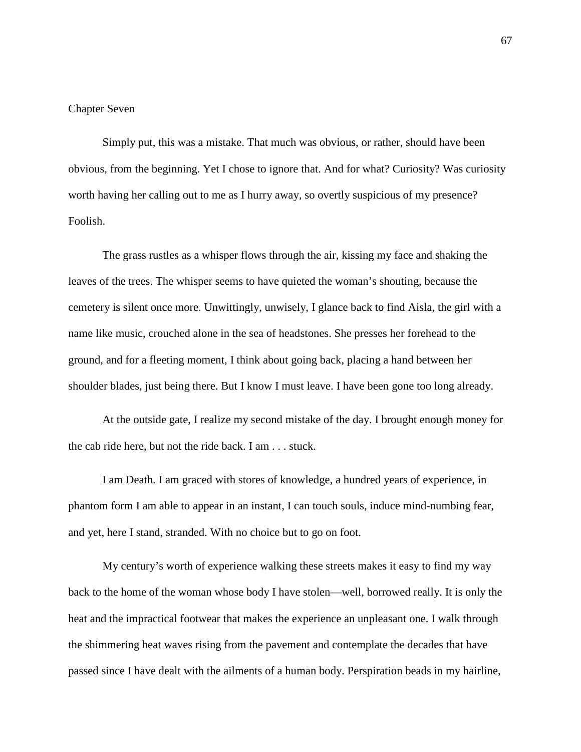### Chapter Seven

Simply put, this was a mistake. That much was obvious, or rather, should have been obvious, from the beginning. Yet I chose to ignore that. And for what? Curiosity? Was curiosity worth having her calling out to me as I hurry away, so overtly suspicious of my presence? Foolish.

The grass rustles as a whisper flows through the air, kissing my face and shaking the leaves of the trees. The whisper seems to have quieted the woman's shouting, because the cemetery is silent once more. Unwittingly, unwisely, I glance back to find Aisla, the girl with a name like music, crouched alone in the sea of headstones. She presses her forehead to the ground, and for a fleeting moment, I think about going back, placing a hand between her shoulder blades, just being there. But I know I must leave. I have been gone too long already.

At the outside gate, I realize my second mistake of the day. I brought enough money for the cab ride here, but not the ride back. I am . . . stuck.

I am Death. I am graced with stores of knowledge, a hundred years of experience, in phantom form I am able to appear in an instant, I can touch souls, induce mind-numbing fear, and yet, here I stand, stranded. With no choice but to go on foot.

My century's worth of experience walking these streets makes it easy to find my way back to the home of the woman whose body I have stolen—well, borrowed really. It is only the heat and the impractical footwear that makes the experience an unpleasant one. I walk through the shimmering heat waves rising from the pavement and contemplate the decades that have passed since I have dealt with the ailments of a human body. Perspiration beads in my hairline,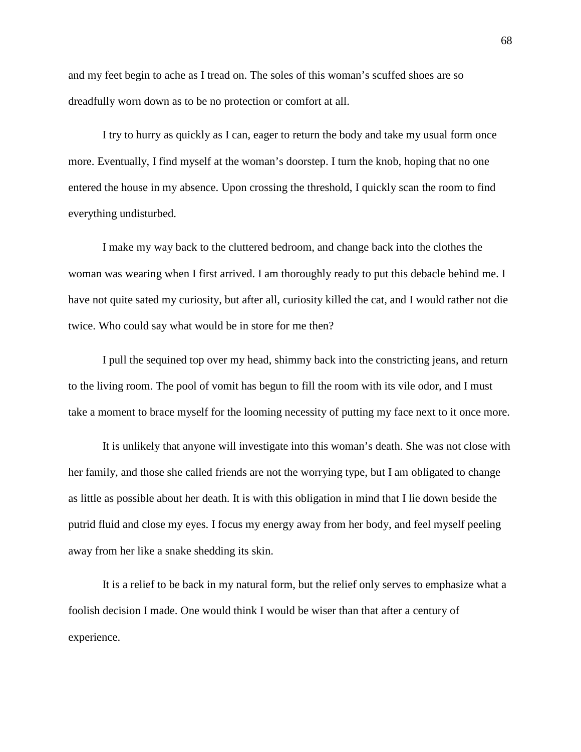and my feet begin to ache as I tread on. The soles of this woman's scuffed shoes are so dreadfully worn down as to be no protection or comfort at all.

I try to hurry as quickly as I can, eager to return the body and take my usual form once more. Eventually, I find myself at the woman's doorstep. I turn the knob, hoping that no one entered the house in my absence. Upon crossing the threshold, I quickly scan the room to find everything undisturbed.

I make my way back to the cluttered bedroom, and change back into the clothes the woman was wearing when I first arrived. I am thoroughly ready to put this debacle behind me. I have not quite sated my curiosity, but after all, curiosity killed the cat, and I would rather not die twice. Who could say what would be in store for me then?

I pull the sequined top over my head, shimmy back into the constricting jeans, and return to the living room. The pool of vomit has begun to fill the room with its vile odor, and I must take a moment to brace myself for the looming necessity of putting my face next to it once more.

It is unlikely that anyone will investigate into this woman's death. She was not close with her family, and those she called friends are not the worrying type, but I am obligated to change as little as possible about her death. It is with this obligation in mind that I lie down beside the putrid fluid and close my eyes. I focus my energy away from her body, and feel myself peeling away from her like a snake shedding its skin.

It is a relief to be back in my natural form, but the relief only serves to emphasize what a foolish decision I made. One would think I would be wiser than that after a century of experience.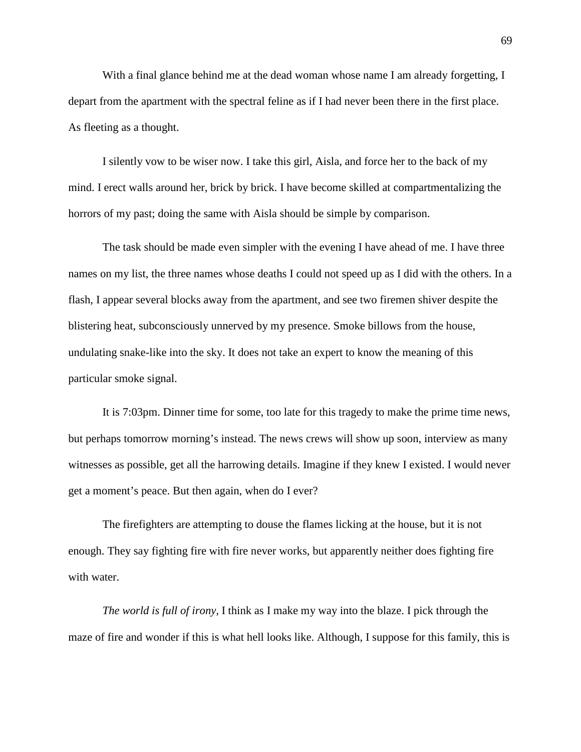With a final glance behind me at the dead woman whose name I am already forgetting, I depart from the apartment with the spectral feline as if I had never been there in the first place. As fleeting as a thought.

I silently vow to be wiser now. I take this girl, Aisla, and force her to the back of my mind. I erect walls around her, brick by brick. I have become skilled at compartmentalizing the horrors of my past; doing the same with Aisla should be simple by comparison.

The task should be made even simpler with the evening I have ahead of me. I have three names on my list, the three names whose deaths I could not speed up as I did with the others. In a flash, I appear several blocks away from the apartment, and see two firemen shiver despite the blistering heat, subconsciously unnerved by my presence. Smoke billows from the house, undulating snake-like into the sky. It does not take an expert to know the meaning of this particular smoke signal.

It is 7:03pm. Dinner time for some, too late for this tragedy to make the prime time news, but perhaps tomorrow morning's instead. The news crews will show up soon, interview as many witnesses as possible, get all the harrowing details. Imagine if they knew I existed. I would never get a moment's peace. But then again, when do I ever?

The firefighters are attempting to douse the flames licking at the house, but it is not enough. They say fighting fire with fire never works, but apparently neither does fighting fire with water.

*The world is full of irony,* I think as I make my way into the blaze. I pick through the maze of fire and wonder if this is what hell looks like. Although, I suppose for this family, this is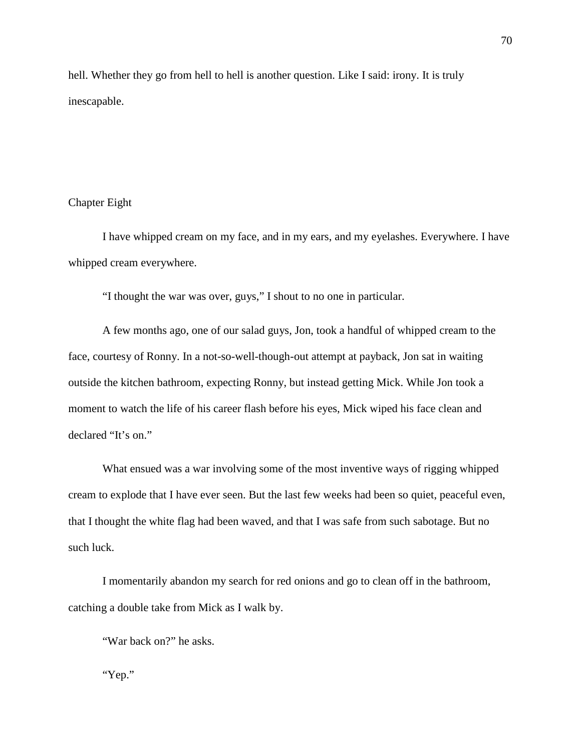hell. Whether they go from hell to hell is another question. Like I said: irony. It is truly inescapable.

## Chapter Eight

I have whipped cream on my face, and in my ears, and my eyelashes. Everywhere. I have whipped cream everywhere.

"I thought the war was over, guys," I shout to no one in particular.

A few months ago, one of our salad guys, Jon, took a handful of whipped cream to the face, courtesy of Ronny. In a not-so-well-though-out attempt at payback, Jon sat in waiting outside the kitchen bathroom, expecting Ronny, but instead getting Mick. While Jon took a moment to watch the life of his career flash before his eyes, Mick wiped his face clean and declared "It's on."

What ensued was a war involving some of the most inventive ways of rigging whipped cream to explode that I have ever seen. But the last few weeks had been so quiet, peaceful even, that I thought the white flag had been waved, and that I was safe from such sabotage. But no such luck.

I momentarily abandon my search for red onions and go to clean off in the bathroom, catching a double take from Mick as I walk by.

"War back on?" he asks.

"Yep."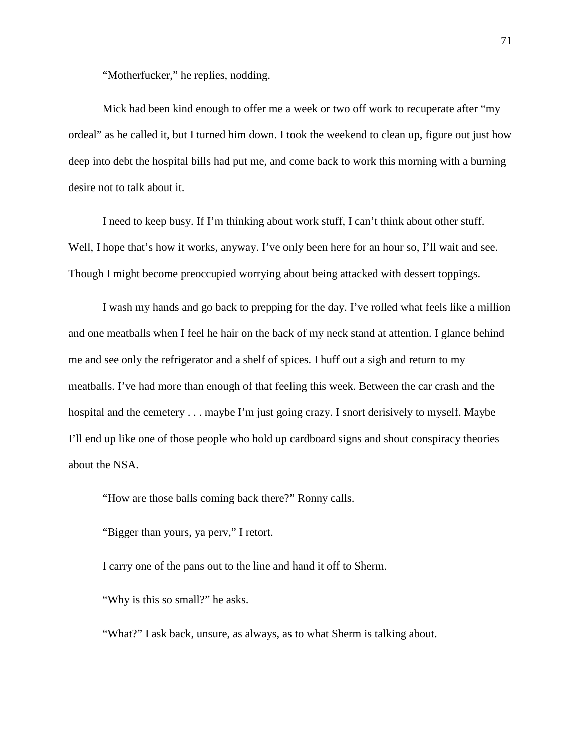"Motherfucker," he replies, nodding.

Mick had been kind enough to offer me a week or two off work to recuperate after "my ordeal" as he called it, but I turned him down. I took the weekend to clean up, figure out just how deep into debt the hospital bills had put me, and come back to work this morning with a burning desire not to talk about it.

I need to keep busy. If I'm thinking about work stuff, I can't think about other stuff. Well, I hope that's how it works, anyway. I've only been here for an hour so, I'll wait and see. Though I might become preoccupied worrying about being attacked with dessert toppings.

I wash my hands and go back to prepping for the day. I've rolled what feels like a million and one meatballs when I feel he hair on the back of my neck stand at attention. I glance behind me and see only the refrigerator and a shelf of spices. I huff out a sigh and return to my meatballs. I've had more than enough of that feeling this week. Between the car crash and the hospital and the cemetery . . . maybe I'm just going crazy. I snort derisively to myself. Maybe I'll end up like one of those people who hold up cardboard signs and shout conspiracy theories about the NSA.

"How are those balls coming back there?" Ronny calls.

"Bigger than yours, ya perv," I retort.

I carry one of the pans out to the line and hand it off to Sherm.

"Why is this so small?" he asks.

"What?" I ask back, unsure, as always, as to what Sherm is talking about.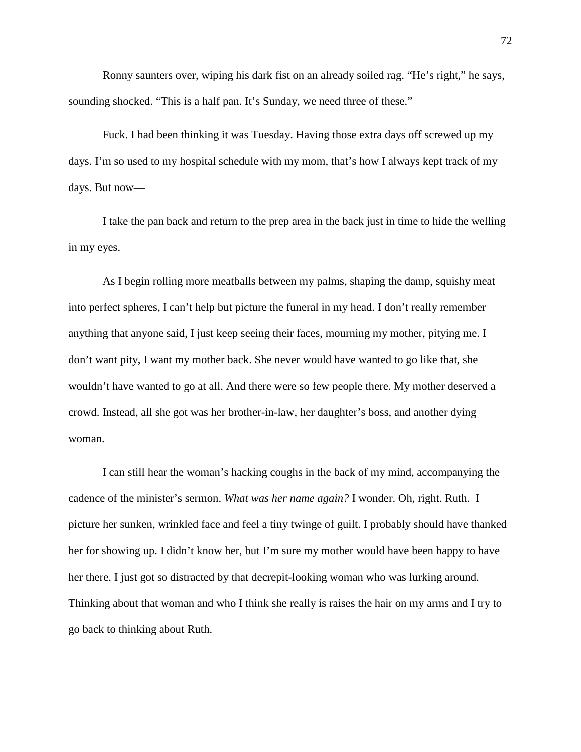Ronny saunters over, wiping his dark fist on an already soiled rag. "He's right," he says, sounding shocked. "This is a half pan. It's Sunday, we need three of these."

Fuck. I had been thinking it was Tuesday. Having those extra days off screwed up my days. I'm so used to my hospital schedule with my mom, that's how I always kept track of my days. But now—

I take the pan back and return to the prep area in the back just in time to hide the welling in my eyes.

As I begin rolling more meatballs between my palms, shaping the damp, squishy meat into perfect spheres, I can't help but picture the funeral in my head. I don't really remember anything that anyone said, I just keep seeing their faces, mourning my mother, pitying me. I don't want pity, I want my mother back. She never would have wanted to go like that, she wouldn't have wanted to go at all. And there were so few people there. My mother deserved a crowd. Instead, all she got was her brother-in-law, her daughter's boss, and another dying woman.

I can still hear the woman's hacking coughs in the back of my mind, accompanying the cadence of the minister's sermon. *What was her name again?* I wonder. Oh, right. Ruth. I picture her sunken, wrinkled face and feel a tiny twinge of guilt. I probably should have thanked her for showing up. I didn't know her, but I'm sure my mother would have been happy to have her there. I just got so distracted by that decrepit-looking woman who was lurking around. Thinking about that woman and who I think she really is raises the hair on my arms and I try to go back to thinking about Ruth.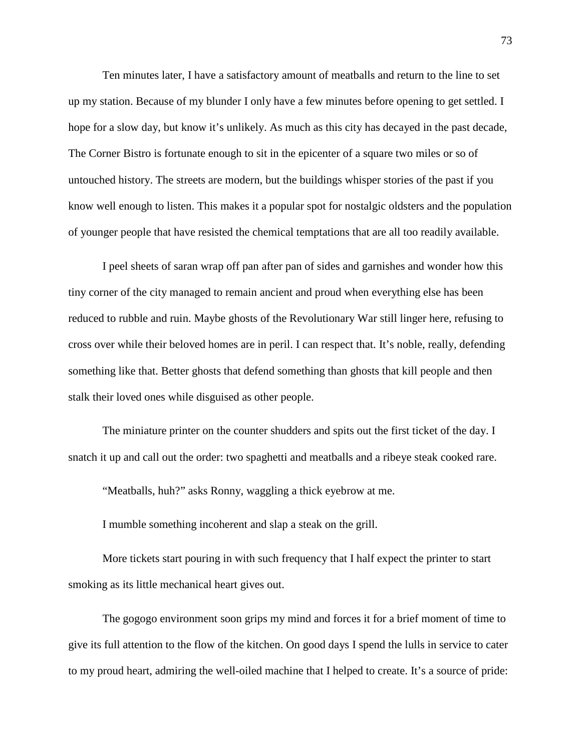Ten minutes later, I have a satisfactory amount of meatballs and return to the line to set up my station. Because of my blunder I only have a few minutes before opening to get settled. I hope for a slow day, but know it's unlikely. As much as this city has decayed in the past decade, The Corner Bistro is fortunate enough to sit in the epicenter of a square two miles or so of untouched history. The streets are modern, but the buildings whisper stories of the past if you know well enough to listen. This makes it a popular spot for nostalgic oldsters and the population of younger people that have resisted the chemical temptations that are all too readily available.

I peel sheets of saran wrap off pan after pan of sides and garnishes and wonder how this tiny corner of the city managed to remain ancient and proud when everything else has been reduced to rubble and ruin. Maybe ghosts of the Revolutionary War still linger here, refusing to cross over while their beloved homes are in peril. I can respect that. It's noble, really, defending something like that. Better ghosts that defend something than ghosts that kill people and then stalk their loved ones while disguised as other people.

The miniature printer on the counter shudders and spits out the first ticket of the day. I snatch it up and call out the order: two spaghetti and meatballs and a ribeye steak cooked rare.

"Meatballs, huh?" asks Ronny, waggling a thick eyebrow at me.

I mumble something incoherent and slap a steak on the grill.

More tickets start pouring in with such frequency that I half expect the printer to start smoking as its little mechanical heart gives out.

The gogogo environment soon grips my mind and forces it for a brief moment of time to give its full attention to the flow of the kitchen. On good days I spend the lulls in service to cater to my proud heart, admiring the well-oiled machine that I helped to create. It's a source of pride: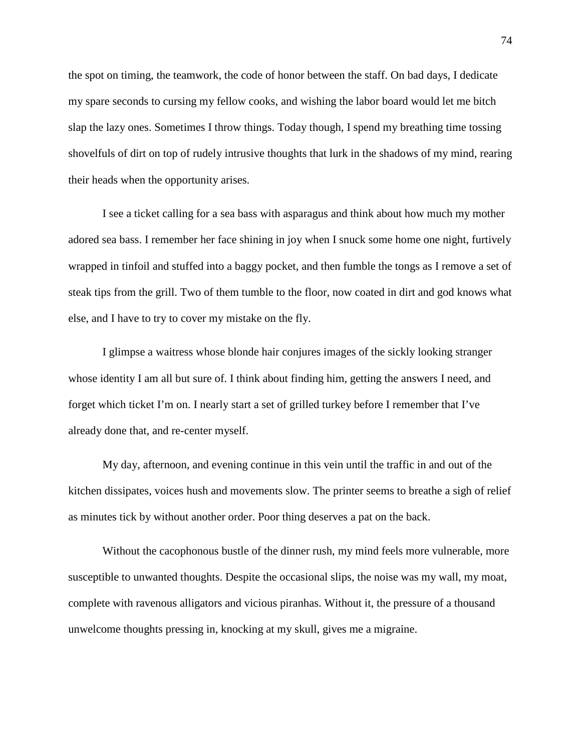the spot on timing, the teamwork, the code of honor between the staff. On bad days, I dedicate my spare seconds to cursing my fellow cooks, and wishing the labor board would let me bitch slap the lazy ones. Sometimes I throw things. Today though, I spend my breathing time tossing shovelfuls of dirt on top of rudely intrusive thoughts that lurk in the shadows of my mind, rearing their heads when the opportunity arises.

I see a ticket calling for a sea bass with asparagus and think about how much my mother adored sea bass. I remember her face shining in joy when I snuck some home one night, furtively wrapped in tinfoil and stuffed into a baggy pocket, and then fumble the tongs as I remove a set of steak tips from the grill. Two of them tumble to the floor, now coated in dirt and god knows what else, and I have to try to cover my mistake on the fly.

I glimpse a waitress whose blonde hair conjures images of the sickly looking stranger whose identity I am all but sure of. I think about finding him, getting the answers I need, and forget which ticket I'm on. I nearly start a set of grilled turkey before I remember that I've already done that, and re-center myself.

My day, afternoon, and evening continue in this vein until the traffic in and out of the kitchen dissipates, voices hush and movements slow. The printer seems to breathe a sigh of relief as minutes tick by without another order. Poor thing deserves a pat on the back.

Without the cacophonous bustle of the dinner rush, my mind feels more vulnerable, more susceptible to unwanted thoughts. Despite the occasional slips, the noise was my wall, my moat, complete with ravenous alligators and vicious piranhas. Without it, the pressure of a thousand unwelcome thoughts pressing in, knocking at my skull, gives me a migraine.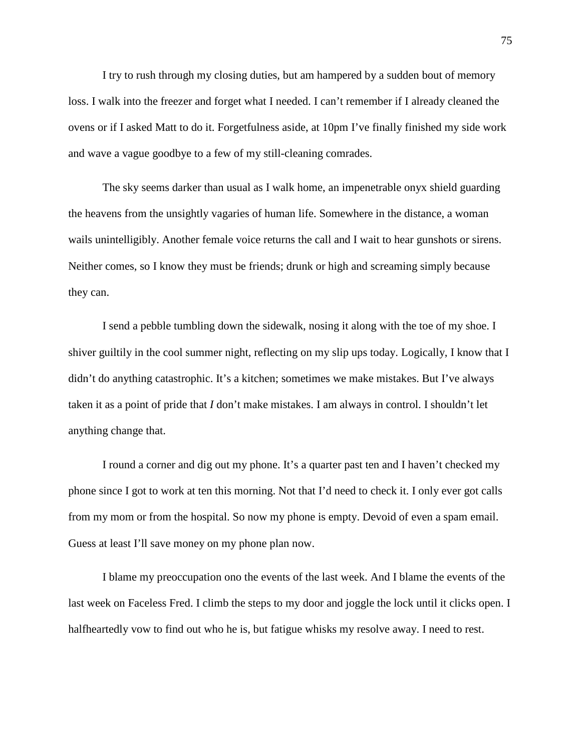I try to rush through my closing duties, but am hampered by a sudden bout of memory loss. I walk into the freezer and forget what I needed. I can't remember if I already cleaned the ovens or if I asked Matt to do it. Forgetfulness aside, at 10pm I've finally finished my side work and wave a vague goodbye to a few of my still-cleaning comrades.

The sky seems darker than usual as I walk home, an impenetrable onyx shield guarding the heavens from the unsightly vagaries of human life. Somewhere in the distance, a woman wails unintelligibly. Another female voice returns the call and I wait to hear gunshots or sirens. Neither comes, so I know they must be friends; drunk or high and screaming simply because they can.

I send a pebble tumbling down the sidewalk, nosing it along with the toe of my shoe. I shiver guiltily in the cool summer night, reflecting on my slip ups today. Logically, I know that I didn't do anything catastrophic. It's a kitchen; sometimes we make mistakes. But I've always taken it as a point of pride that *I* don't make mistakes. I am always in control. I shouldn't let anything change that.

I round a corner and dig out my phone. It's a quarter past ten and I haven't checked my phone since I got to work at ten this morning. Not that I'd need to check it. I only ever got calls from my mom or from the hospital. So now my phone is empty. Devoid of even a spam email. Guess at least I'll save money on my phone plan now.

I blame my preoccupation ono the events of the last week. And I blame the events of the last week on Faceless Fred. I climb the steps to my door and joggle the lock until it clicks open. I halfheartedly vow to find out who he is, but fatigue whisks my resolve away. I need to rest.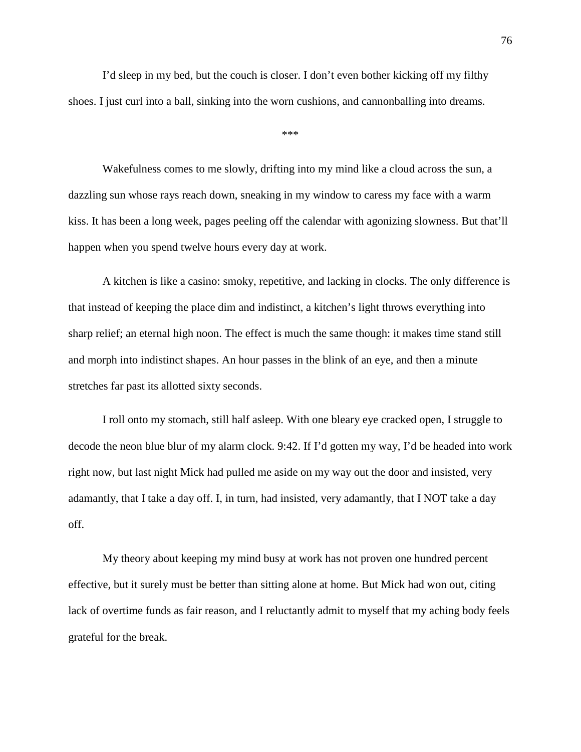I'd sleep in my bed, but the couch is closer. I don't even bother kicking off my filthy shoes. I just curl into a ball, sinking into the worn cushions, and cannonballing into dreams.

\*\*\*

Wakefulness comes to me slowly, drifting into my mind like a cloud across the sun, a dazzling sun whose rays reach down, sneaking in my window to caress my face with a warm kiss. It has been a long week, pages peeling off the calendar with agonizing slowness. But that'll happen when you spend twelve hours every day at work.

A kitchen is like a casino: smoky, repetitive, and lacking in clocks. The only difference is that instead of keeping the place dim and indistinct, a kitchen's light throws everything into sharp relief; an eternal high noon. The effect is much the same though: it makes time stand still and morph into indistinct shapes. An hour passes in the blink of an eye, and then a minute stretches far past its allotted sixty seconds.

I roll onto my stomach, still half asleep. With one bleary eye cracked open, I struggle to decode the neon blue blur of my alarm clock. 9:42. If I'd gotten my way, I'd be headed into work right now, but last night Mick had pulled me aside on my way out the door and insisted, very adamantly, that I take a day off. I, in turn, had insisted, very adamantly, that I NOT take a day off.

My theory about keeping my mind busy at work has not proven one hundred percent effective, but it surely must be better than sitting alone at home. But Mick had won out, citing lack of overtime funds as fair reason, and I reluctantly admit to myself that my aching body feels grateful for the break.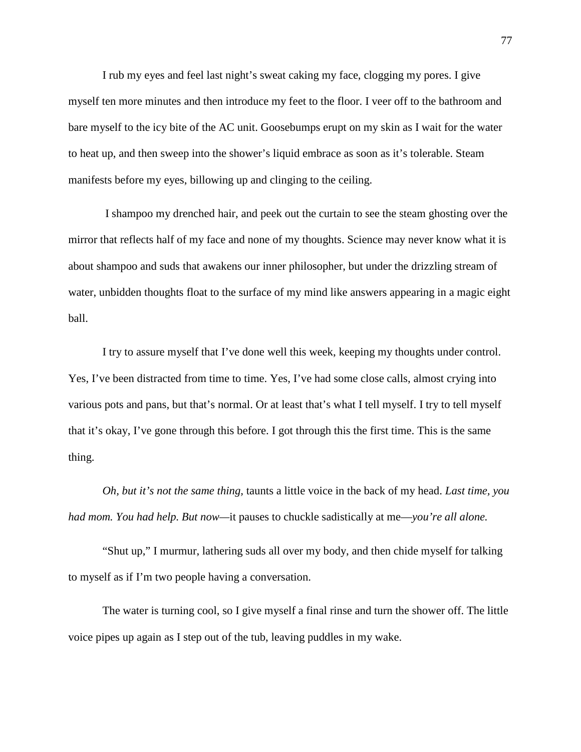I rub my eyes and feel last night's sweat caking my face, clogging my pores. I give myself ten more minutes and then introduce my feet to the floor. I veer off to the bathroom and bare myself to the icy bite of the AC unit. Goosebumps erupt on my skin as I wait for the water to heat up, and then sweep into the shower's liquid embrace as soon as it's tolerable. Steam manifests before my eyes, billowing up and clinging to the ceiling.

I shampoo my drenched hair, and peek out the curtain to see the steam ghosting over the mirror that reflects half of my face and none of my thoughts. Science may never know what it is about shampoo and suds that awakens our inner philosopher, but under the drizzling stream of water, unbidden thoughts float to the surface of my mind like answers appearing in a magic eight ball.

I try to assure myself that I've done well this week, keeping my thoughts under control. Yes, I've been distracted from time to time. Yes, I've had some close calls, almost crying into various pots and pans, but that's normal. Or at least that's what I tell myself. I try to tell myself that it's okay, I've gone through this before. I got through this the first time. This is the same thing.

*Oh, but it's not the same thing,* taunts a little voice in the back of my head. *Last time, you had mom. You had help. But now—*it pauses to chuckle sadistically at me—*you're all alone.* 

"Shut up," I murmur, lathering suds all over my body, and then chide myself for talking to myself as if I'm two people having a conversation.

The water is turning cool, so I give myself a final rinse and turn the shower off. The little voice pipes up again as I step out of the tub, leaving puddles in my wake.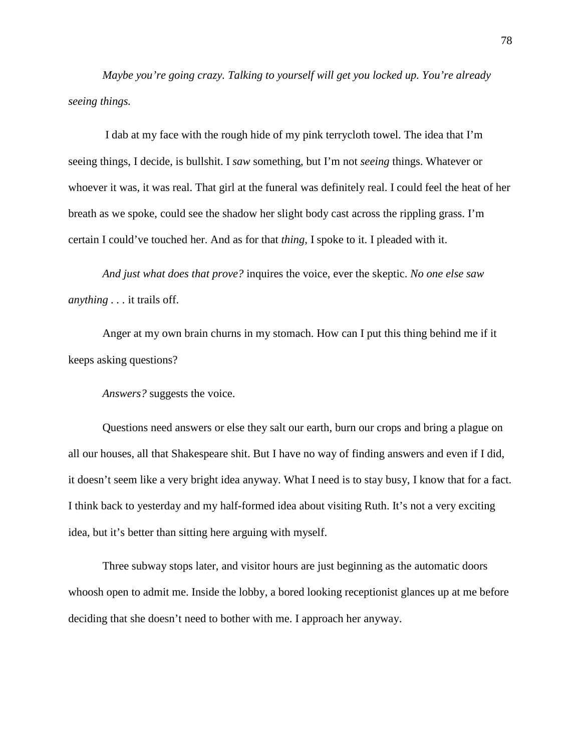*Maybe you're going crazy. Talking to yourself will get you locked up. You're already seeing things.* 

I dab at my face with the rough hide of my pink terrycloth towel. The idea that I'm seeing things, I decide, is bullshit. I *saw* something, but I'm not *seeing* things. Whatever or whoever it was, it was real. That girl at the funeral was definitely real. I could feel the heat of her breath as we spoke, could see the shadow her slight body cast across the rippling grass. I'm certain I could've touched her. And as for that *thing*, I spoke to it. I pleaded with it.

*And just what does that prove?* inquires the voice, ever the skeptic. *No one else saw anything . . .* it trails off.

Anger at my own brain churns in my stomach. How can I put this thing behind me if it keeps asking questions?

*Answers?* suggests the voice.

Questions need answers or else they salt our earth, burn our crops and bring a plague on all our houses, all that Shakespeare shit. But I have no way of finding answers and even if I did, it doesn't seem like a very bright idea anyway. What I need is to stay busy, I know that for a fact. I think back to yesterday and my half-formed idea about visiting Ruth. It's not a very exciting idea, but it's better than sitting here arguing with myself.

Three subway stops later, and visitor hours are just beginning as the automatic doors whoosh open to admit me. Inside the lobby, a bored looking receptionist glances up at me before deciding that she doesn't need to bother with me. I approach her anyway.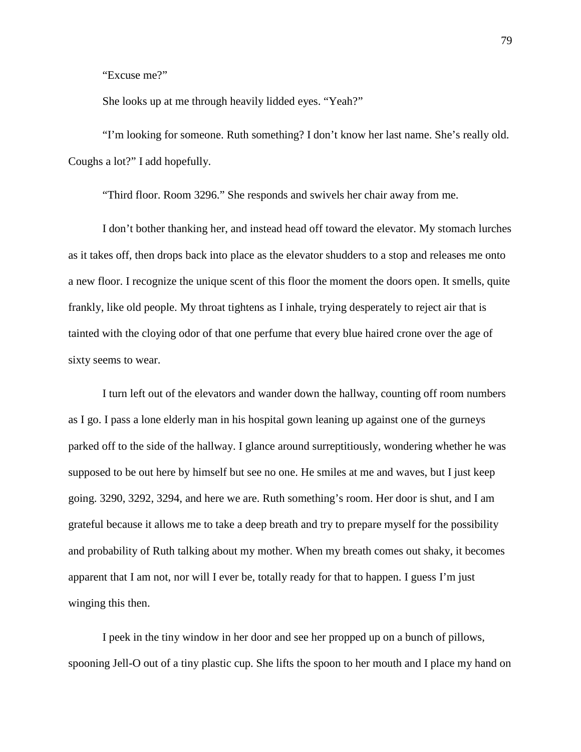"Excuse me?"

She looks up at me through heavily lidded eyes. "Yeah?"

"I'm looking for someone. Ruth something? I don't know her last name. She's really old. Coughs a lot?" I add hopefully.

"Third floor. Room 3296." She responds and swivels her chair away from me.

I don't bother thanking her, and instead head off toward the elevator. My stomach lurches as it takes off, then drops back into place as the elevator shudders to a stop and releases me onto a new floor. I recognize the unique scent of this floor the moment the doors open. It smells, quite frankly, like old people. My throat tightens as I inhale, trying desperately to reject air that is tainted with the cloying odor of that one perfume that every blue haired crone over the age of sixty seems to wear.

I turn left out of the elevators and wander down the hallway, counting off room numbers as I go. I pass a lone elderly man in his hospital gown leaning up against one of the gurneys parked off to the side of the hallway. I glance around surreptitiously, wondering whether he was supposed to be out here by himself but see no one. He smiles at me and waves, but I just keep going. 3290, 3292, 3294, and here we are. Ruth something's room. Her door is shut, and I am grateful because it allows me to take a deep breath and try to prepare myself for the possibility and probability of Ruth talking about my mother. When my breath comes out shaky, it becomes apparent that I am not, nor will I ever be, totally ready for that to happen. I guess I'm just winging this then.

I peek in the tiny window in her door and see her propped up on a bunch of pillows, spooning Jell-O out of a tiny plastic cup. She lifts the spoon to her mouth and I place my hand on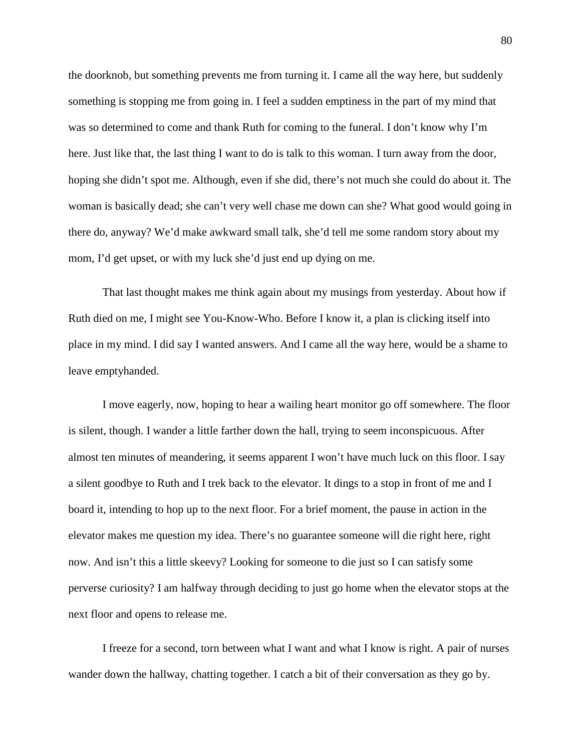the doorknob, but something prevents me from turning it. I came all the way here, but suddenly something is stopping me from going in. I feel a sudden emptiness in the part of my mind that was so determined to come and thank Ruth for coming to the funeral. I don't know why I'm here. Just like that, the last thing I want to do is talk to this woman. I turn away from the door, hoping she didn't spot me. Although, even if she did, there's not much she could do about it. The woman is basically dead; she can't very well chase me down can she? What good would going in there do, anyway? We'd make awkward small talk, she'd tell me some random story about my mom, I'd get upset, or with my luck she'd just end up dying on me.

That last thought makes me think again about my musings from yesterday. About how if Ruth died on me, I might see You-Know-Who. Before I know it, a plan is clicking itself into place in my mind. I did say I wanted answers. And I came all the way here, would be a shame to leave emptyhanded.

I move eagerly, now, hoping to hear a wailing heart monitor go off somewhere. The floor is silent, though. I wander a little farther down the hall, trying to seem inconspicuous. After almost ten minutes of meandering, it seems apparent I won't have much luck on this floor. I say a silent goodbye to Ruth and I trek back to the elevator. It dings to a stop in front of me and I board it, intending to hop up to the next floor. For a brief moment, the pause in action in the elevator makes me question my idea. There's no guarantee someone will die right here, right now. And isn't this a little skeevy? Looking for someone to die just so I can satisfy some perverse curiosity? I am halfway through deciding to just go home when the elevator stops at the next floor and opens to release me.

I freeze for a second, torn between what I want and what I know is right. A pair of nurses wander down the hallway, chatting together. I catch a bit of their conversation as they go by.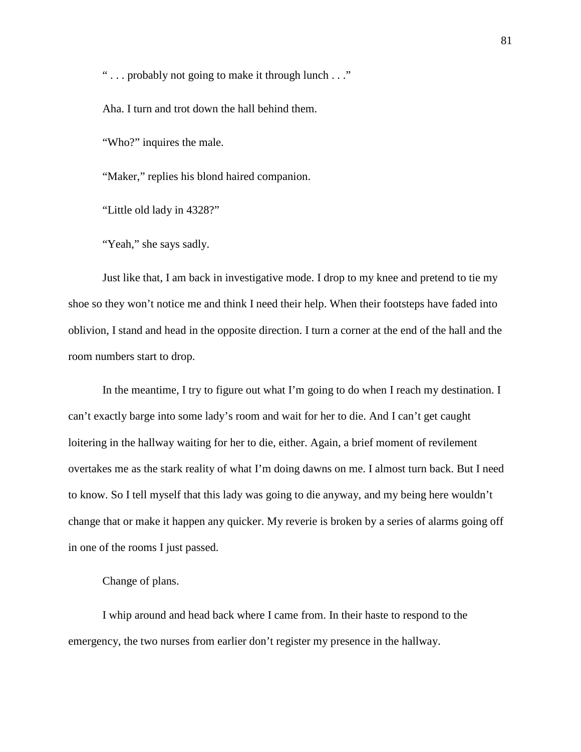" . . . probably not going to make it through lunch . . ."

Aha. I turn and trot down the hall behind them.

"Who?" inquires the male.

"Maker," replies his blond haired companion.

"Little old lady in 4328?"

"Yeah," she says sadly.

Just like that, I am back in investigative mode. I drop to my knee and pretend to tie my shoe so they won't notice me and think I need their help. When their footsteps have faded into oblivion, I stand and head in the opposite direction. I turn a corner at the end of the hall and the room numbers start to drop.

In the meantime, I try to figure out what I'm going to do when I reach my destination. I can't exactly barge into some lady's room and wait for her to die. And I can't get caught loitering in the hallway waiting for her to die, either. Again, a brief moment of revilement overtakes me as the stark reality of what I'm doing dawns on me. I almost turn back. But I need to know. So I tell myself that this lady was going to die anyway, and my being here wouldn't change that or make it happen any quicker. My reverie is broken by a series of alarms going off in one of the rooms I just passed.

Change of plans.

I whip around and head back where I came from. In their haste to respond to the emergency, the two nurses from earlier don't register my presence in the hallway.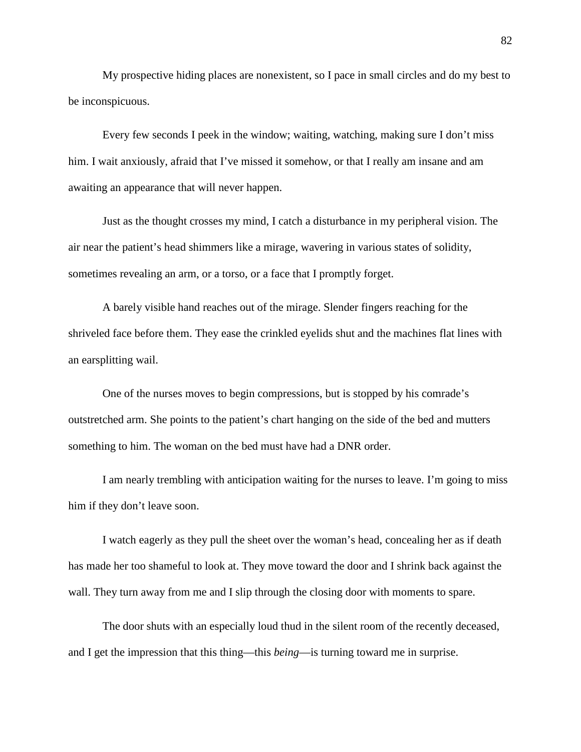My prospective hiding places are nonexistent, so I pace in small circles and do my best to be inconspicuous.

Every few seconds I peek in the window; waiting, watching, making sure I don't miss him. I wait anxiously, afraid that I've missed it somehow, or that I really am insane and am awaiting an appearance that will never happen.

Just as the thought crosses my mind, I catch a disturbance in my peripheral vision. The air near the patient's head shimmers like a mirage, wavering in various states of solidity, sometimes revealing an arm, or a torso, or a face that I promptly forget.

A barely visible hand reaches out of the mirage. Slender fingers reaching for the shriveled face before them. They ease the crinkled eyelids shut and the machines flat lines with an earsplitting wail.

One of the nurses moves to begin compressions, but is stopped by his comrade's outstretched arm. She points to the patient's chart hanging on the side of the bed and mutters something to him. The woman on the bed must have had a DNR order.

I am nearly trembling with anticipation waiting for the nurses to leave. I'm going to miss him if they don't leave soon.

I watch eagerly as they pull the sheet over the woman's head, concealing her as if death has made her too shameful to look at. They move toward the door and I shrink back against the wall. They turn away from me and I slip through the closing door with moments to spare.

The door shuts with an especially loud thud in the silent room of the recently deceased, and I get the impression that this thing—this *being*—is turning toward me in surprise.